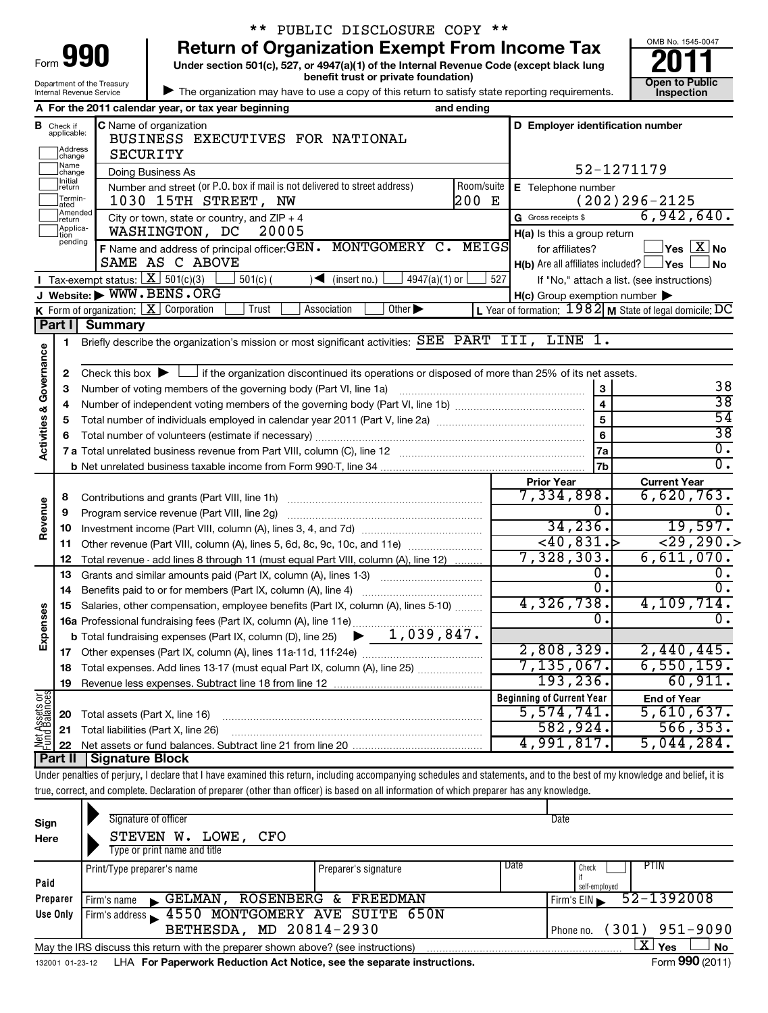| Form $\bigcup$ | 990                        |
|----------------|----------------------------|
|                | Department of the Treasury |

# \*\* PUBLIC DISCLOSURE COPY \*\*

**Under section 501(c), 527, or 4947(a)(1) of the Internal Revenue Code (except black lung 990** Return of Organization Exempt From Income Tax  $\frac{6008 \text{ No. }1545-004}{2011}$ <br>Under section 501(c), 527, or 4947(a)(1) of the Internal Revenue Code (except black lung

**benefit trust or private foundation) Construction Construction Construction Construction** 



 $\blacktriangleright$ The organization may have to use a copy of this return to satisfy state reporting requirements.

|               |                                                    | Internal Revenue Service                                                            |                                                                            | The organization may have to use a copy of this return to satisfy state reporting requirements.                                                                            |            |                                                     |                         | <b>Inspection</b>                                         |
|---------------|----------------------------------------------------|-------------------------------------------------------------------------------------|----------------------------------------------------------------------------|----------------------------------------------------------------------------------------------------------------------------------------------------------------------------|------------|-----------------------------------------------------|-------------------------|-----------------------------------------------------------|
|               |                                                    | A For the 2011 calendar year, or tax year beginning                                 |                                                                            |                                                                                                                                                                            | and ending |                                                     |                         |                                                           |
|               | <b>B</b> Check if applicable:<br>Address<br>change | C Name of organization<br>SECURITY                                                  | BUSINESS EXECUTIVES FOR NATIONAL                                           |                                                                                                                                                                            |            |                                                     |                         | D Employer identification number                          |
|               | Name<br>change                                     | Doing Business As                                                                   |                                                                            |                                                                                                                                                                            |            |                                                     |                         | 52-1271179                                                |
|               | Initial<br>return                                  |                                                                                     | Number and street (or P.O. box if mail is not delivered to street address) |                                                                                                                                                                            | Room/suite | E Telephone number                                  |                         |                                                           |
|               | Termin-<br>ated                                    |                                                                                     | 1030 15TH STREET, NW                                                       |                                                                                                                                                                            | 200 E      |                                                     |                         | $(202)296 - 2125$                                         |
|               | Amended<br>return                                  |                                                                                     | City or town, state or country, and $ZIP + 4$                              |                                                                                                                                                                            |            | G Gross receipts \$                                 |                         | 6,942,640.                                                |
|               | Applica-<br>tion                                   | WASHINGTON, DC                                                                      | 20005                                                                      |                                                                                                                                                                            |            | H(a) Is this a group return                         |                         |                                                           |
|               | pending                                            |                                                                                     |                                                                            | F Name and address of principal officer: GEN. MONTGOMERY C. MEIGS                                                                                                          |            | for affiliates?                                     |                         | $ {\mathsf Y}\mathsf{es}\ \overline{{\mathsf X}}$ No      |
|               |                                                    | SAME AS C ABOVE                                                                     |                                                                            |                                                                                                                                                                            |            |                                                     |                         | $H(b)$ Are all affiliates included? $\Box$ Yes<br>∫ No    |
|               |                                                    | <b>I</b> Tax-exempt status: $X \mid 501(c)(3)$                                      | $501(c)$ (                                                                 | $\sqrt{\bullet}$ (insert no.)<br>$4947(a)(1)$ or                                                                                                                           | 527        |                                                     |                         | If "No," attach a list. (see instructions)                |
|               |                                                    | J Website: WWW.BENS.ORG                                                             |                                                                            |                                                                                                                                                                            |            | $H(c)$ Group exemption number $\blacktriangleright$ |                         |                                                           |
|               |                                                    | K Form of organization: $X$ Corporation                                             | Trust                                                                      | $\overline{O}$ ther $\blacktriangleright$<br>Association                                                                                                                   |            |                                                     |                         | L Year of formation: $1982$ M State of legal domicile: DC |
|               | Part I                                             | <b>Summary</b>                                                                      |                                                                            |                                                                                                                                                                            |            |                                                     |                         |                                                           |
|               | 1                                                  |                                                                                     |                                                                            | Briefly describe the organization's mission or most significant activities: SEE PART III, LINE 1.                                                                          |            |                                                     |                         |                                                           |
| & Governance  |                                                    |                                                                                     |                                                                            |                                                                                                                                                                            |            |                                                     |                         |                                                           |
|               | 2                                                  |                                                                                     |                                                                            | Check this box $\blacktriangleright$ $\Box$ if the organization discontinued its operations or disposed of more than 25% of its net assets.                                |            |                                                     |                         |                                                           |
|               | з                                                  | Number of voting members of the governing body (Part VI, line 1a)                   |                                                                            |                                                                                                                                                                            |            |                                                     | 3                       | 38                                                        |
|               | 4                                                  |                                                                                     |                                                                            |                                                                                                                                                                            |            |                                                     | $\overline{\mathbf{4}}$ | $\overline{38}$                                           |
|               | 5                                                  |                                                                                     |                                                                            |                                                                                                                                                                            |            |                                                     | $\overline{5}$          | $\overline{54}$                                           |
|               | 6                                                  |                                                                                     |                                                                            |                                                                                                                                                                            |            |                                                     | 6                       | $\overline{38}$                                           |
| Activities    |                                                    |                                                                                     |                                                                            |                                                                                                                                                                            |            |                                                     | 7a                      | $\overline{\mathfrak{0}}$ .                               |
|               |                                                    |                                                                                     |                                                                            |                                                                                                                                                                            |            |                                                     | 7b                      | $\overline{\mathfrak{0}}$ .                               |
|               |                                                    |                                                                                     |                                                                            |                                                                                                                                                                            |            | <b>Prior Year</b>                                   |                         | <b>Current Year</b>                                       |
|               | 8                                                  | Contributions and grants (Part VIII, line 1h)                                       |                                                                            |                                                                                                                                                                            |            | 7,334,898.                                          |                         | 6,620,763.                                                |
| Revenue       | 9                                                  | Program service revenue (Part VIII, line 2g)                                        |                                                                            |                                                                                                                                                                            |            |                                                     | Ο.                      | 0.                                                        |
|               | 10                                                 |                                                                                     |                                                                            |                                                                                                                                                                            |            |                                                     | 34, 236.                | 19,597.                                                   |
|               | 11                                                 |                                                                                     |                                                                            | Other revenue (Part VIII, column (A), lines 5, 6d, 8c, 9c, 10c, and 11e)                                                                                                   |            |                                                     | $-40,831.$              | 29,290.                                                   |
|               | 12                                                 |                                                                                     |                                                                            | Total revenue - add lines 8 through 11 (must equal Part VIII, column (A), line 12)                                                                                         |            | 7,328,303.                                          |                         | 6,611,070.                                                |
|               | 13                                                 |                                                                                     |                                                                            | Grants and similar amounts paid (Part IX, column (A), lines 1-3)                                                                                                           |            |                                                     | О.                      |                                                           |
|               | 14                                                 |                                                                                     |                                                                            |                                                                                                                                                                            |            |                                                     | $\overline{0}$ .        | 0.                                                        |
|               | 15                                                 |                                                                                     |                                                                            | Salaries, other compensation, employee benefits (Part IX, column (A), lines 5-10)                                                                                          |            | 4,326,738.                                          |                         | 4,109,714.                                                |
| Expenses      |                                                    |                                                                                     |                                                                            |                                                                                                                                                                            |            |                                                     | 0.                      | 0.                                                        |
|               |                                                    | <b>b</b> Total fundraising expenses (Part IX, column (D), line 25)                  |                                                                            | $\blacktriangleright$ 1,039,847.                                                                                                                                           |            |                                                     |                         |                                                           |
|               |                                                    |                                                                                     |                                                                            |                                                                                                                                                                            |            | 2,808,329.                                          |                         | 2,440,445.                                                |
|               |                                                    | <b>18</b> Total expenses. Add lines 13-17 (must equal Part IX, column (A), line 25) |                                                                            |                                                                                                                                                                            |            | 7,135,067.                                          |                         | 6,550,159.                                                |
|               | 19                                                 |                                                                                     |                                                                            |                                                                                                                                                                            |            |                                                     | 193,236.                | 60,911.                                                   |
| Net Assets or |                                                    |                                                                                     |                                                                            |                                                                                                                                                                            |            | <b>Beginning of Current Year</b>                    |                         | <b>End of Year</b>                                        |
|               | 20                                                 | Total assets (Part X, line 16)                                                      |                                                                            |                                                                                                                                                                            |            | 5,574,741.                                          |                         | 5,610,637.                                                |
|               | 21                                                 | Total liabilities (Part X, line 26)                                                 |                                                                            |                                                                                                                                                                            |            |                                                     | 582,924.                | 566, 353.                                                 |
|               | 22                                                 |                                                                                     |                                                                            |                                                                                                                                                                            |            | 4,991,817.                                          |                         | 5,044,284.                                                |
|               | Part II                                            | <b>Signature Block</b>                                                              |                                                                            |                                                                                                                                                                            |            |                                                     |                         |                                                           |
|               |                                                    |                                                                                     |                                                                            | Under penalties of perjury, I declare that I have examined this return, including accompanying schedules and statements, and to the best of my knowledge and belief, it is |            |                                                     |                         |                                                           |
|               |                                                    |                                                                                     |                                                                            | true, correct, and complete. Declaration of preparer (other than officer) is based on all information of which preparer has any knowledge.                                 |            |                                                     |                         |                                                           |
|               |                                                    |                                                                                     |                                                                            |                                                                                                                                                                            |            |                                                     |                         |                                                           |
| Sign          |                                                    | Signature of officer                                                                |                                                                            |                                                                                                                                                                            |            | Date                                                |                         |                                                           |
| Here          |                                                    | STEVEN W. LOWE,                                                                     | CFO                                                                        |                                                                                                                                                                            |            |                                                     |                         |                                                           |
|               |                                                    | Type or print name and title                                                        |                                                                            |                                                                                                                                                                            |            |                                                     |                         |                                                           |
|               |                                                    | Print/Tyne preparer's name                                                          |                                                                            | Prenarer's signature                                                                                                                                                       |            | Date                                                | Check                   | <b>PTIN</b>                                               |

|                                                                                                | Print/Type preparer's name                                                                                               | Preparer's signature | Date <sup>1</sup> | Check         |  | <b>PTIN</b>      |  |  |  |  |  |
|------------------------------------------------------------------------------------------------|--------------------------------------------------------------------------------------------------------------------------|----------------------|-------------------|---------------|--|------------------|--|--|--|--|--|
| Paid                                                                                           |                                                                                                                          |                      |                   | self-emploved |  |                  |  |  |  |  |  |
| Preparer                                                                                       | GELMAN, ROSENBERG & FREEDMAN<br>Firm's name                                                                              |                      |                   | Firm's EIN    |  | $52 - 1392008$   |  |  |  |  |  |
| Use Only                                                                                       | Firm's address 4550 MONTGOMERY AVE SUITE 650N                                                                            |                      |                   |               |  |                  |  |  |  |  |  |
|                                                                                                | BETHESDA, MD 20814-2930                                                                                                  |                      |                   | Phone no.     |  | $(301)$ 951-9090 |  |  |  |  |  |
| Yes<br>May the IRS discuss this return with the preparer shown above? (see instructions)<br>No |                                                                                                                          |                      |                   |               |  |                  |  |  |  |  |  |
|                                                                                                | $T_{\text{max}}$ 000 (0011)<br>issociation of the Fau Demonstrate Dedication Antibiding and the computer included in the |                      |                   |               |  |                  |  |  |  |  |  |

132001 01-23-12 LHA **For Paperwork Reduction Act Notice, see the separate instructions.** The manuscription of the Separate instructions.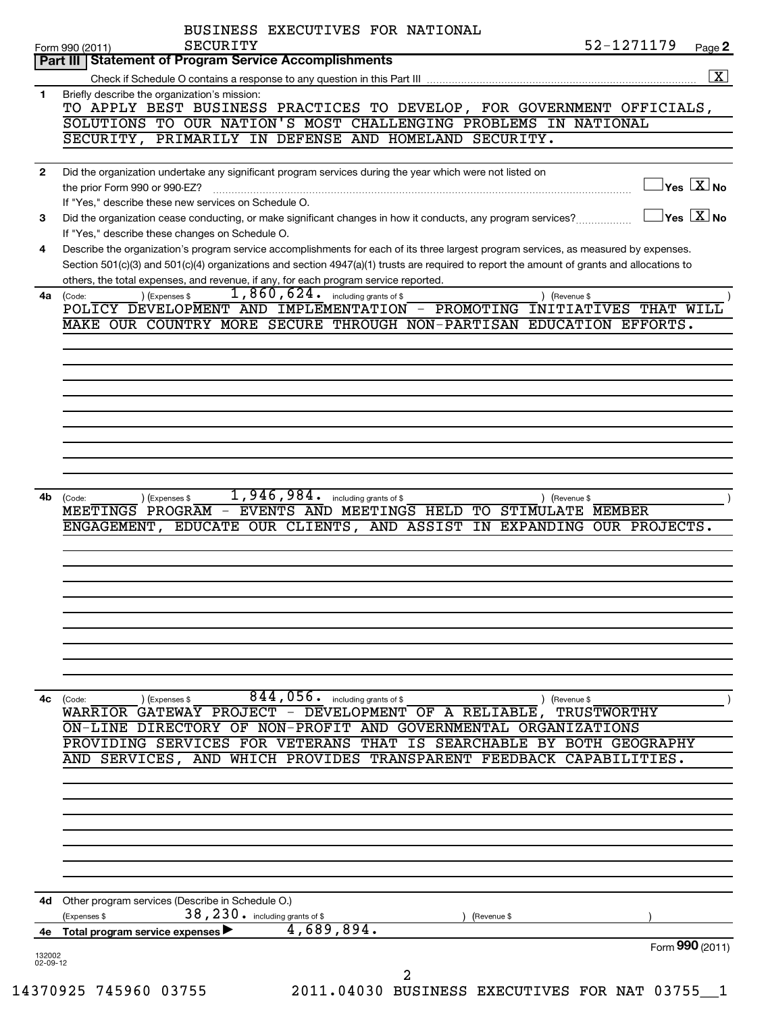|                    | BUSINESS EXECUTIVES FOR NATIONAL<br>SECURITY<br>Form 990 (2011)                                                                            | 52-1271179                                | Page 2                  |
|--------------------|--------------------------------------------------------------------------------------------------------------------------------------------|-------------------------------------------|-------------------------|
|                    | Part III   Statement of Program Service Accomplishments                                                                                    |                                           | $\overline{\mathbf{X}}$ |
|                    | Check if Schedule O contains a response to any question in this Part III                                                                   |                                           |                         |
| 1.                 | Briefly describe the organization's mission:<br>TO APPLY BEST BUSINESS PRACTICES TO DEVELOP, FOR GOVERNMENT OFFICIALS,                     |                                           |                         |
|                    | SOLUTIONS TO OUR NATION'S MOST CHALLENGING PROBLEMS IN NATIONAL                                                                            |                                           |                         |
|                    | SECURITY, PRIMARILY IN DEFENSE AND HOMELAND SECURITY.                                                                                      |                                           |                         |
|                    |                                                                                                                                            |                                           |                         |
| $\mathbf{2}$       | Did the organization undertake any significant program services during the year which were not listed on                                   |                                           |                         |
|                    | the prior Form 990 or 990-EZ?                                                                                                              | $\log$ $\boxed{\text{X}}$ No              |                         |
|                    | If "Yes," describe these new services on Schedule O.                                                                                       |                                           |                         |
| 3                  | Did the organization cease conducting, or make significant changes in how it conducts, any program services?                               | $\overline{\ }$ Yes $\overline{\rm X}$ No |                         |
|                    | If "Yes," describe these changes on Schedule O.                                                                                            |                                           |                         |
| 4                  | Describe the organization's program service accomplishments for each of its three largest program services, as measured by expenses.       |                                           |                         |
|                    | Section 501(c)(3) and 501(c)(4) organizations and section 4947(a)(1) trusts are required to report the amount of grants and allocations to |                                           |                         |
|                    | others, the total expenses, and revenue, if any, for each program service reported.<br>$1,860,624$ $\cdot$ including grants of \$          |                                           |                         |
| 4a                 | ) (Expenses \$<br>) (Revenue \$<br>(Code:<br>POLICY DEVELOPMENT AND IMPLEMENTATION - PROMOTING INITIATIVES THAT WILL                       |                                           |                         |
|                    | MAKE OUR COUNTRY MORE SECURE THROUGH NON-PARTISAN EDUCATION EFFORTS.                                                                       |                                           |                         |
|                    |                                                                                                                                            |                                           |                         |
|                    |                                                                                                                                            |                                           |                         |
|                    |                                                                                                                                            |                                           |                         |
|                    |                                                                                                                                            |                                           |                         |
|                    |                                                                                                                                            |                                           |                         |
|                    |                                                                                                                                            |                                           |                         |
|                    |                                                                                                                                            |                                           |                         |
|                    |                                                                                                                                            |                                           |                         |
|                    |                                                                                                                                            |                                           |                         |
|                    |                                                                                                                                            |                                           |                         |
| 4b                 | $1,946,984.$ including grants of \$<br>) (Expenses \$<br>(Code:<br>) (Revenue \$                                                           |                                           |                         |
|                    | MEETINGS PROGRAM - EVENTS AND MEETINGS HELD TO STIMULATE MEMBER                                                                            |                                           |                         |
|                    | ENGAGEMENT, EDUCATE OUR CLIENTS, AND ASSIST<br>IN EXPANDING OUR PROJECTS.                                                                  |                                           |                         |
|                    |                                                                                                                                            |                                           |                         |
|                    |                                                                                                                                            |                                           |                         |
|                    |                                                                                                                                            |                                           |                         |
|                    |                                                                                                                                            |                                           |                         |
|                    |                                                                                                                                            |                                           |                         |
|                    |                                                                                                                                            |                                           |                         |
|                    |                                                                                                                                            |                                           |                         |
|                    |                                                                                                                                            |                                           |                         |
|                    |                                                                                                                                            |                                           |                         |
|                    | $844, 056$ . including grants of \$                                                                                                        |                                           |                         |
| 4с                 | (Code:<br>(Expenses \$<br>) (Revenue \$<br>WARRIOR GATEWAY PROJECT - DEVELOPMENT OF A RELIABLE, TRUSTWORTHY                                |                                           |                         |
|                    | ON-LINE DIRECTORY OF NON-PROFIT AND GOVERNMENTAL ORGANIZATIONS                                                                             |                                           |                         |
|                    | PROVIDING SERVICES FOR VETERANS THAT IS SEARCHABLE BY BOTH GEOGRAPHY                                                                       |                                           |                         |
|                    | AND SERVICES, AND WHICH PROVIDES TRANSPARENT FEEDBACK CAPABILITIES.                                                                        |                                           |                         |
|                    |                                                                                                                                            |                                           |                         |
|                    |                                                                                                                                            |                                           |                         |
|                    |                                                                                                                                            |                                           |                         |
|                    |                                                                                                                                            |                                           |                         |
|                    |                                                                                                                                            |                                           |                         |
|                    |                                                                                                                                            |                                           |                         |
|                    |                                                                                                                                            |                                           |                         |
|                    |                                                                                                                                            |                                           |                         |
| 4d -               | Other program services (Describe in Schedule O.)                                                                                           |                                           |                         |
|                    | 38, 230. including grants of \$<br>Expenses \$<br>(Revenue \$                                                                              |                                           |                         |
| 4е —               | 4,689,894.<br>Total program service expenses ▶                                                                                             |                                           |                         |
|                    |                                                                                                                                            | Form 990 (2011)                           |                         |
| 132002<br>02-09-12 |                                                                                                                                            |                                           |                         |
|                    | 2                                                                                                                                          |                                           |                         |
|                    |                                                                                                                                            |                                           |                         |
|                    | 14370925 745960 03755<br>2011.04030 BUSINESS EXECUTIVES FOR NAT 03755                                                                      |                                           |                         |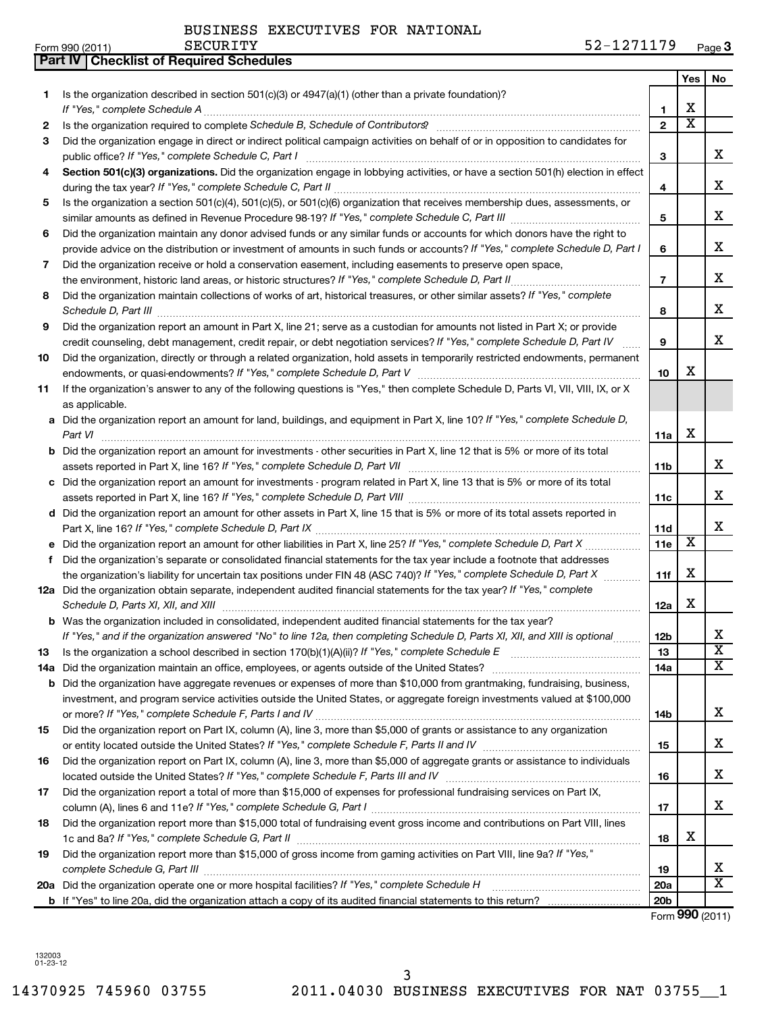|     | <b>Part IV   Checklist of Required Schedules</b>                                                                                                                                                                                    |                 |     |    |
|-----|-------------------------------------------------------------------------------------------------------------------------------------------------------------------------------------------------------------------------------------|-----------------|-----|----|
|     |                                                                                                                                                                                                                                     |                 | Yes | No |
| 1   | Is the organization described in section 501(c)(3) or 4947(a)(1) (other than a private foundation)?                                                                                                                                 |                 |     |    |
|     |                                                                                                                                                                                                                                     | 1               | X   |    |
| 2   | Is the organization required to complete Schedule B, Schedule of Contributors? [11] the organization required to complete Schedule B, Schedule of Contributors?                                                                     | $\mathbf{2}$    | X   |    |
| 3   | Did the organization engage in direct or indirect political campaign activities on behalf of or in opposition to candidates for                                                                                                     |                 |     |    |
|     |                                                                                                                                                                                                                                     | 3               |     | х  |
| 4   | Section 501(c)(3) organizations. Did the organization engage in lobbying activities, or have a section 501(h) election in effect                                                                                                    |                 |     |    |
|     |                                                                                                                                                                                                                                     | 4               |     | х  |
| 5   | Is the organization a section 501(c)(4), 501(c)(5), or 501(c)(6) organization that receives membership dues, assessments, or                                                                                                        |                 |     |    |
|     |                                                                                                                                                                                                                                     | 5               |     | x  |
| 6   | Did the organization maintain any donor advised funds or any similar funds or accounts for which donors have the right to                                                                                                           |                 |     |    |
|     | provide advice on the distribution or investment of amounts in such funds or accounts? If "Yes," complete Schedule D, Part I                                                                                                        | 6               |     | x  |
| 7   | Did the organization receive or hold a conservation easement, including easements to preserve open space,                                                                                                                           |                 |     |    |
|     |                                                                                                                                                                                                                                     | $\overline{7}$  |     | х  |
| 8   | Did the organization maintain collections of works of art, historical treasures, or other similar assets? If "Yes," complete                                                                                                        |                 |     |    |
|     | Schedule D, Part III <b>Process Construction Construction Construction</b> Construction Construction Construction Construction Construction Construction Construction Construction Construction Construction Construction Construct | 8               |     | х  |
| 9   | Did the organization report an amount in Part X, line 21; serve as a custodian for amounts not listed in Part X; or provide                                                                                                         |                 |     |    |
|     | credit counseling, debt management, credit repair, or debt negotiation services? If "Yes," complete Schedule D, Part IV                                                                                                             | 9               |     | х  |
| 10  | Did the organization, directly or through a related organization, hold assets in temporarily restricted endowments, permanent                                                                                                       |                 |     |    |
|     |                                                                                                                                                                                                                                     | 10              | X   |    |
| 11  | If the organization's answer to any of the following questions is "Yes," then complete Schedule D, Parts VI, VII, VIII, IX, or X                                                                                                    |                 |     |    |
|     | as applicable.                                                                                                                                                                                                                      |                 |     |    |
|     | a Did the organization report an amount for land, buildings, and equipment in Part X, line 10? If "Yes," complete Schedule D,                                                                                                       |                 |     |    |
|     | Part VI                                                                                                                                                                                                                             | 11a             | х   |    |
|     | <b>b</b> Did the organization report an amount for investments - other securities in Part X, line 12 that is 5% or more of its total                                                                                                |                 |     | x  |
|     | c Did the organization report an amount for investments - program related in Part X, line 13 that is 5% or more of its total                                                                                                        | 11b             |     |    |
|     |                                                                                                                                                                                                                                     | 11c             |     | x  |
|     | d Did the organization report an amount for other assets in Part X, line 15 that is 5% or more of its total assets reported in                                                                                                      |                 |     |    |
|     |                                                                                                                                                                                                                                     | 11d             |     | х  |
|     |                                                                                                                                                                                                                                     | <b>11e</b>      | х   |    |
| f   | Did the organization's separate or consolidated financial statements for the tax year include a footnote that addresses                                                                                                             |                 |     |    |
|     | the organization's liability for uncertain tax positions under FIN 48 (ASC 740)? If "Yes," complete Schedule D, Part X                                                                                                              | 11f             | х   |    |
|     | 12a Did the organization obtain separate, independent audited financial statements for the tax year? If "Yes," complete                                                                                                             |                 |     |    |
|     |                                                                                                                                                                                                                                     | 12a             | х   |    |
|     | <b>b</b> Was the organization included in consolidated, independent audited financial statements for the tax year?                                                                                                                  |                 |     |    |
|     | If "Yes," and if the organization answered "No" to line 12a, then completing Schedule D, Parts XI, XII, and XIII is optional                                                                                                        | 12b             |     | х  |
| 13  |                                                                                                                                                                                                                                     | 13              |     | X  |
| 14a |                                                                                                                                                                                                                                     | 14a             |     | x  |
| b   | Did the organization have aggregate revenues or expenses of more than \$10,000 from grantmaking, fundraising, business,                                                                                                             |                 |     |    |
|     | investment, and program service activities outside the United States, or aggregate foreign investments valued at \$100,000                                                                                                          |                 |     |    |
|     |                                                                                                                                                                                                                                     | 14b             |     | х  |
| 15  | Did the organization report on Part IX, column (A), line 3, more than \$5,000 of grants or assistance to any organization                                                                                                           |                 |     |    |
|     |                                                                                                                                                                                                                                     | 15              |     | х  |
| 16  | Did the organization report on Part IX, column (A), line 3, more than \$5,000 of aggregate grants or assistance to individuals                                                                                                      |                 |     |    |
|     |                                                                                                                                                                                                                                     | 16              |     | х  |
| 17  | Did the organization report a total of more than \$15,000 of expenses for professional fundraising services on Part IX,                                                                                                             |                 |     |    |
|     |                                                                                                                                                                                                                                     | 17              |     | х  |
| 18  | Did the organization report more than \$15,000 total of fundraising event gross income and contributions on Part VIII, lines                                                                                                        |                 | х   |    |
| 19  | Did the organization report more than \$15,000 of gross income from gaming activities on Part VIII, line 9a? If "Yes,"                                                                                                              | 18              |     |    |
|     |                                                                                                                                                                                                                                     | 19              |     | х  |
|     |                                                                                                                                                                                                                                     | 20a             |     | х  |
|     |                                                                                                                                                                                                                                     | 20 <sub>b</sub> |     |    |

Form (2011) **990**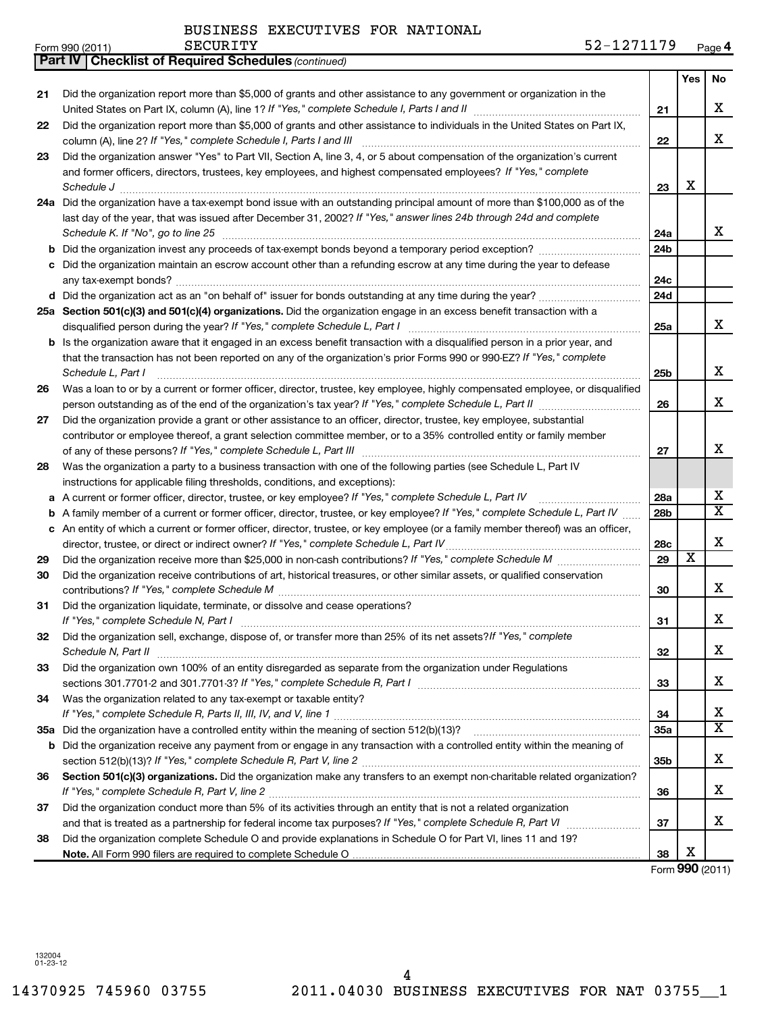| Form 990 (2011) | SECURITY | -<br>70.<br>$\overline{\phantom{a}}$<br>.<br>J 4<br>LZ.<br>--<br>-- | $P_{0.22}$<br>auc |
|-----------------|----------|---------------------------------------------------------------------|-------------------|
|-----------------|----------|---------------------------------------------------------------------|-------------------|

| Yes<br>Did the organization report more than \$5,000 of grants and other assistance to any government or organization in the<br>21<br>21<br>Did the organization report more than \$5,000 of grants and other assistance to individuals in the United States on Part IX,<br>22<br>column (A), line 2? If "Yes," complete Schedule I, Parts I and III<br>22<br>Did the organization answer "Yes" to Part VII, Section A, line 3, 4, or 5 about compensation of the organization's current<br>23<br>and former officers, directors, trustees, key employees, and highest compensated employees? If "Yes," complete<br>х<br>Schedule J <b>Execute Schedule J Execute Schedule J</b><br>23<br>24a Did the organization have a tax-exempt bond issue with an outstanding principal amount of more than \$100,000 as of the<br>last day of the year, that was issued after December 31, 2002? If "Yes," answer lines 24b through 24d and complete<br>Schedule K. If "No", go to line 25<br>24a<br>24b<br>b<br>Did the organization maintain an escrow account other than a refunding escrow at any time during the year to defease<br>24c<br>24d<br>25a Section 501(c)(3) and 501(c)(4) organizations. Did the organization engage in an excess benefit transaction with a<br>disqualified person during the year? If "Yes," complete Schedule L, Part I<br>25a<br><b>b</b> Is the organization aware that it engaged in an excess benefit transaction with a disqualified person in a prior year, and<br>that the transaction has not been reported on any of the organization's prior Forms 990 or 990-EZ? If "Yes," complete<br>х<br>Schedule L, Part I<br>25b<br>Was a loan to or by a current or former officer, director, trustee, key employee, highly compensated employee, or disqualified<br>26<br>26<br>Did the organization provide a grant or other assistance to an officer, director, trustee, key employee, substantial<br>27<br>contributor or employee thereof, a grant selection committee member, or to a 35% controlled entity or family member<br>x<br>27<br>Was the organization a party to a business transaction with one of the following parties (see Schedule L, Part IV<br>28<br>instructions for applicable filing thresholds, conditions, and exceptions):<br>х<br>A current or former officer, director, trustee, or key employee? If "Yes," complete Schedule L, Part IV<br>28a<br>а<br>A family member of a current or former officer, director, trustee, or key employee? If "Yes," complete Schedule L, Part IV<br>28b<br>b<br>An entity of which a current or former officer, director, trustee, or key employee (or a family member thereof) was an officer,<br>c<br>х<br>director, trustee, or direct or indirect owner? If "Yes," complete Schedule L, Part IV<br>28c<br>$\overline{\textbf{x}}$<br>29<br>29<br>Did the organization receive contributions of art, historical treasures, or other similar assets, or qualified conservation<br>30<br>x<br>30<br>Did the organization liquidate, terminate, or dissolve and cease operations?<br>31<br>x<br>31<br>Did the organization sell, exchange, dispose of, or transfer more than 25% of its net assets? If "Yes," complete<br>32<br>Schedule N, Part II<br>32<br>Did the organization own 100% of an entity disregarded as separate from the organization under Regulations<br>33<br>33<br>Was the organization related to any tax-exempt or taxable entity?<br>34<br>х<br>34<br>35a<br>Did the organization receive any payment from or engage in any transaction with a controlled entity within the meaning of<br>b<br>x<br>35b<br>Section 501(c)(3) organizations. Did the organization make any transfers to an exempt non-charitable related organization?<br>36<br>x<br>If "Yes," complete Schedule R, Part V, line 2<br>36<br>Did the organization conduct more than 5% of its activities through an entity that is not a related organization<br>37<br>37<br>Did the organization complete Schedule O and provide explanations in Schedule O for Part VI, lines 11 and 19?<br>38<br>х<br>38<br>Form 990 (2011) | <b>Part IV   Checklist of Required Schedules (continued)</b> |  |                         |
|------------------------------------------------------------------------------------------------------------------------------------------------------------------------------------------------------------------------------------------------------------------------------------------------------------------------------------------------------------------------------------------------------------------------------------------------------------------------------------------------------------------------------------------------------------------------------------------------------------------------------------------------------------------------------------------------------------------------------------------------------------------------------------------------------------------------------------------------------------------------------------------------------------------------------------------------------------------------------------------------------------------------------------------------------------------------------------------------------------------------------------------------------------------------------------------------------------------------------------------------------------------------------------------------------------------------------------------------------------------------------------------------------------------------------------------------------------------------------------------------------------------------------------------------------------------------------------------------------------------------------------------------------------------------------------------------------------------------------------------------------------------------------------------------------------------------------------------------------------------------------------------------------------------------------------------------------------------------------------------------------------------------------------------------------------------------------------------------------------------------------------------------------------------------------------------------------------------------------------------------------------------------------------------------------------------------------------------------------------------------------------------------------------------------------------------------------------------------------------------------------------------------------------------------------------------------------------------------------------------------------------------------------------------------------------------------------------------------------------------------------------------------------------------------------------------------------------------------------------------------------------------------------------------------------------------------------------------------------------------------------------------------------------------------------------------------------------------------------------------------------------------------------------------------------------------------------------------------------------------------------------------------------------------------------------------------------------------------------------------------------------------------------------------------------------------------------------------------------------------------------------------------------------------------------------------------------------------------------------------------------------------------------------------------------------------------------------------------------------------------------------------------------------------------------------------------------------------------------------------------------------------------------------------------------------------------------------------------------------------------------------------------------------------------------------------------------------------------------------------|--------------------------------------------------------------|--|-------------------------|
|                                                                                                                                                                                                                                                                                                                                                                                                                                                                                                                                                                                                                                                                                                                                                                                                                                                                                                                                                                                                                                                                                                                                                                                                                                                                                                                                                                                                                                                                                                                                                                                                                                                                                                                                                                                                                                                                                                                                                                                                                                                                                                                                                                                                                                                                                                                                                                                                                                                                                                                                                                                                                                                                                                                                                                                                                                                                                                                                                                                                                                                                                                                                                                                                                                                                                                                                                                                                                                                                                                                                                                                                                                                                                                                                                                                                                                                                                                                                                                                                                                                                                                                  |                                                              |  | No                      |
|                                                                                                                                                                                                                                                                                                                                                                                                                                                                                                                                                                                                                                                                                                                                                                                                                                                                                                                                                                                                                                                                                                                                                                                                                                                                                                                                                                                                                                                                                                                                                                                                                                                                                                                                                                                                                                                                                                                                                                                                                                                                                                                                                                                                                                                                                                                                                                                                                                                                                                                                                                                                                                                                                                                                                                                                                                                                                                                                                                                                                                                                                                                                                                                                                                                                                                                                                                                                                                                                                                                                                                                                                                                                                                                                                                                                                                                                                                                                                                                                                                                                                                                  |                                                              |  | x                       |
|                                                                                                                                                                                                                                                                                                                                                                                                                                                                                                                                                                                                                                                                                                                                                                                                                                                                                                                                                                                                                                                                                                                                                                                                                                                                                                                                                                                                                                                                                                                                                                                                                                                                                                                                                                                                                                                                                                                                                                                                                                                                                                                                                                                                                                                                                                                                                                                                                                                                                                                                                                                                                                                                                                                                                                                                                                                                                                                                                                                                                                                                                                                                                                                                                                                                                                                                                                                                                                                                                                                                                                                                                                                                                                                                                                                                                                                                                                                                                                                                                                                                                                                  |                                                              |  | x                       |
|                                                                                                                                                                                                                                                                                                                                                                                                                                                                                                                                                                                                                                                                                                                                                                                                                                                                                                                                                                                                                                                                                                                                                                                                                                                                                                                                                                                                                                                                                                                                                                                                                                                                                                                                                                                                                                                                                                                                                                                                                                                                                                                                                                                                                                                                                                                                                                                                                                                                                                                                                                                                                                                                                                                                                                                                                                                                                                                                                                                                                                                                                                                                                                                                                                                                                                                                                                                                                                                                                                                                                                                                                                                                                                                                                                                                                                                                                                                                                                                                                                                                                                                  |                                                              |  |                         |
|                                                                                                                                                                                                                                                                                                                                                                                                                                                                                                                                                                                                                                                                                                                                                                                                                                                                                                                                                                                                                                                                                                                                                                                                                                                                                                                                                                                                                                                                                                                                                                                                                                                                                                                                                                                                                                                                                                                                                                                                                                                                                                                                                                                                                                                                                                                                                                                                                                                                                                                                                                                                                                                                                                                                                                                                                                                                                                                                                                                                                                                                                                                                                                                                                                                                                                                                                                                                                                                                                                                                                                                                                                                                                                                                                                                                                                                                                                                                                                                                                                                                                                                  |                                                              |  |                         |
|                                                                                                                                                                                                                                                                                                                                                                                                                                                                                                                                                                                                                                                                                                                                                                                                                                                                                                                                                                                                                                                                                                                                                                                                                                                                                                                                                                                                                                                                                                                                                                                                                                                                                                                                                                                                                                                                                                                                                                                                                                                                                                                                                                                                                                                                                                                                                                                                                                                                                                                                                                                                                                                                                                                                                                                                                                                                                                                                                                                                                                                                                                                                                                                                                                                                                                                                                                                                                                                                                                                                                                                                                                                                                                                                                                                                                                                                                                                                                                                                                                                                                                                  |                                                              |  | x                       |
|                                                                                                                                                                                                                                                                                                                                                                                                                                                                                                                                                                                                                                                                                                                                                                                                                                                                                                                                                                                                                                                                                                                                                                                                                                                                                                                                                                                                                                                                                                                                                                                                                                                                                                                                                                                                                                                                                                                                                                                                                                                                                                                                                                                                                                                                                                                                                                                                                                                                                                                                                                                                                                                                                                                                                                                                                                                                                                                                                                                                                                                                                                                                                                                                                                                                                                                                                                                                                                                                                                                                                                                                                                                                                                                                                                                                                                                                                                                                                                                                                                                                                                                  |                                                              |  |                         |
|                                                                                                                                                                                                                                                                                                                                                                                                                                                                                                                                                                                                                                                                                                                                                                                                                                                                                                                                                                                                                                                                                                                                                                                                                                                                                                                                                                                                                                                                                                                                                                                                                                                                                                                                                                                                                                                                                                                                                                                                                                                                                                                                                                                                                                                                                                                                                                                                                                                                                                                                                                                                                                                                                                                                                                                                                                                                                                                                                                                                                                                                                                                                                                                                                                                                                                                                                                                                                                                                                                                                                                                                                                                                                                                                                                                                                                                                                                                                                                                                                                                                                                                  |                                                              |  |                         |
|                                                                                                                                                                                                                                                                                                                                                                                                                                                                                                                                                                                                                                                                                                                                                                                                                                                                                                                                                                                                                                                                                                                                                                                                                                                                                                                                                                                                                                                                                                                                                                                                                                                                                                                                                                                                                                                                                                                                                                                                                                                                                                                                                                                                                                                                                                                                                                                                                                                                                                                                                                                                                                                                                                                                                                                                                                                                                                                                                                                                                                                                                                                                                                                                                                                                                                                                                                                                                                                                                                                                                                                                                                                                                                                                                                                                                                                                                                                                                                                                                                                                                                                  |                                                              |  |                         |
|                                                                                                                                                                                                                                                                                                                                                                                                                                                                                                                                                                                                                                                                                                                                                                                                                                                                                                                                                                                                                                                                                                                                                                                                                                                                                                                                                                                                                                                                                                                                                                                                                                                                                                                                                                                                                                                                                                                                                                                                                                                                                                                                                                                                                                                                                                                                                                                                                                                                                                                                                                                                                                                                                                                                                                                                                                                                                                                                                                                                                                                                                                                                                                                                                                                                                                                                                                                                                                                                                                                                                                                                                                                                                                                                                                                                                                                                                                                                                                                                                                                                                                                  |                                                              |  | X                       |
|                                                                                                                                                                                                                                                                                                                                                                                                                                                                                                                                                                                                                                                                                                                                                                                                                                                                                                                                                                                                                                                                                                                                                                                                                                                                                                                                                                                                                                                                                                                                                                                                                                                                                                                                                                                                                                                                                                                                                                                                                                                                                                                                                                                                                                                                                                                                                                                                                                                                                                                                                                                                                                                                                                                                                                                                                                                                                                                                                                                                                                                                                                                                                                                                                                                                                                                                                                                                                                                                                                                                                                                                                                                                                                                                                                                                                                                                                                                                                                                                                                                                                                                  |                                                              |  |                         |
|                                                                                                                                                                                                                                                                                                                                                                                                                                                                                                                                                                                                                                                                                                                                                                                                                                                                                                                                                                                                                                                                                                                                                                                                                                                                                                                                                                                                                                                                                                                                                                                                                                                                                                                                                                                                                                                                                                                                                                                                                                                                                                                                                                                                                                                                                                                                                                                                                                                                                                                                                                                                                                                                                                                                                                                                                                                                                                                                                                                                                                                                                                                                                                                                                                                                                                                                                                                                                                                                                                                                                                                                                                                                                                                                                                                                                                                                                                                                                                                                                                                                                                                  |                                                              |  |                         |
|                                                                                                                                                                                                                                                                                                                                                                                                                                                                                                                                                                                                                                                                                                                                                                                                                                                                                                                                                                                                                                                                                                                                                                                                                                                                                                                                                                                                                                                                                                                                                                                                                                                                                                                                                                                                                                                                                                                                                                                                                                                                                                                                                                                                                                                                                                                                                                                                                                                                                                                                                                                                                                                                                                                                                                                                                                                                                                                                                                                                                                                                                                                                                                                                                                                                                                                                                                                                                                                                                                                                                                                                                                                                                                                                                                                                                                                                                                                                                                                                                                                                                                                  |                                                              |  | X                       |
|                                                                                                                                                                                                                                                                                                                                                                                                                                                                                                                                                                                                                                                                                                                                                                                                                                                                                                                                                                                                                                                                                                                                                                                                                                                                                                                                                                                                                                                                                                                                                                                                                                                                                                                                                                                                                                                                                                                                                                                                                                                                                                                                                                                                                                                                                                                                                                                                                                                                                                                                                                                                                                                                                                                                                                                                                                                                                                                                                                                                                                                                                                                                                                                                                                                                                                                                                                                                                                                                                                                                                                                                                                                                                                                                                                                                                                                                                                                                                                                                                                                                                                                  |                                                              |  |                         |
|                                                                                                                                                                                                                                                                                                                                                                                                                                                                                                                                                                                                                                                                                                                                                                                                                                                                                                                                                                                                                                                                                                                                                                                                                                                                                                                                                                                                                                                                                                                                                                                                                                                                                                                                                                                                                                                                                                                                                                                                                                                                                                                                                                                                                                                                                                                                                                                                                                                                                                                                                                                                                                                                                                                                                                                                                                                                                                                                                                                                                                                                                                                                                                                                                                                                                                                                                                                                                                                                                                                                                                                                                                                                                                                                                                                                                                                                                                                                                                                                                                                                                                                  |                                                              |  |                         |
|                                                                                                                                                                                                                                                                                                                                                                                                                                                                                                                                                                                                                                                                                                                                                                                                                                                                                                                                                                                                                                                                                                                                                                                                                                                                                                                                                                                                                                                                                                                                                                                                                                                                                                                                                                                                                                                                                                                                                                                                                                                                                                                                                                                                                                                                                                                                                                                                                                                                                                                                                                                                                                                                                                                                                                                                                                                                                                                                                                                                                                                                                                                                                                                                                                                                                                                                                                                                                                                                                                                                                                                                                                                                                                                                                                                                                                                                                                                                                                                                                                                                                                                  |                                                              |  |                         |
|                                                                                                                                                                                                                                                                                                                                                                                                                                                                                                                                                                                                                                                                                                                                                                                                                                                                                                                                                                                                                                                                                                                                                                                                                                                                                                                                                                                                                                                                                                                                                                                                                                                                                                                                                                                                                                                                                                                                                                                                                                                                                                                                                                                                                                                                                                                                                                                                                                                                                                                                                                                                                                                                                                                                                                                                                                                                                                                                                                                                                                                                                                                                                                                                                                                                                                                                                                                                                                                                                                                                                                                                                                                                                                                                                                                                                                                                                                                                                                                                                                                                                                                  |                                                              |  |                         |
|                                                                                                                                                                                                                                                                                                                                                                                                                                                                                                                                                                                                                                                                                                                                                                                                                                                                                                                                                                                                                                                                                                                                                                                                                                                                                                                                                                                                                                                                                                                                                                                                                                                                                                                                                                                                                                                                                                                                                                                                                                                                                                                                                                                                                                                                                                                                                                                                                                                                                                                                                                                                                                                                                                                                                                                                                                                                                                                                                                                                                                                                                                                                                                                                                                                                                                                                                                                                                                                                                                                                                                                                                                                                                                                                                                                                                                                                                                                                                                                                                                                                                                                  |                                                              |  | $\overline{\mathtt{x}}$ |
|                                                                                                                                                                                                                                                                                                                                                                                                                                                                                                                                                                                                                                                                                                                                                                                                                                                                                                                                                                                                                                                                                                                                                                                                                                                                                                                                                                                                                                                                                                                                                                                                                                                                                                                                                                                                                                                                                                                                                                                                                                                                                                                                                                                                                                                                                                                                                                                                                                                                                                                                                                                                                                                                                                                                                                                                                                                                                                                                                                                                                                                                                                                                                                                                                                                                                                                                                                                                                                                                                                                                                                                                                                                                                                                                                                                                                                                                                                                                                                                                                                                                                                                  |                                                              |  |                         |
|                                                                                                                                                                                                                                                                                                                                                                                                                                                                                                                                                                                                                                                                                                                                                                                                                                                                                                                                                                                                                                                                                                                                                                                                                                                                                                                                                                                                                                                                                                                                                                                                                                                                                                                                                                                                                                                                                                                                                                                                                                                                                                                                                                                                                                                                                                                                                                                                                                                                                                                                                                                                                                                                                                                                                                                                                                                                                                                                                                                                                                                                                                                                                                                                                                                                                                                                                                                                                                                                                                                                                                                                                                                                                                                                                                                                                                                                                                                                                                                                                                                                                                                  |                                                              |  |                         |
|                                                                                                                                                                                                                                                                                                                                                                                                                                                                                                                                                                                                                                                                                                                                                                                                                                                                                                                                                                                                                                                                                                                                                                                                                                                                                                                                                                                                                                                                                                                                                                                                                                                                                                                                                                                                                                                                                                                                                                                                                                                                                                                                                                                                                                                                                                                                                                                                                                                                                                                                                                                                                                                                                                                                                                                                                                                                                                                                                                                                                                                                                                                                                                                                                                                                                                                                                                                                                                                                                                                                                                                                                                                                                                                                                                                                                                                                                                                                                                                                                                                                                                                  |                                                              |  |                         |
|                                                                                                                                                                                                                                                                                                                                                                                                                                                                                                                                                                                                                                                                                                                                                                                                                                                                                                                                                                                                                                                                                                                                                                                                                                                                                                                                                                                                                                                                                                                                                                                                                                                                                                                                                                                                                                                                                                                                                                                                                                                                                                                                                                                                                                                                                                                                                                                                                                                                                                                                                                                                                                                                                                                                                                                                                                                                                                                                                                                                                                                                                                                                                                                                                                                                                                                                                                                                                                                                                                                                                                                                                                                                                                                                                                                                                                                                                                                                                                                                                                                                                                                  |                                                              |  |                         |
|                                                                                                                                                                                                                                                                                                                                                                                                                                                                                                                                                                                                                                                                                                                                                                                                                                                                                                                                                                                                                                                                                                                                                                                                                                                                                                                                                                                                                                                                                                                                                                                                                                                                                                                                                                                                                                                                                                                                                                                                                                                                                                                                                                                                                                                                                                                                                                                                                                                                                                                                                                                                                                                                                                                                                                                                                                                                                                                                                                                                                                                                                                                                                                                                                                                                                                                                                                                                                                                                                                                                                                                                                                                                                                                                                                                                                                                                                                                                                                                                                                                                                                                  |                                                              |  | х                       |
|                                                                                                                                                                                                                                                                                                                                                                                                                                                                                                                                                                                                                                                                                                                                                                                                                                                                                                                                                                                                                                                                                                                                                                                                                                                                                                                                                                                                                                                                                                                                                                                                                                                                                                                                                                                                                                                                                                                                                                                                                                                                                                                                                                                                                                                                                                                                                                                                                                                                                                                                                                                                                                                                                                                                                                                                                                                                                                                                                                                                                                                                                                                                                                                                                                                                                                                                                                                                                                                                                                                                                                                                                                                                                                                                                                                                                                                                                                                                                                                                                                                                                                                  |                                                              |  | x                       |
|                                                                                                                                                                                                                                                                                                                                                                                                                                                                                                                                                                                                                                                                                                                                                                                                                                                                                                                                                                                                                                                                                                                                                                                                                                                                                                                                                                                                                                                                                                                                                                                                                                                                                                                                                                                                                                                                                                                                                                                                                                                                                                                                                                                                                                                                                                                                                                                                                                                                                                                                                                                                                                                                                                                                                                                                                                                                                                                                                                                                                                                                                                                                                                                                                                                                                                                                                                                                                                                                                                                                                                                                                                                                                                                                                                                                                                                                                                                                                                                                                                                                                                                  |                                                              |  |                         |
|                                                                                                                                                                                                                                                                                                                                                                                                                                                                                                                                                                                                                                                                                                                                                                                                                                                                                                                                                                                                                                                                                                                                                                                                                                                                                                                                                                                                                                                                                                                                                                                                                                                                                                                                                                                                                                                                                                                                                                                                                                                                                                                                                                                                                                                                                                                                                                                                                                                                                                                                                                                                                                                                                                                                                                                                                                                                                                                                                                                                                                                                                                                                                                                                                                                                                                                                                                                                                                                                                                                                                                                                                                                                                                                                                                                                                                                                                                                                                                                                                                                                                                                  |                                                              |  | $\overline{\mathtt{x}}$ |
|                                                                                                                                                                                                                                                                                                                                                                                                                                                                                                                                                                                                                                                                                                                                                                                                                                                                                                                                                                                                                                                                                                                                                                                                                                                                                                                                                                                                                                                                                                                                                                                                                                                                                                                                                                                                                                                                                                                                                                                                                                                                                                                                                                                                                                                                                                                                                                                                                                                                                                                                                                                                                                                                                                                                                                                                                                                                                                                                                                                                                                                                                                                                                                                                                                                                                                                                                                                                                                                                                                                                                                                                                                                                                                                                                                                                                                                                                                                                                                                                                                                                                                                  |                                                              |  |                         |
|                                                                                                                                                                                                                                                                                                                                                                                                                                                                                                                                                                                                                                                                                                                                                                                                                                                                                                                                                                                                                                                                                                                                                                                                                                                                                                                                                                                                                                                                                                                                                                                                                                                                                                                                                                                                                                                                                                                                                                                                                                                                                                                                                                                                                                                                                                                                                                                                                                                                                                                                                                                                                                                                                                                                                                                                                                                                                                                                                                                                                                                                                                                                                                                                                                                                                                                                                                                                                                                                                                                                                                                                                                                                                                                                                                                                                                                                                                                                                                                                                                                                                                                  |                                                              |  |                         |
|                                                                                                                                                                                                                                                                                                                                                                                                                                                                                                                                                                                                                                                                                                                                                                                                                                                                                                                                                                                                                                                                                                                                                                                                                                                                                                                                                                                                                                                                                                                                                                                                                                                                                                                                                                                                                                                                                                                                                                                                                                                                                                                                                                                                                                                                                                                                                                                                                                                                                                                                                                                                                                                                                                                                                                                                                                                                                                                                                                                                                                                                                                                                                                                                                                                                                                                                                                                                                                                                                                                                                                                                                                                                                                                                                                                                                                                                                                                                                                                                                                                                                                                  |                                                              |  |                         |
|                                                                                                                                                                                                                                                                                                                                                                                                                                                                                                                                                                                                                                                                                                                                                                                                                                                                                                                                                                                                                                                                                                                                                                                                                                                                                                                                                                                                                                                                                                                                                                                                                                                                                                                                                                                                                                                                                                                                                                                                                                                                                                                                                                                                                                                                                                                                                                                                                                                                                                                                                                                                                                                                                                                                                                                                                                                                                                                                                                                                                                                                                                                                                                                                                                                                                                                                                                                                                                                                                                                                                                                                                                                                                                                                                                                                                                                                                                                                                                                                                                                                                                                  |                                                              |  | x                       |
|                                                                                                                                                                                                                                                                                                                                                                                                                                                                                                                                                                                                                                                                                                                                                                                                                                                                                                                                                                                                                                                                                                                                                                                                                                                                                                                                                                                                                                                                                                                                                                                                                                                                                                                                                                                                                                                                                                                                                                                                                                                                                                                                                                                                                                                                                                                                                                                                                                                                                                                                                                                                                                                                                                                                                                                                                                                                                                                                                                                                                                                                                                                                                                                                                                                                                                                                                                                                                                                                                                                                                                                                                                                                                                                                                                                                                                                                                                                                                                                                                                                                                                                  |                                                              |  |                         |
|                                                                                                                                                                                                                                                                                                                                                                                                                                                                                                                                                                                                                                                                                                                                                                                                                                                                                                                                                                                                                                                                                                                                                                                                                                                                                                                                                                                                                                                                                                                                                                                                                                                                                                                                                                                                                                                                                                                                                                                                                                                                                                                                                                                                                                                                                                                                                                                                                                                                                                                                                                                                                                                                                                                                                                                                                                                                                                                                                                                                                                                                                                                                                                                                                                                                                                                                                                                                                                                                                                                                                                                                                                                                                                                                                                                                                                                                                                                                                                                                                                                                                                                  |                                                              |  |                         |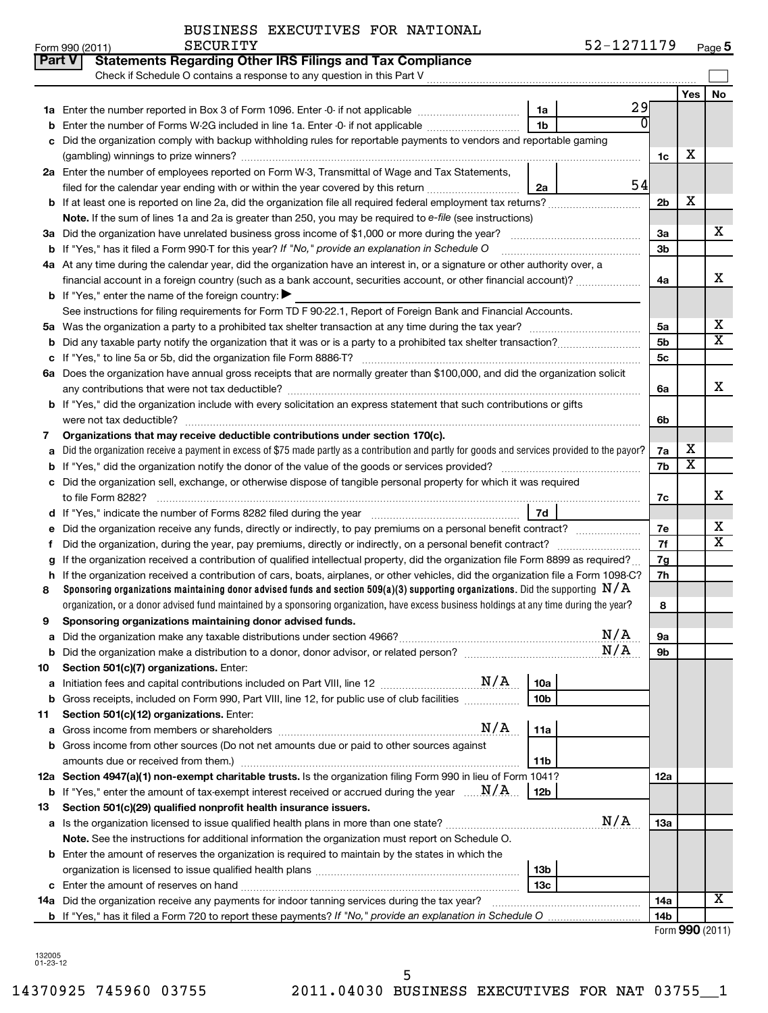| BUSINESS EXECUTIVES FOR NATIONAL |  |
|----------------------------------|--|
|----------------------------------|--|

| No<br>Yes<br>29<br>1a<br>1 <sub>b</sub><br>Enter the number of Forms W-2G included in line 1a. Enter -0- if not applicable<br>Did the organization comply with backup withholding rules for reportable payments to vendors and reportable gaming<br>c<br>х<br>1c<br>2a Enter the number of employees reported on Form W-3, Transmittal of Wage and Tax Statements,<br>54<br>filed for the calendar year ending with or within the year covered by this return<br>2a<br>х<br><b>b</b> If at least one is reported on line 2a, did the organization file all required federal employment tax returns?<br>2 <sub>b</sub><br>Note. If the sum of lines 1a and 2a is greater than 250, you may be required to e-file (see instructions)<br>x<br>За<br><b>b</b> If "Yes," has it filed a Form 990-T for this year? If "No," provide an explanation in Schedule O<br>3b<br>4a At any time during the calendar year, did the organization have an interest in, or a signature or other authority over, a<br>x<br>financial account in a foreign country (such as a bank account, securities account, or other financial account)?<br>4a<br><b>b</b> If "Yes," enter the name of the foreign country:<br>See instructions for filing requirements for Form TD F 90-22.1, Report of Foreign Bank and Financial Accounts.<br>х<br>5a<br>5a<br>$\overline{\texttt{x}}$<br>5 <sub>b</sub><br>b<br>5c<br>6a Does the organization have annual gross receipts that are normally greater than \$100,000, and did the organization solicit<br>x<br>6a<br><b>b</b> If "Yes," did the organization include with every solicitation an express statement that such contributions or gifts<br>6b<br>Organizations that may receive deductible contributions under section 170(c).<br>7<br>х<br>Did the organization receive a payment in excess of \$75 made partly as a contribution and partly for goods and services provided to the payor?<br>7a<br>a<br>$\overline{\textbf{x}}$<br>7b<br>Did the organization sell, exchange, or otherwise dispose of tangible personal property for which it was required<br>с<br>x<br>7c<br>7d<br>х<br>Did the organization receive any funds, directly or indirectly, to pay premiums on a personal benefit contract?<br>7е<br>$\overline{\textbf{x}}$<br>7f<br>Did the organization, during the year, pay premiums, directly or indirectly, on a personal benefit contract?<br>f<br>If the organization received a contribution of qualified intellectual property, did the organization file Form 8899 as required?<br>7g<br>If the organization received a contribution of cars, boats, airplanes, or other vehicles, did the organization file a Form 1098-C?<br>7h<br>h<br>Sponsoring organizations maintaining donor advised funds and section 509(a)(3) supporting organizations. Did the supporting $N/A$<br>8<br>organization, or a donor advised fund maintained by a sponsoring organization, have excess business holdings at any time during the year?<br>8<br>Sponsoring organizations maintaining donor advised funds.<br>9<br>N/A<br>эа<br>N/A<br>9b<br>Section 501(c)(7) organizations. Enter:<br>10a<br>а<br>10 <sub>b</sub><br><b>b</b> Gross receipts, included on Form 990, Part VIII, line 12, for public use of club facilities <i>manumum</i><br>Section 501(c)(12) organizations. Enter:<br>N/A<br>11a<br>а<br><b>b</b> Gross income from other sources (Do not net amounts due or paid to other sources against<br>11b<br>amounts due or received from them.)<br>12a Section 4947(a)(1) non-exempt charitable trusts. Is the organization filing Form 990 in lieu of Form 1041?<br>12a<br><b>b</b> If "Yes," enter the amount of tax-exempt interest received or accrued during the year $\ldots \mathbf{N}/\mathbf{A}$ .<br>12b<br>Section 501(c)(29) qualified nonprofit health insurance issuers.<br>13<br>N/A<br>13a<br>Note. See the instructions for additional information the organization must report on Schedule O.<br><b>b</b> Enter the amount of reserves the organization is required to maintain by the states in which the<br>13b<br>13 <sub>c</sub><br>X<br>14a Did the organization receive any payments for indoor tanning services during the tax year?<br>14a<br><b>b</b> If "Yes," has it filed a Form 720 to report these payments? If "No," provide an explanation in Schedule O<br>14b |    | <b>Part V</b><br><b>Statements Regarding Other IRS Filings and Tax Compliance</b><br>Check if Schedule O contains a response to any question in this Part V |  |  |
|--------------------------------------------------------------------------------------------------------------------------------------------------------------------------------------------------------------------------------------------------------------------------------------------------------------------------------------------------------------------------------------------------------------------------------------------------------------------------------------------------------------------------------------------------------------------------------------------------------------------------------------------------------------------------------------------------------------------------------------------------------------------------------------------------------------------------------------------------------------------------------------------------------------------------------------------------------------------------------------------------------------------------------------------------------------------------------------------------------------------------------------------------------------------------------------------------------------------------------------------------------------------------------------------------------------------------------------------------------------------------------------------------------------------------------------------------------------------------------------------------------------------------------------------------------------------------------------------------------------------------------------------------------------------------------------------------------------------------------------------------------------------------------------------------------------------------------------------------------------------------------------------------------------------------------------------------------------------------------------------------------------------------------------------------------------------------------------------------------------------------------------------------------------------------------------------------------------------------------------------------------------------------------------------------------------------------------------------------------------------------------------------------------------------------------------------------------------------------------------------------------------------------------------------------------------------------------------------------------------------------------------------------------------------------------------------------------------------------------------------------------------------------------------------------------------------------------------------------------------------------------------------------------------------------------------------------------------------------------------------------------------------------------------------------------------------------------------------------------------------------------------------------------------------------------------------------------------------------------------------------------------------------------------------------------------------------------------------------------------------------------------------------------------------------------------------------------------------------------------------------------------------------------------------------------------------------------------------------------------------------------------------------------------------------------------------------------------------------------------------------------------------------------------------------------------------------------------------------------------------------------------------------------------------------------------------------------------------------------------------------------------------------------------------------------------------------------------------------------------------------------------------------------------------------------------------------------------------------------------------------------------------------------------------------------------------------------------------------------------|----|-------------------------------------------------------------------------------------------------------------------------------------------------------------|--|--|
|                                                                                                                                                                                                                                                                                                                                                                                                                                                                                                                                                                                                                                                                                                                                                                                                                                                                                                                                                                                                                                                                                                                                                                                                                                                                                                                                                                                                                                                                                                                                                                                                                                                                                                                                                                                                                                                                                                                                                                                                                                                                                                                                                                                                                                                                                                                                                                                                                                                                                                                                                                                                                                                                                                                                                                                                                                                                                                                                                                                                                                                                                                                                                                                                                                                                                                                                                                                                                                                                                                                                                                                                                                                                                                                                                                                                                                                                                                                                                                                                                                                                                                                                                                                                                                                                                                                                                              |    |                                                                                                                                                             |  |  |
|                                                                                                                                                                                                                                                                                                                                                                                                                                                                                                                                                                                                                                                                                                                                                                                                                                                                                                                                                                                                                                                                                                                                                                                                                                                                                                                                                                                                                                                                                                                                                                                                                                                                                                                                                                                                                                                                                                                                                                                                                                                                                                                                                                                                                                                                                                                                                                                                                                                                                                                                                                                                                                                                                                                                                                                                                                                                                                                                                                                                                                                                                                                                                                                                                                                                                                                                                                                                                                                                                                                                                                                                                                                                                                                                                                                                                                                                                                                                                                                                                                                                                                                                                                                                                                                                                                                                                              |    |                                                                                                                                                             |  |  |
|                                                                                                                                                                                                                                                                                                                                                                                                                                                                                                                                                                                                                                                                                                                                                                                                                                                                                                                                                                                                                                                                                                                                                                                                                                                                                                                                                                                                                                                                                                                                                                                                                                                                                                                                                                                                                                                                                                                                                                                                                                                                                                                                                                                                                                                                                                                                                                                                                                                                                                                                                                                                                                                                                                                                                                                                                                                                                                                                                                                                                                                                                                                                                                                                                                                                                                                                                                                                                                                                                                                                                                                                                                                                                                                                                                                                                                                                                                                                                                                                                                                                                                                                                                                                                                                                                                                                                              |    |                                                                                                                                                             |  |  |
|                                                                                                                                                                                                                                                                                                                                                                                                                                                                                                                                                                                                                                                                                                                                                                                                                                                                                                                                                                                                                                                                                                                                                                                                                                                                                                                                                                                                                                                                                                                                                                                                                                                                                                                                                                                                                                                                                                                                                                                                                                                                                                                                                                                                                                                                                                                                                                                                                                                                                                                                                                                                                                                                                                                                                                                                                                                                                                                                                                                                                                                                                                                                                                                                                                                                                                                                                                                                                                                                                                                                                                                                                                                                                                                                                                                                                                                                                                                                                                                                                                                                                                                                                                                                                                                                                                                                                              |    |                                                                                                                                                             |  |  |
|                                                                                                                                                                                                                                                                                                                                                                                                                                                                                                                                                                                                                                                                                                                                                                                                                                                                                                                                                                                                                                                                                                                                                                                                                                                                                                                                                                                                                                                                                                                                                                                                                                                                                                                                                                                                                                                                                                                                                                                                                                                                                                                                                                                                                                                                                                                                                                                                                                                                                                                                                                                                                                                                                                                                                                                                                                                                                                                                                                                                                                                                                                                                                                                                                                                                                                                                                                                                                                                                                                                                                                                                                                                                                                                                                                                                                                                                                                                                                                                                                                                                                                                                                                                                                                                                                                                                                              |    |                                                                                                                                                             |  |  |
|                                                                                                                                                                                                                                                                                                                                                                                                                                                                                                                                                                                                                                                                                                                                                                                                                                                                                                                                                                                                                                                                                                                                                                                                                                                                                                                                                                                                                                                                                                                                                                                                                                                                                                                                                                                                                                                                                                                                                                                                                                                                                                                                                                                                                                                                                                                                                                                                                                                                                                                                                                                                                                                                                                                                                                                                                                                                                                                                                                                                                                                                                                                                                                                                                                                                                                                                                                                                                                                                                                                                                                                                                                                                                                                                                                                                                                                                                                                                                                                                                                                                                                                                                                                                                                                                                                                                                              |    |                                                                                                                                                             |  |  |
|                                                                                                                                                                                                                                                                                                                                                                                                                                                                                                                                                                                                                                                                                                                                                                                                                                                                                                                                                                                                                                                                                                                                                                                                                                                                                                                                                                                                                                                                                                                                                                                                                                                                                                                                                                                                                                                                                                                                                                                                                                                                                                                                                                                                                                                                                                                                                                                                                                                                                                                                                                                                                                                                                                                                                                                                                                                                                                                                                                                                                                                                                                                                                                                                                                                                                                                                                                                                                                                                                                                                                                                                                                                                                                                                                                                                                                                                                                                                                                                                                                                                                                                                                                                                                                                                                                                                                              |    |                                                                                                                                                             |  |  |
|                                                                                                                                                                                                                                                                                                                                                                                                                                                                                                                                                                                                                                                                                                                                                                                                                                                                                                                                                                                                                                                                                                                                                                                                                                                                                                                                                                                                                                                                                                                                                                                                                                                                                                                                                                                                                                                                                                                                                                                                                                                                                                                                                                                                                                                                                                                                                                                                                                                                                                                                                                                                                                                                                                                                                                                                                                                                                                                                                                                                                                                                                                                                                                                                                                                                                                                                                                                                                                                                                                                                                                                                                                                                                                                                                                                                                                                                                                                                                                                                                                                                                                                                                                                                                                                                                                                                                              |    |                                                                                                                                                             |  |  |
|                                                                                                                                                                                                                                                                                                                                                                                                                                                                                                                                                                                                                                                                                                                                                                                                                                                                                                                                                                                                                                                                                                                                                                                                                                                                                                                                                                                                                                                                                                                                                                                                                                                                                                                                                                                                                                                                                                                                                                                                                                                                                                                                                                                                                                                                                                                                                                                                                                                                                                                                                                                                                                                                                                                                                                                                                                                                                                                                                                                                                                                                                                                                                                                                                                                                                                                                                                                                                                                                                                                                                                                                                                                                                                                                                                                                                                                                                                                                                                                                                                                                                                                                                                                                                                                                                                                                                              |    |                                                                                                                                                             |  |  |
|                                                                                                                                                                                                                                                                                                                                                                                                                                                                                                                                                                                                                                                                                                                                                                                                                                                                                                                                                                                                                                                                                                                                                                                                                                                                                                                                                                                                                                                                                                                                                                                                                                                                                                                                                                                                                                                                                                                                                                                                                                                                                                                                                                                                                                                                                                                                                                                                                                                                                                                                                                                                                                                                                                                                                                                                                                                                                                                                                                                                                                                                                                                                                                                                                                                                                                                                                                                                                                                                                                                                                                                                                                                                                                                                                                                                                                                                                                                                                                                                                                                                                                                                                                                                                                                                                                                                                              |    |                                                                                                                                                             |  |  |
|                                                                                                                                                                                                                                                                                                                                                                                                                                                                                                                                                                                                                                                                                                                                                                                                                                                                                                                                                                                                                                                                                                                                                                                                                                                                                                                                                                                                                                                                                                                                                                                                                                                                                                                                                                                                                                                                                                                                                                                                                                                                                                                                                                                                                                                                                                                                                                                                                                                                                                                                                                                                                                                                                                                                                                                                                                                                                                                                                                                                                                                                                                                                                                                                                                                                                                                                                                                                                                                                                                                                                                                                                                                                                                                                                                                                                                                                                                                                                                                                                                                                                                                                                                                                                                                                                                                                                              |    |                                                                                                                                                             |  |  |
|                                                                                                                                                                                                                                                                                                                                                                                                                                                                                                                                                                                                                                                                                                                                                                                                                                                                                                                                                                                                                                                                                                                                                                                                                                                                                                                                                                                                                                                                                                                                                                                                                                                                                                                                                                                                                                                                                                                                                                                                                                                                                                                                                                                                                                                                                                                                                                                                                                                                                                                                                                                                                                                                                                                                                                                                                                                                                                                                                                                                                                                                                                                                                                                                                                                                                                                                                                                                                                                                                                                                                                                                                                                                                                                                                                                                                                                                                                                                                                                                                                                                                                                                                                                                                                                                                                                                                              |    |                                                                                                                                                             |  |  |
|                                                                                                                                                                                                                                                                                                                                                                                                                                                                                                                                                                                                                                                                                                                                                                                                                                                                                                                                                                                                                                                                                                                                                                                                                                                                                                                                                                                                                                                                                                                                                                                                                                                                                                                                                                                                                                                                                                                                                                                                                                                                                                                                                                                                                                                                                                                                                                                                                                                                                                                                                                                                                                                                                                                                                                                                                                                                                                                                                                                                                                                                                                                                                                                                                                                                                                                                                                                                                                                                                                                                                                                                                                                                                                                                                                                                                                                                                                                                                                                                                                                                                                                                                                                                                                                                                                                                                              |    |                                                                                                                                                             |  |  |
|                                                                                                                                                                                                                                                                                                                                                                                                                                                                                                                                                                                                                                                                                                                                                                                                                                                                                                                                                                                                                                                                                                                                                                                                                                                                                                                                                                                                                                                                                                                                                                                                                                                                                                                                                                                                                                                                                                                                                                                                                                                                                                                                                                                                                                                                                                                                                                                                                                                                                                                                                                                                                                                                                                                                                                                                                                                                                                                                                                                                                                                                                                                                                                                                                                                                                                                                                                                                                                                                                                                                                                                                                                                                                                                                                                                                                                                                                                                                                                                                                                                                                                                                                                                                                                                                                                                                                              |    |                                                                                                                                                             |  |  |
|                                                                                                                                                                                                                                                                                                                                                                                                                                                                                                                                                                                                                                                                                                                                                                                                                                                                                                                                                                                                                                                                                                                                                                                                                                                                                                                                                                                                                                                                                                                                                                                                                                                                                                                                                                                                                                                                                                                                                                                                                                                                                                                                                                                                                                                                                                                                                                                                                                                                                                                                                                                                                                                                                                                                                                                                                                                                                                                                                                                                                                                                                                                                                                                                                                                                                                                                                                                                                                                                                                                                                                                                                                                                                                                                                                                                                                                                                                                                                                                                                                                                                                                                                                                                                                                                                                                                                              |    |                                                                                                                                                             |  |  |
|                                                                                                                                                                                                                                                                                                                                                                                                                                                                                                                                                                                                                                                                                                                                                                                                                                                                                                                                                                                                                                                                                                                                                                                                                                                                                                                                                                                                                                                                                                                                                                                                                                                                                                                                                                                                                                                                                                                                                                                                                                                                                                                                                                                                                                                                                                                                                                                                                                                                                                                                                                                                                                                                                                                                                                                                                                                                                                                                                                                                                                                                                                                                                                                                                                                                                                                                                                                                                                                                                                                                                                                                                                                                                                                                                                                                                                                                                                                                                                                                                                                                                                                                                                                                                                                                                                                                                              |    |                                                                                                                                                             |  |  |
|                                                                                                                                                                                                                                                                                                                                                                                                                                                                                                                                                                                                                                                                                                                                                                                                                                                                                                                                                                                                                                                                                                                                                                                                                                                                                                                                                                                                                                                                                                                                                                                                                                                                                                                                                                                                                                                                                                                                                                                                                                                                                                                                                                                                                                                                                                                                                                                                                                                                                                                                                                                                                                                                                                                                                                                                                                                                                                                                                                                                                                                                                                                                                                                                                                                                                                                                                                                                                                                                                                                                                                                                                                                                                                                                                                                                                                                                                                                                                                                                                                                                                                                                                                                                                                                                                                                                                              |    |                                                                                                                                                             |  |  |
|                                                                                                                                                                                                                                                                                                                                                                                                                                                                                                                                                                                                                                                                                                                                                                                                                                                                                                                                                                                                                                                                                                                                                                                                                                                                                                                                                                                                                                                                                                                                                                                                                                                                                                                                                                                                                                                                                                                                                                                                                                                                                                                                                                                                                                                                                                                                                                                                                                                                                                                                                                                                                                                                                                                                                                                                                                                                                                                                                                                                                                                                                                                                                                                                                                                                                                                                                                                                                                                                                                                                                                                                                                                                                                                                                                                                                                                                                                                                                                                                                                                                                                                                                                                                                                                                                                                                                              |    |                                                                                                                                                             |  |  |
|                                                                                                                                                                                                                                                                                                                                                                                                                                                                                                                                                                                                                                                                                                                                                                                                                                                                                                                                                                                                                                                                                                                                                                                                                                                                                                                                                                                                                                                                                                                                                                                                                                                                                                                                                                                                                                                                                                                                                                                                                                                                                                                                                                                                                                                                                                                                                                                                                                                                                                                                                                                                                                                                                                                                                                                                                                                                                                                                                                                                                                                                                                                                                                                                                                                                                                                                                                                                                                                                                                                                                                                                                                                                                                                                                                                                                                                                                                                                                                                                                                                                                                                                                                                                                                                                                                                                                              |    |                                                                                                                                                             |  |  |
|                                                                                                                                                                                                                                                                                                                                                                                                                                                                                                                                                                                                                                                                                                                                                                                                                                                                                                                                                                                                                                                                                                                                                                                                                                                                                                                                                                                                                                                                                                                                                                                                                                                                                                                                                                                                                                                                                                                                                                                                                                                                                                                                                                                                                                                                                                                                                                                                                                                                                                                                                                                                                                                                                                                                                                                                                                                                                                                                                                                                                                                                                                                                                                                                                                                                                                                                                                                                                                                                                                                                                                                                                                                                                                                                                                                                                                                                                                                                                                                                                                                                                                                                                                                                                                                                                                                                                              |    |                                                                                                                                                             |  |  |
|                                                                                                                                                                                                                                                                                                                                                                                                                                                                                                                                                                                                                                                                                                                                                                                                                                                                                                                                                                                                                                                                                                                                                                                                                                                                                                                                                                                                                                                                                                                                                                                                                                                                                                                                                                                                                                                                                                                                                                                                                                                                                                                                                                                                                                                                                                                                                                                                                                                                                                                                                                                                                                                                                                                                                                                                                                                                                                                                                                                                                                                                                                                                                                                                                                                                                                                                                                                                                                                                                                                                                                                                                                                                                                                                                                                                                                                                                                                                                                                                                                                                                                                                                                                                                                                                                                                                                              |    |                                                                                                                                                             |  |  |
|                                                                                                                                                                                                                                                                                                                                                                                                                                                                                                                                                                                                                                                                                                                                                                                                                                                                                                                                                                                                                                                                                                                                                                                                                                                                                                                                                                                                                                                                                                                                                                                                                                                                                                                                                                                                                                                                                                                                                                                                                                                                                                                                                                                                                                                                                                                                                                                                                                                                                                                                                                                                                                                                                                                                                                                                                                                                                                                                                                                                                                                                                                                                                                                                                                                                                                                                                                                                                                                                                                                                                                                                                                                                                                                                                                                                                                                                                                                                                                                                                                                                                                                                                                                                                                                                                                                                                              |    |                                                                                                                                                             |  |  |
|                                                                                                                                                                                                                                                                                                                                                                                                                                                                                                                                                                                                                                                                                                                                                                                                                                                                                                                                                                                                                                                                                                                                                                                                                                                                                                                                                                                                                                                                                                                                                                                                                                                                                                                                                                                                                                                                                                                                                                                                                                                                                                                                                                                                                                                                                                                                                                                                                                                                                                                                                                                                                                                                                                                                                                                                                                                                                                                                                                                                                                                                                                                                                                                                                                                                                                                                                                                                                                                                                                                                                                                                                                                                                                                                                                                                                                                                                                                                                                                                                                                                                                                                                                                                                                                                                                                                                              |    |                                                                                                                                                             |  |  |
|                                                                                                                                                                                                                                                                                                                                                                                                                                                                                                                                                                                                                                                                                                                                                                                                                                                                                                                                                                                                                                                                                                                                                                                                                                                                                                                                                                                                                                                                                                                                                                                                                                                                                                                                                                                                                                                                                                                                                                                                                                                                                                                                                                                                                                                                                                                                                                                                                                                                                                                                                                                                                                                                                                                                                                                                                                                                                                                                                                                                                                                                                                                                                                                                                                                                                                                                                                                                                                                                                                                                                                                                                                                                                                                                                                                                                                                                                                                                                                                                                                                                                                                                                                                                                                                                                                                                                              |    |                                                                                                                                                             |  |  |
|                                                                                                                                                                                                                                                                                                                                                                                                                                                                                                                                                                                                                                                                                                                                                                                                                                                                                                                                                                                                                                                                                                                                                                                                                                                                                                                                                                                                                                                                                                                                                                                                                                                                                                                                                                                                                                                                                                                                                                                                                                                                                                                                                                                                                                                                                                                                                                                                                                                                                                                                                                                                                                                                                                                                                                                                                                                                                                                                                                                                                                                                                                                                                                                                                                                                                                                                                                                                                                                                                                                                                                                                                                                                                                                                                                                                                                                                                                                                                                                                                                                                                                                                                                                                                                                                                                                                                              |    |                                                                                                                                                             |  |  |
|                                                                                                                                                                                                                                                                                                                                                                                                                                                                                                                                                                                                                                                                                                                                                                                                                                                                                                                                                                                                                                                                                                                                                                                                                                                                                                                                                                                                                                                                                                                                                                                                                                                                                                                                                                                                                                                                                                                                                                                                                                                                                                                                                                                                                                                                                                                                                                                                                                                                                                                                                                                                                                                                                                                                                                                                                                                                                                                                                                                                                                                                                                                                                                                                                                                                                                                                                                                                                                                                                                                                                                                                                                                                                                                                                                                                                                                                                                                                                                                                                                                                                                                                                                                                                                                                                                                                                              |    |                                                                                                                                                             |  |  |
|                                                                                                                                                                                                                                                                                                                                                                                                                                                                                                                                                                                                                                                                                                                                                                                                                                                                                                                                                                                                                                                                                                                                                                                                                                                                                                                                                                                                                                                                                                                                                                                                                                                                                                                                                                                                                                                                                                                                                                                                                                                                                                                                                                                                                                                                                                                                                                                                                                                                                                                                                                                                                                                                                                                                                                                                                                                                                                                                                                                                                                                                                                                                                                                                                                                                                                                                                                                                                                                                                                                                                                                                                                                                                                                                                                                                                                                                                                                                                                                                                                                                                                                                                                                                                                                                                                                                                              |    |                                                                                                                                                             |  |  |
|                                                                                                                                                                                                                                                                                                                                                                                                                                                                                                                                                                                                                                                                                                                                                                                                                                                                                                                                                                                                                                                                                                                                                                                                                                                                                                                                                                                                                                                                                                                                                                                                                                                                                                                                                                                                                                                                                                                                                                                                                                                                                                                                                                                                                                                                                                                                                                                                                                                                                                                                                                                                                                                                                                                                                                                                                                                                                                                                                                                                                                                                                                                                                                                                                                                                                                                                                                                                                                                                                                                                                                                                                                                                                                                                                                                                                                                                                                                                                                                                                                                                                                                                                                                                                                                                                                                                                              |    |                                                                                                                                                             |  |  |
|                                                                                                                                                                                                                                                                                                                                                                                                                                                                                                                                                                                                                                                                                                                                                                                                                                                                                                                                                                                                                                                                                                                                                                                                                                                                                                                                                                                                                                                                                                                                                                                                                                                                                                                                                                                                                                                                                                                                                                                                                                                                                                                                                                                                                                                                                                                                                                                                                                                                                                                                                                                                                                                                                                                                                                                                                                                                                                                                                                                                                                                                                                                                                                                                                                                                                                                                                                                                                                                                                                                                                                                                                                                                                                                                                                                                                                                                                                                                                                                                                                                                                                                                                                                                                                                                                                                                                              |    |                                                                                                                                                             |  |  |
|                                                                                                                                                                                                                                                                                                                                                                                                                                                                                                                                                                                                                                                                                                                                                                                                                                                                                                                                                                                                                                                                                                                                                                                                                                                                                                                                                                                                                                                                                                                                                                                                                                                                                                                                                                                                                                                                                                                                                                                                                                                                                                                                                                                                                                                                                                                                                                                                                                                                                                                                                                                                                                                                                                                                                                                                                                                                                                                                                                                                                                                                                                                                                                                                                                                                                                                                                                                                                                                                                                                                                                                                                                                                                                                                                                                                                                                                                                                                                                                                                                                                                                                                                                                                                                                                                                                                                              |    |                                                                                                                                                             |  |  |
|                                                                                                                                                                                                                                                                                                                                                                                                                                                                                                                                                                                                                                                                                                                                                                                                                                                                                                                                                                                                                                                                                                                                                                                                                                                                                                                                                                                                                                                                                                                                                                                                                                                                                                                                                                                                                                                                                                                                                                                                                                                                                                                                                                                                                                                                                                                                                                                                                                                                                                                                                                                                                                                                                                                                                                                                                                                                                                                                                                                                                                                                                                                                                                                                                                                                                                                                                                                                                                                                                                                                                                                                                                                                                                                                                                                                                                                                                                                                                                                                                                                                                                                                                                                                                                                                                                                                                              |    |                                                                                                                                                             |  |  |
|                                                                                                                                                                                                                                                                                                                                                                                                                                                                                                                                                                                                                                                                                                                                                                                                                                                                                                                                                                                                                                                                                                                                                                                                                                                                                                                                                                                                                                                                                                                                                                                                                                                                                                                                                                                                                                                                                                                                                                                                                                                                                                                                                                                                                                                                                                                                                                                                                                                                                                                                                                                                                                                                                                                                                                                                                                                                                                                                                                                                                                                                                                                                                                                                                                                                                                                                                                                                                                                                                                                                                                                                                                                                                                                                                                                                                                                                                                                                                                                                                                                                                                                                                                                                                                                                                                                                                              |    |                                                                                                                                                             |  |  |
|                                                                                                                                                                                                                                                                                                                                                                                                                                                                                                                                                                                                                                                                                                                                                                                                                                                                                                                                                                                                                                                                                                                                                                                                                                                                                                                                                                                                                                                                                                                                                                                                                                                                                                                                                                                                                                                                                                                                                                                                                                                                                                                                                                                                                                                                                                                                                                                                                                                                                                                                                                                                                                                                                                                                                                                                                                                                                                                                                                                                                                                                                                                                                                                                                                                                                                                                                                                                                                                                                                                                                                                                                                                                                                                                                                                                                                                                                                                                                                                                                                                                                                                                                                                                                                                                                                                                                              |    |                                                                                                                                                             |  |  |
|                                                                                                                                                                                                                                                                                                                                                                                                                                                                                                                                                                                                                                                                                                                                                                                                                                                                                                                                                                                                                                                                                                                                                                                                                                                                                                                                                                                                                                                                                                                                                                                                                                                                                                                                                                                                                                                                                                                                                                                                                                                                                                                                                                                                                                                                                                                                                                                                                                                                                                                                                                                                                                                                                                                                                                                                                                                                                                                                                                                                                                                                                                                                                                                                                                                                                                                                                                                                                                                                                                                                                                                                                                                                                                                                                                                                                                                                                                                                                                                                                                                                                                                                                                                                                                                                                                                                                              |    |                                                                                                                                                             |  |  |
|                                                                                                                                                                                                                                                                                                                                                                                                                                                                                                                                                                                                                                                                                                                                                                                                                                                                                                                                                                                                                                                                                                                                                                                                                                                                                                                                                                                                                                                                                                                                                                                                                                                                                                                                                                                                                                                                                                                                                                                                                                                                                                                                                                                                                                                                                                                                                                                                                                                                                                                                                                                                                                                                                                                                                                                                                                                                                                                                                                                                                                                                                                                                                                                                                                                                                                                                                                                                                                                                                                                                                                                                                                                                                                                                                                                                                                                                                                                                                                                                                                                                                                                                                                                                                                                                                                                                                              |    |                                                                                                                                                             |  |  |
|                                                                                                                                                                                                                                                                                                                                                                                                                                                                                                                                                                                                                                                                                                                                                                                                                                                                                                                                                                                                                                                                                                                                                                                                                                                                                                                                                                                                                                                                                                                                                                                                                                                                                                                                                                                                                                                                                                                                                                                                                                                                                                                                                                                                                                                                                                                                                                                                                                                                                                                                                                                                                                                                                                                                                                                                                                                                                                                                                                                                                                                                                                                                                                                                                                                                                                                                                                                                                                                                                                                                                                                                                                                                                                                                                                                                                                                                                                                                                                                                                                                                                                                                                                                                                                                                                                                                                              |    |                                                                                                                                                             |  |  |
|                                                                                                                                                                                                                                                                                                                                                                                                                                                                                                                                                                                                                                                                                                                                                                                                                                                                                                                                                                                                                                                                                                                                                                                                                                                                                                                                                                                                                                                                                                                                                                                                                                                                                                                                                                                                                                                                                                                                                                                                                                                                                                                                                                                                                                                                                                                                                                                                                                                                                                                                                                                                                                                                                                                                                                                                                                                                                                                                                                                                                                                                                                                                                                                                                                                                                                                                                                                                                                                                                                                                                                                                                                                                                                                                                                                                                                                                                                                                                                                                                                                                                                                                                                                                                                                                                                                                                              | 10 |                                                                                                                                                             |  |  |
|                                                                                                                                                                                                                                                                                                                                                                                                                                                                                                                                                                                                                                                                                                                                                                                                                                                                                                                                                                                                                                                                                                                                                                                                                                                                                                                                                                                                                                                                                                                                                                                                                                                                                                                                                                                                                                                                                                                                                                                                                                                                                                                                                                                                                                                                                                                                                                                                                                                                                                                                                                                                                                                                                                                                                                                                                                                                                                                                                                                                                                                                                                                                                                                                                                                                                                                                                                                                                                                                                                                                                                                                                                                                                                                                                                                                                                                                                                                                                                                                                                                                                                                                                                                                                                                                                                                                                              |    |                                                                                                                                                             |  |  |
|                                                                                                                                                                                                                                                                                                                                                                                                                                                                                                                                                                                                                                                                                                                                                                                                                                                                                                                                                                                                                                                                                                                                                                                                                                                                                                                                                                                                                                                                                                                                                                                                                                                                                                                                                                                                                                                                                                                                                                                                                                                                                                                                                                                                                                                                                                                                                                                                                                                                                                                                                                                                                                                                                                                                                                                                                                                                                                                                                                                                                                                                                                                                                                                                                                                                                                                                                                                                                                                                                                                                                                                                                                                                                                                                                                                                                                                                                                                                                                                                                                                                                                                                                                                                                                                                                                                                                              |    |                                                                                                                                                             |  |  |
|                                                                                                                                                                                                                                                                                                                                                                                                                                                                                                                                                                                                                                                                                                                                                                                                                                                                                                                                                                                                                                                                                                                                                                                                                                                                                                                                                                                                                                                                                                                                                                                                                                                                                                                                                                                                                                                                                                                                                                                                                                                                                                                                                                                                                                                                                                                                                                                                                                                                                                                                                                                                                                                                                                                                                                                                                                                                                                                                                                                                                                                                                                                                                                                                                                                                                                                                                                                                                                                                                                                                                                                                                                                                                                                                                                                                                                                                                                                                                                                                                                                                                                                                                                                                                                                                                                                                                              | 11 |                                                                                                                                                             |  |  |
|                                                                                                                                                                                                                                                                                                                                                                                                                                                                                                                                                                                                                                                                                                                                                                                                                                                                                                                                                                                                                                                                                                                                                                                                                                                                                                                                                                                                                                                                                                                                                                                                                                                                                                                                                                                                                                                                                                                                                                                                                                                                                                                                                                                                                                                                                                                                                                                                                                                                                                                                                                                                                                                                                                                                                                                                                                                                                                                                                                                                                                                                                                                                                                                                                                                                                                                                                                                                                                                                                                                                                                                                                                                                                                                                                                                                                                                                                                                                                                                                                                                                                                                                                                                                                                                                                                                                                              |    |                                                                                                                                                             |  |  |
|                                                                                                                                                                                                                                                                                                                                                                                                                                                                                                                                                                                                                                                                                                                                                                                                                                                                                                                                                                                                                                                                                                                                                                                                                                                                                                                                                                                                                                                                                                                                                                                                                                                                                                                                                                                                                                                                                                                                                                                                                                                                                                                                                                                                                                                                                                                                                                                                                                                                                                                                                                                                                                                                                                                                                                                                                                                                                                                                                                                                                                                                                                                                                                                                                                                                                                                                                                                                                                                                                                                                                                                                                                                                                                                                                                                                                                                                                                                                                                                                                                                                                                                                                                                                                                                                                                                                                              |    |                                                                                                                                                             |  |  |
|                                                                                                                                                                                                                                                                                                                                                                                                                                                                                                                                                                                                                                                                                                                                                                                                                                                                                                                                                                                                                                                                                                                                                                                                                                                                                                                                                                                                                                                                                                                                                                                                                                                                                                                                                                                                                                                                                                                                                                                                                                                                                                                                                                                                                                                                                                                                                                                                                                                                                                                                                                                                                                                                                                                                                                                                                                                                                                                                                                                                                                                                                                                                                                                                                                                                                                                                                                                                                                                                                                                                                                                                                                                                                                                                                                                                                                                                                                                                                                                                                                                                                                                                                                                                                                                                                                                                                              |    |                                                                                                                                                             |  |  |
|                                                                                                                                                                                                                                                                                                                                                                                                                                                                                                                                                                                                                                                                                                                                                                                                                                                                                                                                                                                                                                                                                                                                                                                                                                                                                                                                                                                                                                                                                                                                                                                                                                                                                                                                                                                                                                                                                                                                                                                                                                                                                                                                                                                                                                                                                                                                                                                                                                                                                                                                                                                                                                                                                                                                                                                                                                                                                                                                                                                                                                                                                                                                                                                                                                                                                                                                                                                                                                                                                                                                                                                                                                                                                                                                                                                                                                                                                                                                                                                                                                                                                                                                                                                                                                                                                                                                                              |    |                                                                                                                                                             |  |  |
|                                                                                                                                                                                                                                                                                                                                                                                                                                                                                                                                                                                                                                                                                                                                                                                                                                                                                                                                                                                                                                                                                                                                                                                                                                                                                                                                                                                                                                                                                                                                                                                                                                                                                                                                                                                                                                                                                                                                                                                                                                                                                                                                                                                                                                                                                                                                                                                                                                                                                                                                                                                                                                                                                                                                                                                                                                                                                                                                                                                                                                                                                                                                                                                                                                                                                                                                                                                                                                                                                                                                                                                                                                                                                                                                                                                                                                                                                                                                                                                                                                                                                                                                                                                                                                                                                                                                                              |    |                                                                                                                                                             |  |  |
|                                                                                                                                                                                                                                                                                                                                                                                                                                                                                                                                                                                                                                                                                                                                                                                                                                                                                                                                                                                                                                                                                                                                                                                                                                                                                                                                                                                                                                                                                                                                                                                                                                                                                                                                                                                                                                                                                                                                                                                                                                                                                                                                                                                                                                                                                                                                                                                                                                                                                                                                                                                                                                                                                                                                                                                                                                                                                                                                                                                                                                                                                                                                                                                                                                                                                                                                                                                                                                                                                                                                                                                                                                                                                                                                                                                                                                                                                                                                                                                                                                                                                                                                                                                                                                                                                                                                                              |    |                                                                                                                                                             |  |  |
|                                                                                                                                                                                                                                                                                                                                                                                                                                                                                                                                                                                                                                                                                                                                                                                                                                                                                                                                                                                                                                                                                                                                                                                                                                                                                                                                                                                                                                                                                                                                                                                                                                                                                                                                                                                                                                                                                                                                                                                                                                                                                                                                                                                                                                                                                                                                                                                                                                                                                                                                                                                                                                                                                                                                                                                                                                                                                                                                                                                                                                                                                                                                                                                                                                                                                                                                                                                                                                                                                                                                                                                                                                                                                                                                                                                                                                                                                                                                                                                                                                                                                                                                                                                                                                                                                                                                                              |    |                                                                                                                                                             |  |  |
|                                                                                                                                                                                                                                                                                                                                                                                                                                                                                                                                                                                                                                                                                                                                                                                                                                                                                                                                                                                                                                                                                                                                                                                                                                                                                                                                                                                                                                                                                                                                                                                                                                                                                                                                                                                                                                                                                                                                                                                                                                                                                                                                                                                                                                                                                                                                                                                                                                                                                                                                                                                                                                                                                                                                                                                                                                                                                                                                                                                                                                                                                                                                                                                                                                                                                                                                                                                                                                                                                                                                                                                                                                                                                                                                                                                                                                                                                                                                                                                                                                                                                                                                                                                                                                                                                                                                                              |    |                                                                                                                                                             |  |  |
|                                                                                                                                                                                                                                                                                                                                                                                                                                                                                                                                                                                                                                                                                                                                                                                                                                                                                                                                                                                                                                                                                                                                                                                                                                                                                                                                                                                                                                                                                                                                                                                                                                                                                                                                                                                                                                                                                                                                                                                                                                                                                                                                                                                                                                                                                                                                                                                                                                                                                                                                                                                                                                                                                                                                                                                                                                                                                                                                                                                                                                                                                                                                                                                                                                                                                                                                                                                                                                                                                                                                                                                                                                                                                                                                                                                                                                                                                                                                                                                                                                                                                                                                                                                                                                                                                                                                                              |    |                                                                                                                                                             |  |  |
|                                                                                                                                                                                                                                                                                                                                                                                                                                                                                                                                                                                                                                                                                                                                                                                                                                                                                                                                                                                                                                                                                                                                                                                                                                                                                                                                                                                                                                                                                                                                                                                                                                                                                                                                                                                                                                                                                                                                                                                                                                                                                                                                                                                                                                                                                                                                                                                                                                                                                                                                                                                                                                                                                                                                                                                                                                                                                                                                                                                                                                                                                                                                                                                                                                                                                                                                                                                                                                                                                                                                                                                                                                                                                                                                                                                                                                                                                                                                                                                                                                                                                                                                                                                                                                                                                                                                                              |    |                                                                                                                                                             |  |  |
|                                                                                                                                                                                                                                                                                                                                                                                                                                                                                                                                                                                                                                                                                                                                                                                                                                                                                                                                                                                                                                                                                                                                                                                                                                                                                                                                                                                                                                                                                                                                                                                                                                                                                                                                                                                                                                                                                                                                                                                                                                                                                                                                                                                                                                                                                                                                                                                                                                                                                                                                                                                                                                                                                                                                                                                                                                                                                                                                                                                                                                                                                                                                                                                                                                                                                                                                                                                                                                                                                                                                                                                                                                                                                                                                                                                                                                                                                                                                                                                                                                                                                                                                                                                                                                                                                                                                                              |    |                                                                                                                                                             |  |  |
|                                                                                                                                                                                                                                                                                                                                                                                                                                                                                                                                                                                                                                                                                                                                                                                                                                                                                                                                                                                                                                                                                                                                                                                                                                                                                                                                                                                                                                                                                                                                                                                                                                                                                                                                                                                                                                                                                                                                                                                                                                                                                                                                                                                                                                                                                                                                                                                                                                                                                                                                                                                                                                                                                                                                                                                                                                                                                                                                                                                                                                                                                                                                                                                                                                                                                                                                                                                                                                                                                                                                                                                                                                                                                                                                                                                                                                                                                                                                                                                                                                                                                                                                                                                                                                                                                                                                                              |    |                                                                                                                                                             |  |  |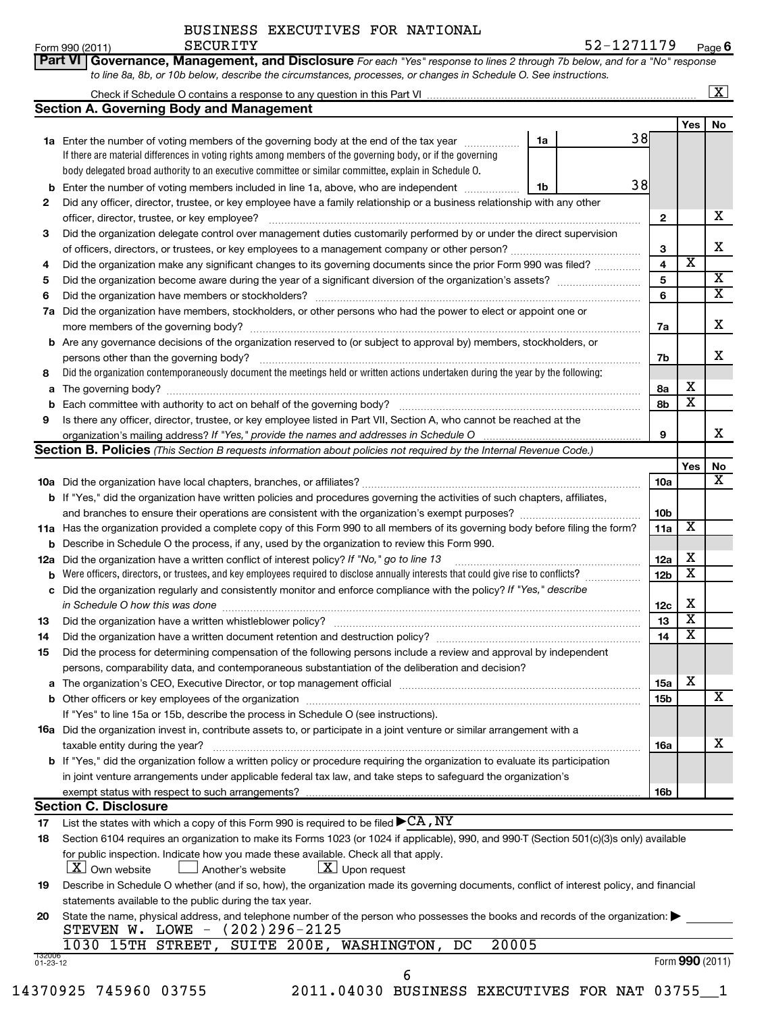Form 990 (2011)  ${\tt SECURITY}$  ,  ${\tt 52-1271179}$  age **6**

| Part VI   Governance, Management, and Disclosure For each "Yes" response to lines 2 through 7b below, and for a "No" response |
|-------------------------------------------------------------------------------------------------------------------------------|
| to line 8a, 8b, or 10b below, describe the circumstances, processes, or changes in Schedule O. See instructions.              |

| Check if Schedule O contains a response to any question in this Part VI |  |  |  |
|-------------------------------------------------------------------------|--|--|--|
|                                                                         |  |  |  |

 $\lfloor x \rfloor$ 

|                          | <b>Section A. Governing Body and Management</b>                                                                                                                 |    |    |                 |                         |                         |
|--------------------------|-----------------------------------------------------------------------------------------------------------------------------------------------------------------|----|----|-----------------|-------------------------|-------------------------|
|                          |                                                                                                                                                                 |    |    |                 | Yes                     | No                      |
|                          | 1a Enter the number of voting members of the governing body at the end of the tax year                                                                          | 1a | 38 |                 |                         |                         |
|                          | If there are material differences in voting rights among members of the governing body, or if the governing                                                     |    |    |                 |                         |                         |
|                          | body delegated broad authority to an executive committee or similar committee, explain in Schedule O.                                                           |    | 38 |                 |                         |                         |
| b                        | Enter the number of voting members included in line 1a, above, who are independent                                                                              | 1b |    |                 |                         |                         |
| 2                        | Did any officer, director, trustee, or key employee have a family relationship or a business relationship with any other                                        |    |    |                 |                         | x                       |
|                          | officer, director, trustee, or key employee?                                                                                                                    |    |    | 2               |                         |                         |
| 3                        | Did the organization delegate control over management duties customarily performed by or under the direct supervision                                           |    |    |                 |                         | x                       |
|                          |                                                                                                                                                                 |    |    | 3<br>4          | X                       |                         |
| 4                        | Did the organization make any significant changes to its governing documents since the prior Form 990 was filed?                                                |    |    | 5               |                         | X                       |
| 5<br>6                   |                                                                                                                                                                 |    |    | 6               |                         | $\overline{\mathtt{x}}$ |
| 7а                       | Did the organization have members, stockholders, or other persons who had the power to elect or appoint one or                                                  |    |    |                 |                         |                         |
|                          |                                                                                                                                                                 |    |    | 7a              |                         | x                       |
|                          | <b>b</b> Are any governance decisions of the organization reserved to (or subject to approval by) members, stockholders, or                                     |    |    |                 |                         |                         |
|                          | persons other than the governing body?                                                                                                                          |    |    | 7b              |                         | x                       |
| 8                        | Did the organization contemporaneously document the meetings held or written actions undertaken during the year by the following:                               |    |    |                 |                         |                         |
| a                        |                                                                                                                                                                 |    |    | 8a              | х                       |                         |
| b                        | Each committee with authority to act on behalf of the governing body?                                                                                           |    |    | 8b              | X                       |                         |
| 9                        | Is there any officer, director, trustee, or key employee listed in Part VII, Section A, who cannot be reached at the                                            |    |    |                 |                         |                         |
|                          | organization's mailing address? If "Yes," provide the names and addresses in Schedule O                                                                         |    |    | 9               |                         | x                       |
|                          | <b>Section B. Policies</b> (This Section B requests information about policies not required by the Internal Revenue Code.)                                      |    |    |                 |                         |                         |
|                          |                                                                                                                                                                 |    |    |                 | Yes                     | No                      |
|                          |                                                                                                                                                                 |    |    | <b>10a</b>      |                         | X                       |
|                          | <b>b</b> If "Yes," did the organization have written policies and procedures governing the activities of such chapters, affiliates,                             |    |    |                 |                         |                         |
|                          |                                                                                                                                                                 |    |    | 10 <sub>b</sub> |                         |                         |
|                          | 11a Has the organization provided a complete copy of this Form 990 to all members of its governing body before filing the form?                                 |    |    | 11a             | Х                       |                         |
|                          | <b>b</b> Describe in Schedule O the process, if any, used by the organization to review this Form 990.                                                          |    |    |                 |                         |                         |
| 12a                      | Did the organization have a written conflict of interest policy? If "No," go to line 13                                                                         |    |    | 12a             | х                       |                         |
| b                        | Were officers, directors, or trustees, and key employees required to disclose annually interests that could give rise to conflicts?                             |    |    | 12 <sub>b</sub> | X                       |                         |
|                          | c Did the organization regularly and consistently monitor and enforce compliance with the policy? If "Yes," describe<br>in Schedule O how this was done         |    |    | 12c             | х                       |                         |
| 13                       |                                                                                                                                                                 |    |    | 13              | X                       |                         |
| 14                       |                                                                                                                                                                 |    |    | 14              | $\overline{\textbf{X}}$ |                         |
| 15                       | Did the process for determining compensation of the following persons include a review and approval by independent                                              |    |    |                 |                         |                         |
|                          | persons, comparability data, and contemporaneous substantiation of the deliberation and decision?                                                               |    |    |                 |                         |                         |
|                          |                                                                                                                                                                 |    |    | 15a             | X                       |                         |
|                          |                                                                                                                                                                 |    |    | 15b             |                         | $\overline{\text{X}}$   |
|                          | If "Yes" to line 15a or 15b, describe the process in Schedule O (see instructions).                                                                             |    |    |                 |                         |                         |
|                          | <b>16a</b> Did the organization invest in, contribute assets to, or participate in a joint venture or similar arrangement with a                                |    |    |                 |                         |                         |
|                          | taxable entity during the year?                                                                                                                                 |    |    | 16a             |                         | x                       |
|                          | <b>b</b> If "Yes," did the organization follow a written policy or procedure requiring the organization to evaluate its participation                           |    |    |                 |                         |                         |
|                          | in joint venture arrangements under applicable federal tax law, and take steps to safeguard the organization's                                                  |    |    |                 |                         |                         |
|                          | exempt status with respect to such arrangements?                                                                                                                |    |    | 16b             |                         |                         |
|                          | <b>Section C. Disclosure</b>                                                                                                                                    |    |    |                 |                         |                         |
| 17                       | List the states with which a copy of this Form 990 is required to be filed $\blacktriangleright$ CA, NY                                                         |    |    |                 |                         |                         |
| 18                       | Section 6104 requires an organization to make its Forms 1023 (or 1024 if applicable), 990, and 990-T (Section 501(c)(3)s only) available                        |    |    |                 |                         |                         |
|                          | for public inspection. Indicate how you made these available. Check all that apply.                                                                             |    |    |                 |                         |                         |
|                          | $\lfloor \underline{X} \rfloor$ Upon request<br>$ \underline{X} $ Own website<br>Another's website                                                              |    |    |                 |                         |                         |
| 19                       | Describe in Schedule O whether (and if so, how), the organization made its governing documents, conflict of interest policy, and financial                      |    |    |                 |                         |                         |
|                          | statements available to the public during the tax year.                                                                                                         |    |    |                 |                         |                         |
| 20                       | State the name, physical address, and telephone number of the person who possesses the books and records of the organization:<br>STEVEN W. LOWE - (202)296-2125 |    |    |                 |                         |                         |
|                          | 1030 15TH STREET,<br>SUITE 200E, WASHINGTON,<br>20005<br>DC                                                                                                     |    |    |                 |                         |                         |
| 132006<br>$01 - 23 - 12$ |                                                                                                                                                                 |    |    |                 | Form 990 (2011)         |                         |
|                          | 6                                                                                                                                                               |    |    |                 |                         |                         |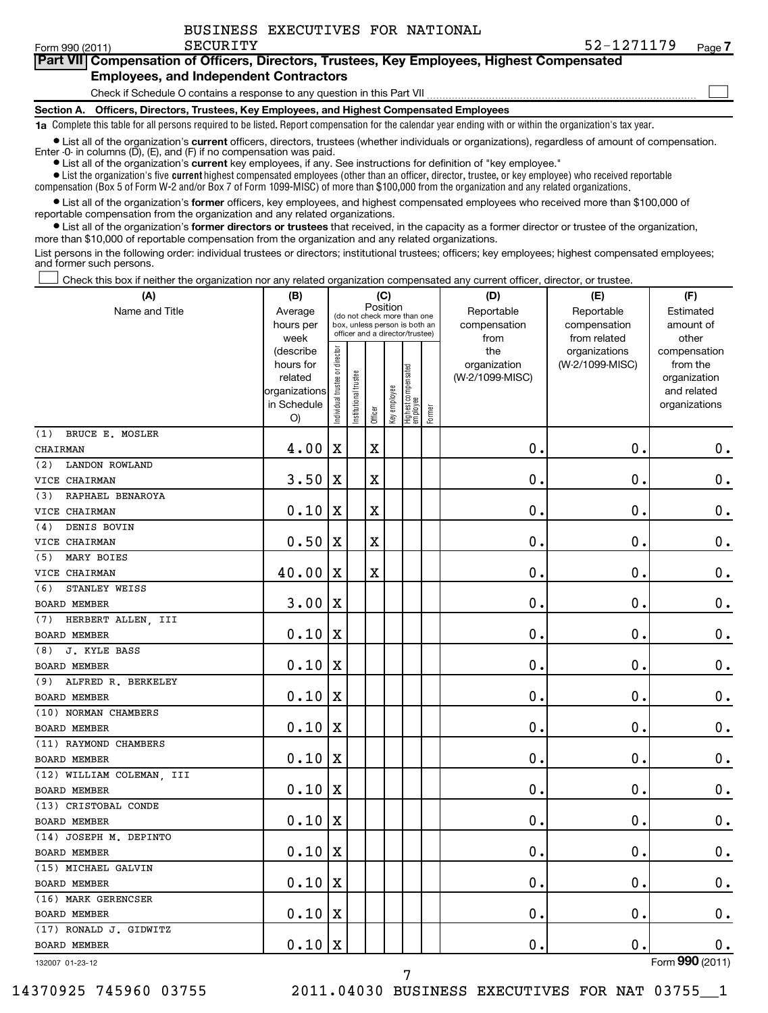$\sim$ 

#### **Part VII Compensation of Officers, Directors, Trustees, Key Employees, Highest Compensated Employees, and Independent Contractors**

Check if Schedule O contains a response to any question in this Part VII

**Section A. Officers, Directors, Trustees, Key Employees, and Highest Compensated Employees**

**1a**  Complete this table for all persons required to be listed. Report compensation for the calendar year ending with or within the organization's tax year.

• List all of the organization's current officers, directors, trustees (whether individuals or organizations), regardless of amount of compensation. Enter -0- in columns  $(D)$ ,  $(E)$ , and  $(F)$  if no compensation was paid.

**•** List all of the organization's **current** key employees, if any. See instructions for definition of "key employee."

 $\bullet$  List the organization's five  $\tt current$  highest compensated employees (other than an officer, director, trustee, or key employee) who received reportable compensation (Box 5 of Form W-2 and/or Box 7 of Form 1099-MISC) of more than \$100,000 from the organization and any related organizations .

 $\bullet$  List all of the organization's former officers, key employees, and highest compensated employees who received more than \$100,000 of

**•** List all of the organization's former directors or trustees that received, in the capacity as a former director or trustee of the organization, reportable compensation from the organization and any related organizations.

more than \$10,000 of reportable compensation from the organization and any related organizations.

List persons in the following order: individual trustees or directors; institutional trustees; officers; key employees; highest compensated employees; and former such persons.

Check this box if neither the organization nor any related organization compensated any current officer, director, or trustee.  $\pm$ 

| (A)                          | (B)                                                                             |                                     |                       |             | (C)          |                                                                        |        | (D)                                            | (E)                                              | (F)                                                                               |
|------------------------------|---------------------------------------------------------------------------------|-------------------------------------|-----------------------|-------------|--------------|------------------------------------------------------------------------|--------|------------------------------------------------|--------------------------------------------------|-----------------------------------------------------------------------------------|
| Name and Title               | Average<br>hours per                                                            |                                     |                       | Position    |              | (do not check more than one<br>box, unless person is both an           |        | Reportable<br>compensation                     | Reportable<br>compensation                       | Estimated<br>amount of                                                            |
|                              | week<br>(describe<br>hours for<br>related<br>organizations<br>in Schedule<br>O) | trustee or director<br>Individual t | Institutional trustee | Officer     | Key employee | officer and a director/trustee)<br>  Highest compensated<br>  employee | Former | from<br>the<br>organization<br>(W-2/1099-MISC) | from related<br>organizations<br>(W-2/1099-MISC) | other<br>compensation<br>from the<br>organization<br>and related<br>organizations |
| BRUCE E. MOSLER<br>(1)       |                                                                                 |                                     |                       |             |              |                                                                        |        |                                                |                                                  |                                                                                   |
| CHAIRMAN                     | 4.00                                                                            | X                                   |                       | $\mathbf X$ |              |                                                                        |        | $\mathbf 0$ .                                  | $\mathbf 0$                                      | $\mathbf 0$ .                                                                     |
| (2)<br><b>LANDON ROWLAND</b> |                                                                                 |                                     |                       |             |              |                                                                        |        |                                                |                                                  |                                                                                   |
| VICE CHAIRMAN                | 3.50                                                                            | $\mathbf X$                         |                       | $\mathbf X$ |              |                                                                        |        | 0                                              | 0                                                | $\mathbf 0$ .                                                                     |
| RAPHAEL BENAROYA<br>(3)      |                                                                                 |                                     |                       |             |              |                                                                        |        |                                                |                                                  |                                                                                   |
| VICE CHAIRMAN                | 0.10                                                                            | X                                   |                       | $\mathbf X$ |              |                                                                        |        | $\mathbf 0$ .                                  | 0                                                | $\mathbf 0$ .                                                                     |
| DENIS BOVIN<br>(4)           |                                                                                 |                                     |                       |             |              |                                                                        |        |                                                |                                                  |                                                                                   |
| VICE CHAIRMAN                | 0.50                                                                            | X                                   |                       | $\mathbf X$ |              |                                                                        |        | $\mathbf 0$                                    | $\mathbf 0$                                      | $\mathbf 0$ .                                                                     |
| MARY BOIES<br>(5)            |                                                                                 |                                     |                       |             |              |                                                                        |        |                                                |                                                  |                                                                                   |
| VICE CHAIRMAN                | 40.00                                                                           | X                                   |                       | $\mathbf X$ |              |                                                                        |        | 0                                              | $\mathbf 0$                                      | $\mathbf 0$ .                                                                     |
| STANLEY WEISS<br>(6)         |                                                                                 |                                     |                       |             |              |                                                                        |        |                                                |                                                  |                                                                                   |
| <b>BOARD MEMBER</b>          | 3.00                                                                            | X                                   |                       |             |              |                                                                        |        | $\mathbf 0$ .                                  | 0                                                | $\mathbf 0$ .                                                                     |
| HERBERT ALLEN, III<br>(7)    |                                                                                 |                                     |                       |             |              |                                                                        |        |                                                |                                                  |                                                                                   |
| <b>BOARD MEMBER</b>          | 0.10                                                                            | X                                   |                       |             |              |                                                                        |        | $\mathbf 0$ .                                  | $\mathbf 0$                                      | $\mathbf 0$ .                                                                     |
| J. KYLE BASS<br>(8)          |                                                                                 |                                     |                       |             |              |                                                                        |        |                                                |                                                  |                                                                                   |
| <b>BOARD MEMBER</b>          | 0.10                                                                            | X                                   |                       |             |              |                                                                        |        | $\mathbf 0$                                    | 0                                                | $\mathbf 0$ .                                                                     |
| ALFRED R. BERKELEY<br>(9)    |                                                                                 |                                     |                       |             |              |                                                                        |        |                                                |                                                  |                                                                                   |
| <b>BOARD MEMBER</b>          | 0.10                                                                            | X                                   |                       |             |              |                                                                        |        | 0                                              | $\mathbf 0$                                      | $\mathbf 0$ .                                                                     |
| (10) NORMAN CHAMBERS         |                                                                                 |                                     |                       |             |              |                                                                        |        |                                                |                                                  |                                                                                   |
| BOARD MEMBER                 | 0.10                                                                            | X                                   |                       |             |              |                                                                        |        | 0.                                             | 0                                                | $0$ .                                                                             |
| (11) RAYMOND CHAMBERS        |                                                                                 |                                     |                       |             |              |                                                                        |        |                                                |                                                  |                                                                                   |
| BOARD MEMBER                 | 0.10                                                                            | $\mathbf X$                         |                       |             |              |                                                                        |        | $\mathbf 0$ .                                  | $\pmb{0}$                                        | $\mathbf 0$ .                                                                     |
| (12) WILLIAM COLEMAN, III    |                                                                                 |                                     |                       |             |              |                                                                        |        |                                                |                                                  |                                                                                   |
| <b>BOARD MEMBER</b>          | 0.10                                                                            | X                                   |                       |             |              |                                                                        |        | $\mathbf 0$ .                                  | 0                                                | $\mathbf 0$ .                                                                     |
| (13) CRISTOBAL CONDE         |                                                                                 |                                     |                       |             |              |                                                                        |        |                                                |                                                  |                                                                                   |
| <b>BOARD MEMBER</b>          | 0.10                                                                            | X                                   |                       |             |              |                                                                        |        | $\mathbf 0$                                    | 0                                                | $\mathbf 0$ .                                                                     |
| (14) JOSEPH M. DEPINTO       |                                                                                 |                                     |                       |             |              |                                                                        |        |                                                |                                                  |                                                                                   |
| <b>BOARD MEMBER</b>          | 0.10                                                                            | X                                   |                       |             |              |                                                                        |        | $\mathbf 0$ .                                  | 0                                                | $\mathbf 0$ .                                                                     |
| (15) MICHAEL GALVIN          |                                                                                 |                                     |                       |             |              |                                                                        |        |                                                |                                                  |                                                                                   |
| <b>BOARD MEMBER</b>          | 0.10                                                                            | X                                   |                       |             |              |                                                                        |        | $\mathbf 0$                                    | 0                                                | $\mathbf 0$ .                                                                     |
| (16) MARK GERENCSER          |                                                                                 |                                     |                       |             |              |                                                                        |        |                                                |                                                  |                                                                                   |
| <b>BOARD MEMBER</b>          | 0.10                                                                            | X                                   |                       |             |              |                                                                        |        | $\mathbf 0$ .                                  | $\mathbf 0$                                      | $\mathbf 0$ .                                                                     |
| (17) RONALD J. GIDWITZ       |                                                                                 |                                     |                       |             |              |                                                                        |        |                                                |                                                  |                                                                                   |
| <b>BOARD MEMBER</b>          | 0.10                                                                            | X                                   |                       |             |              |                                                                        |        | 0.                                             | $\mathbf 0$                                      | $\mathbf 0$ .                                                                     |
| 132007 01-23-12              |                                                                                 |                                     |                       |             |              |                                                                        |        |                                                |                                                  | Form 990 (2011)                                                                   |

7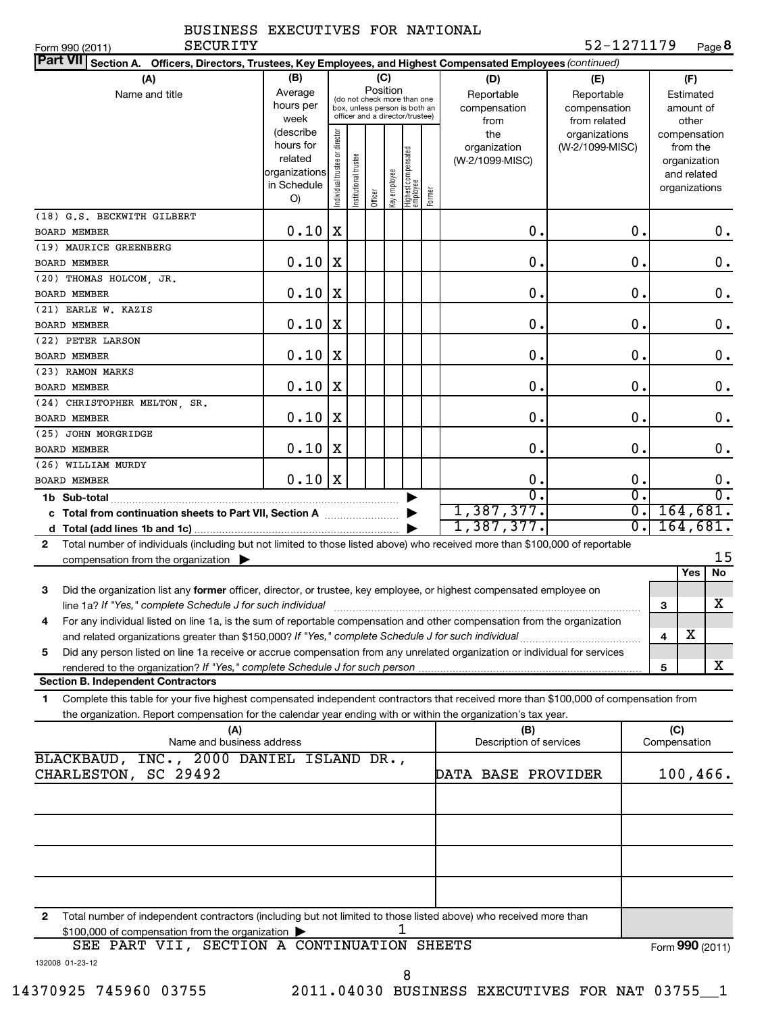| <b>SECURITY</b><br>Form 990 (2011)                                                                                                                                                                                                                          |                                                                         |                                     |                       |          |              |                                                                                                 |        |                                                | 52-1271179                                       |                  | Page 8                                                                   |  |
|-------------------------------------------------------------------------------------------------------------------------------------------------------------------------------------------------------------------------------------------------------------|-------------------------------------------------------------------------|-------------------------------------|-----------------------|----------|--------------|-------------------------------------------------------------------------------------------------|--------|------------------------------------------------|--------------------------------------------------|------------------|--------------------------------------------------------------------------|--|
| <b>Part VII</b><br>Section A. Officers, Directors, Trustees, Key Employees, and Highest Compensated Employees (continued)                                                                                                                                   |                                                                         |                                     |                       |          |              |                                                                                                 |        |                                                |                                                  |                  |                                                                          |  |
| (A)<br>Name and title                                                                                                                                                                                                                                       | (B)<br>Average<br>hours per<br>week                                     |                                     |                       | Position | (C)          | (do not check more than one<br>box, unless person is both an<br>officer and a director/trustee) |        | (D)<br>Reportable<br>compensation              | (E)<br>Reportable<br>compensation                |                  | (F)<br>Estimated<br>amount of<br>other                                   |  |
|                                                                                                                                                                                                                                                             | (describe<br>hours for<br>related<br>organizations<br>in Schedule<br>O) | trustee or director<br>Individual t | Institutional trustee | Officer  | Key employee | Highest compensated<br> employee                                                                | Former | from<br>the<br>organization<br>(W-2/1099-MISC) | from related<br>organizations<br>(W-2/1099-MISC) |                  | compensation<br>from the<br>organization<br>and related<br>organizations |  |
| (18) G.S. BECKWITH GILBERT                                                                                                                                                                                                                                  |                                                                         |                                     |                       |          |              |                                                                                                 |        |                                                |                                                  |                  |                                                                          |  |
| <b>BOARD MEMBER</b>                                                                                                                                                                                                                                         | 0.10                                                                    | X                                   |                       |          |              |                                                                                                 |        | $\mathbf 0$ .                                  |                                                  | $\mathbf 0$ .    | 0.                                                                       |  |
| (19) MAURICE GREENBERG                                                                                                                                                                                                                                      |                                                                         |                                     |                       |          |              |                                                                                                 |        |                                                |                                                  |                  |                                                                          |  |
| <b>BOARD MEMBER</b>                                                                                                                                                                                                                                         | 0.10                                                                    | X                                   |                       |          |              |                                                                                                 |        | $\mathbf 0$ .                                  |                                                  | $\mathbf 0$ .    | $\mathbf 0$ .                                                            |  |
| (20) THOMAS HOLCOM, JR.                                                                                                                                                                                                                                     |                                                                         |                                     |                       |          |              |                                                                                                 |        |                                                |                                                  |                  |                                                                          |  |
| <b>BOARD MEMBER</b>                                                                                                                                                                                                                                         | 0.10                                                                    | X                                   |                       |          |              |                                                                                                 |        | $\mathbf 0$ .                                  |                                                  | $\mathbf 0$ .    | $\mathbf 0$ .                                                            |  |
| (21) EARLE W. KAZIS                                                                                                                                                                                                                                         | 0.10                                                                    | X                                   |                       |          |              |                                                                                                 |        | $\mathbf 0$ .                                  |                                                  | $\mathbf 0$ .    | $\mathbf 0$ .                                                            |  |
| <b>BOARD MEMBER</b><br>(22) PETER LARSON                                                                                                                                                                                                                    |                                                                         |                                     |                       |          |              |                                                                                                 |        |                                                |                                                  |                  |                                                                          |  |
| <b>BOARD MEMBER</b>                                                                                                                                                                                                                                         | 0.10                                                                    | X                                   |                       |          |              |                                                                                                 |        | $\mathbf 0$ .                                  |                                                  | $\mathbf 0$ .    | $\mathbf 0$ .                                                            |  |
| (23) RAMON MARKS                                                                                                                                                                                                                                            |                                                                         |                                     |                       |          |              |                                                                                                 |        |                                                |                                                  |                  |                                                                          |  |
| <b>BOARD MEMBER</b>                                                                                                                                                                                                                                         | 0.10                                                                    | X                                   |                       |          |              |                                                                                                 |        | $\mathbf 0$ .                                  |                                                  | $\mathbf 0$ .    | $\mathbf 0$ .                                                            |  |
| (24) CHRISTOPHER MELTON, SR.                                                                                                                                                                                                                                |                                                                         |                                     |                       |          |              |                                                                                                 |        |                                                |                                                  |                  |                                                                          |  |
| <b>BOARD MEMBER</b>                                                                                                                                                                                                                                         | 0.10                                                                    | X                                   |                       |          |              |                                                                                                 |        | $\mathbf 0$ .                                  |                                                  | $\mathbf 0$ .    | $\mathbf 0$ .                                                            |  |
| (25) JOHN MORGRIDGE                                                                                                                                                                                                                                         |                                                                         |                                     |                       |          |              |                                                                                                 |        |                                                |                                                  |                  |                                                                          |  |
| <b>BOARD MEMBER</b>                                                                                                                                                                                                                                         | 0.10                                                                    | X                                   |                       |          |              |                                                                                                 |        | $\mathbf 0$ .                                  |                                                  | $\mathbf 0$ .    | $\mathbf 0$ .                                                            |  |
| (26) WILLIAM MURDY                                                                                                                                                                                                                                          |                                                                         |                                     |                       |          |              |                                                                                                 |        |                                                |                                                  |                  |                                                                          |  |
| <b>BOARD MEMBER</b>                                                                                                                                                                                                                                         | 0.10                                                                    | X                                   |                       |          |              |                                                                                                 |        | $\mathbf 0$ .                                  |                                                  | 0.               | $\mathbf 0$ .                                                            |  |
|                                                                                                                                                                                                                                                             |                                                                         |                                     |                       |          |              |                                                                                                 |        | $\overline{0}$ .                               |                                                  | σ.               | σ.                                                                       |  |
| c Total from continuation sheets to Part VII, Section A                                                                                                                                                                                                     |                                                                         |                                     |                       |          |              |                                                                                                 |        | 1,387,377.                                     |                                                  | σ.               | 164,681.                                                                 |  |
|                                                                                                                                                                                                                                                             |                                                                         |                                     |                       |          |              |                                                                                                 |        | 1,387,377.                                     |                                                  | $\overline{0}$ . | 164,681.                                                                 |  |
| Total number of individuals (including but not limited to those listed above) who received more than \$100,000 of reportable<br>2                                                                                                                           |                                                                         |                                     |                       |          |              |                                                                                                 |        |                                                |                                                  |                  | 15                                                                       |  |
| compensation from the organization $\blacktriangleright$                                                                                                                                                                                                    |                                                                         |                                     |                       |          |              |                                                                                                 |        |                                                |                                                  |                  | Yes<br>No                                                                |  |
| 3<br>Did the organization list any former officer, director, or trustee, key employee, or highest compensated employee on                                                                                                                                   |                                                                         |                                     |                       |          |              |                                                                                                 |        |                                                |                                                  |                  | x                                                                        |  |
| line 1a? If "Yes," complete Schedule J for such individual manufactured content to the set of the set of the s<br>For any individual listed on line 1a, is the sum of reportable compensation and other compensation from the organization                  |                                                                         |                                     |                       |          |              |                                                                                                 |        |                                                |                                                  | 3                | X                                                                        |  |
| and related organizations greater than \$150,000? If "Yes," complete Schedule J for such individual<br>Did any person listed on line 1a receive or accrue compensation from any unrelated organization or individual for services<br>5                      |                                                                         |                                     |                       |          |              |                                                                                                 |        |                                                |                                                  | 4                |                                                                          |  |
| rendered to the organization? If "Yes," complete Schedule J for such person                                                                                                                                                                                 |                                                                         |                                     |                       |          |              |                                                                                                 |        |                                                |                                                  | 5                | x                                                                        |  |
| <b>Section B. Independent Contractors</b>                                                                                                                                                                                                                   |                                                                         |                                     |                       |          |              |                                                                                                 |        |                                                |                                                  |                  |                                                                          |  |
| Complete this table for your five highest compensated independent contractors that received more than \$100,000 of compensation from<br>1<br>the organization. Report compensation for the calendar year ending with or within the organization's tax year. |                                                                         |                                     |                       |          |              |                                                                                                 |        |                                                |                                                  |                  |                                                                          |  |
| (A)                                                                                                                                                                                                                                                         |                                                                         |                                     |                       |          |              |                                                                                                 |        | (B)                                            |                                                  |                  | (C)                                                                      |  |
| Name and business address                                                                                                                                                                                                                                   |                                                                         |                                     |                       |          |              |                                                                                                 |        | Description of services                        |                                                  |                  | Compensation                                                             |  |
| BLACKBAUD, INC., 2000 DANIEL ISLAND DR.,<br>CHARLESTON, SC 29492                                                                                                                                                                                            |                                                                         |                                     |                       |          |              |                                                                                                 |        | DATA BASE PROVIDER                             |                                                  | $100, 466$ .     |                                                                          |  |
|                                                                                                                                                                                                                                                             |                                                                         |                                     |                       |          |              |                                                                                                 |        |                                                |                                                  |                  |                                                                          |  |
| Total number of independent contractors (including but not limited to those listed above) who received more than<br>2<br>\$100,000 of compensation from the organization                                                                                    |                                                                         |                                     |                       |          |              |                                                                                                 |        |                                                |                                                  |                  |                                                                          |  |
| SEE PART VII, SECTION A CONTINUATION SHEETS<br>132008 01-23-12                                                                                                                                                                                              |                                                                         |                                     |                       |          |              |                                                                                                 |        |                                                |                                                  |                  | Form 990 (2011)                                                          |  |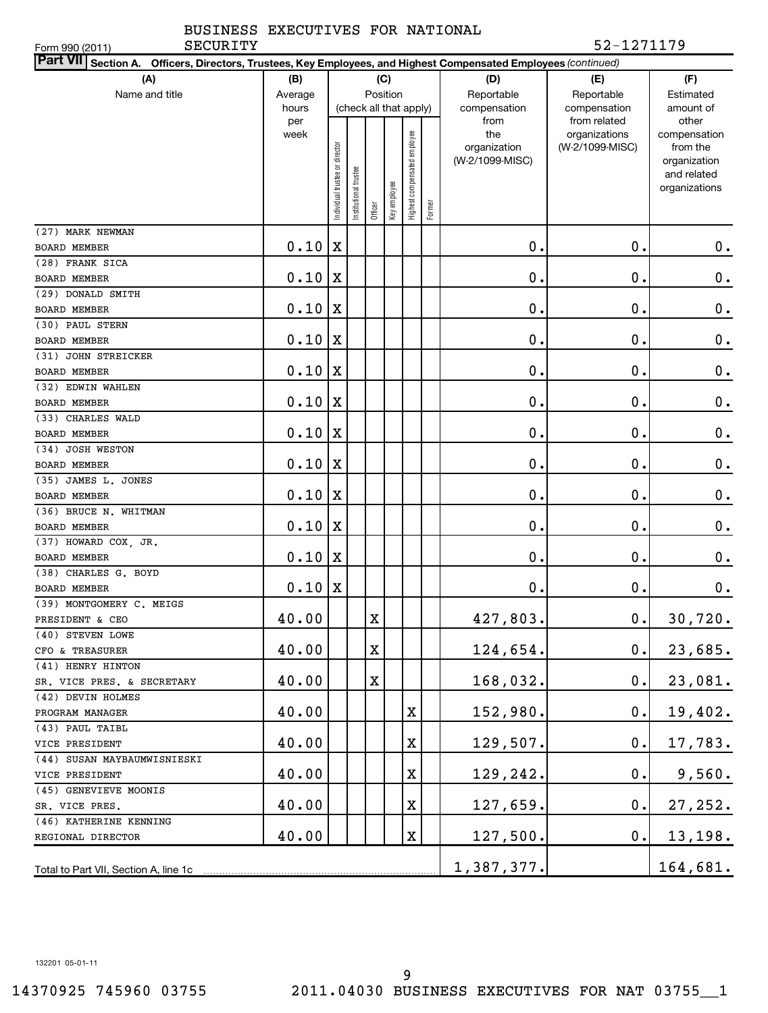#### Form 990 (2011)

## BUSINESS EXECUTIVES FOR NATIONAL

#### SECURITY 52-1271179

| Part VII Section A. Officers, Directors, Trustees, Key Employees, and Highest Compensated Employees (continued) |             |                               |                        |         |              |                              |        |                             |                                                  |                                   |
|-----------------------------------------------------------------------------------------------------------------|-------------|-------------------------------|------------------------|---------|--------------|------------------------------|--------|-----------------------------|--------------------------------------------------|-----------------------------------|
| (A)                                                                                                             | (B)         | (C)                           |                        |         |              |                              |        | (D)                         | (E)                                              | (F)                               |
| Name and title                                                                                                  |             |                               | Position<br>Average    |         |              |                              |        | Reportable                  | Reportable                                       | Estimated                         |
|                                                                                                                 | hours       |                               | (check all that apply) |         |              |                              |        | compensation                | compensation                                     | amount of                         |
|                                                                                                                 | per<br>week |                               |                        |         |              | Highest compensated employee |        | from<br>the<br>organization | from related<br>organizations<br>(W-2/1099-MISC) | other<br>compensation<br>from the |
|                                                                                                                 |             | ndividual trustee or director |                        |         |              |                              |        | (W-2/1099-MISC)             |                                                  | organization                      |
|                                                                                                                 |             |                               |                        |         |              |                              |        |                             |                                                  | and related                       |
|                                                                                                                 |             |                               |                        |         |              |                              |        |                             |                                                  | organizations                     |
|                                                                                                                 |             |                               | nstitutional trustee   | Officer | Key employee |                              | Former |                             |                                                  |                                   |
| (27) MARK NEWMAN                                                                                                |             |                               |                        |         |              |                              |        |                             |                                                  |                                   |
| <b>BOARD MEMBER</b>                                                                                             | 0.10        | Х                             |                        |         |              |                              |        | $\mathbf 0$ .               | 0.                                               | $\mathbf 0$ .                     |
| (28) FRANK SICA                                                                                                 |             |                               |                        |         |              |                              |        |                             |                                                  |                                   |
| <b>BOARD MEMBER</b>                                                                                             | 0.10        | Х                             |                        |         |              |                              |        | $\mathbf 0$ .               | $\mathbf 0$ .                                    | $\mathbf 0$ .                     |
| (29) DONALD SMITH                                                                                               |             |                               |                        |         |              |                              |        |                             |                                                  |                                   |
| <b>BOARD MEMBER</b>                                                                                             | 0.10        | Х                             |                        |         |              |                              |        | $\mathbf 0$ .               | $\mathbf 0$ .                                    | $\mathbf 0$ .                     |
| (30) PAUL STERN                                                                                                 |             |                               |                        |         |              |                              |        |                             |                                                  |                                   |
| <b>BOARD MEMBER</b>                                                                                             | 0.10        | Х                             |                        |         |              |                              |        | $\mathbf 0$ .               | $\mathbf 0$ .                                    | $\mathbf 0$ .                     |
| (31) JOHN STREICKER                                                                                             |             |                               |                        |         |              |                              |        |                             |                                                  |                                   |
| <b>BOARD MEMBER</b>                                                                                             | 0.10        | Х                             |                        |         |              |                              |        | $\mathbf 0$ .               | $\mathbf 0$ .                                    | $\mathbf 0$ .                     |
| (32) EDWIN WAHLEN                                                                                               |             |                               |                        |         |              |                              |        |                             |                                                  |                                   |
| <b>BOARD MEMBER</b>                                                                                             | 0.10        | Х                             |                        |         |              |                              |        | $\mathbf 0$ .               | $\mathbf 0$ .                                    | $\mathbf 0$ .                     |
| (33) CHARLES WALD                                                                                               |             |                               |                        |         |              |                              |        |                             |                                                  |                                   |
| <b>BOARD MEMBER</b>                                                                                             | 0.10        | X                             |                        |         |              |                              |        | $\mathbf 0$ .               | $\mathbf 0$ .                                    | $\mathbf 0$ .                     |
| (34) JOSH WESTON                                                                                                |             |                               |                        |         |              |                              |        |                             |                                                  |                                   |
| <b>BOARD MEMBER</b>                                                                                             | 0.10        | X                             |                        |         |              |                              |        | $\mathbf 0$ .               | $\mathbf 0$ .                                    | $\mathbf 0$ .                     |
| (35) JAMES L. JONES                                                                                             |             |                               |                        |         |              |                              |        |                             |                                                  |                                   |
| <b>BOARD MEMBER</b>                                                                                             | 0.10        | X                             |                        |         |              |                              |        | $\mathbf 0$ .               | $\mathbf 0$ .                                    | $\mathbf 0$ .                     |
| (36) BRUCE N. WHITMAN                                                                                           |             |                               |                        |         |              |                              |        |                             |                                                  |                                   |
| BOARD MEMBER                                                                                                    | 0.10        | X                             |                        |         |              |                              |        | $\mathbf 0$ .               | $\mathbf 0$ .                                    | $\mathbf 0$ .                     |
| (37) HOWARD COX, JR.                                                                                            |             |                               |                        |         |              |                              |        |                             |                                                  |                                   |
| <b>BOARD MEMBER</b>                                                                                             | 0.10        | Х                             |                        |         |              |                              |        | $\mathbf 0$ .               | $\mathbf 0$ .                                    | $\mathbf 0$ .                     |
| (38) CHARLES G. BOYD                                                                                            |             |                               |                        |         |              |                              |        |                             |                                                  |                                   |
| BOARD MEMBER                                                                                                    | 0.10        | Х                             |                        |         |              |                              |        | $\mathbf 0$ .               | $\mathbf 0$ .                                    | $\mathbf 0$ .                     |
| (39) MONTGOMERY C. MEIGS                                                                                        |             |                               |                        |         |              |                              |        |                             |                                                  |                                   |
| PRESIDENT & CEO                                                                                                 | 40.00       |                               |                        | х       |              |                              |        | 427,803.                    | $\mathbf 0$ .                                    | 30,720.                           |
| $(40)$ STEVEN LOWE<br>CFO & TREASURER                                                                           | 40.00       |                               |                        | х       |              |                              |        | 124,654.                    | 0.                                               | 23,685.                           |
| (41) HENRY HINTON                                                                                               |             |                               |                        |         |              |                              |        |                             |                                                  |                                   |
| SR. VICE PRES. & SECRETARY                                                                                      | 40.00       |                               |                        | х       |              |                              |        | 168,032.                    | 0.                                               | 23,081.                           |
| (42) DEVIN HOLMES                                                                                               |             |                               |                        |         |              |                              |        |                             |                                                  |                                   |
| PROGRAM MANAGER                                                                                                 | 40.00       |                               |                        |         |              | X                            |        | 152,980.                    | 0.                                               | 19,402.                           |
| (43) PAUL TAIBL                                                                                                 |             |                               |                        |         |              |                              |        |                             |                                                  |                                   |
| VICE PRESIDENT                                                                                                  | 40.00       |                               |                        |         |              | X                            |        | 129,507.                    | 0.                                               | 17,783.                           |
| (44) SUSAN MAYBAUMWISNIESKI                                                                                     |             |                               |                        |         |              |                              |        |                             |                                                  |                                   |
| VICE PRESIDENT                                                                                                  | 40.00       |                               |                        |         |              | X                            |        | 129,242.                    | $\mathbf 0$ .                                    | 9,560.                            |
| (45) GENEVIEVE MOONIS                                                                                           |             |                               |                        |         |              |                              |        |                             |                                                  |                                   |
| SR. VICE PRES.                                                                                                  | 40.00       |                               |                        |         |              | X                            |        | 127,659.                    | 0.                                               | 27,252.                           |
| (46) KATHERINE KENNING                                                                                          |             |                               |                        |         |              |                              |        |                             |                                                  |                                   |
| REGIONAL DIRECTOR                                                                                               | 40.00       |                               |                        |         |              | X                            |        | 127,500.                    | 0.                                               | 13,198.                           |
|                                                                                                                 |             |                               |                        |         |              |                              |        |                             |                                                  |                                   |
| Total to Part VII, Section A, line 1c                                                                           |             |                               |                        |         |              |                              |        | 1,387,377.                  |                                                  | 164,681.                          |

132201 05-01-11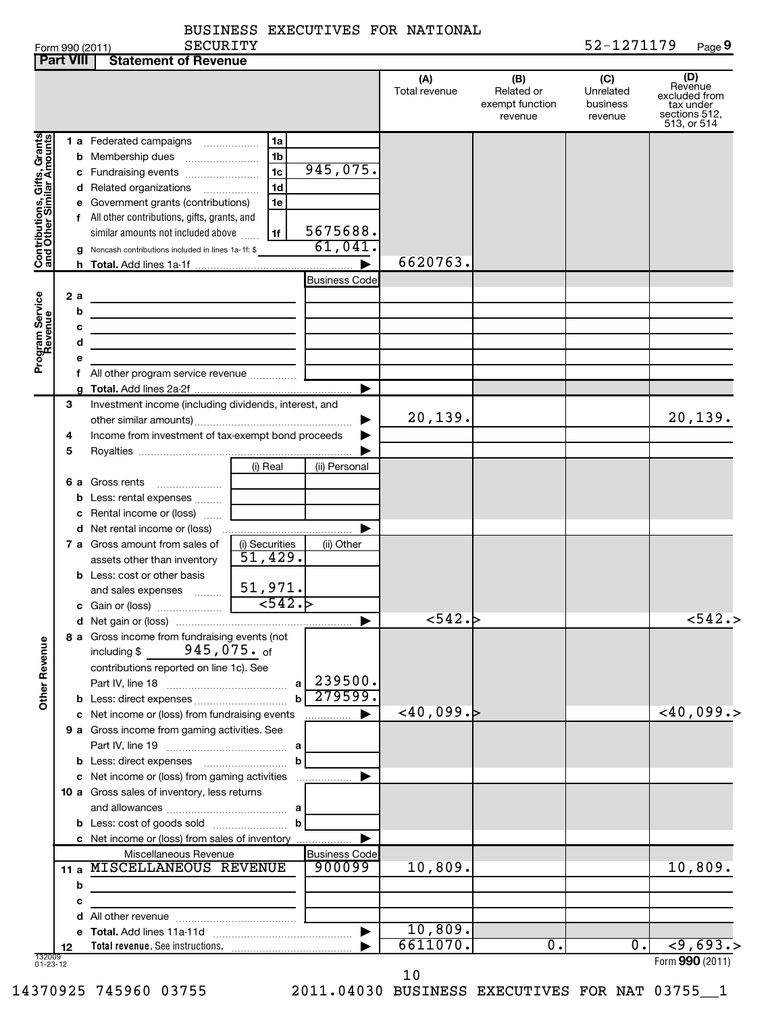|                 |          | <b>BUSINESS EXECUTIVES FOR</b> | NATIONAL |                |          |        |
|-----------------|----------|--------------------------------|----------|----------------|----------|--------|
| Form 990 (2011) | SECURITY |                                |          | 5 <i>. .</i> . | -1271179 | Page 9 |

|                                                             | <b>Part VIII</b>           | <b>Statement of Revenue</b>                                                                                                                                                                                                                                                                                                               |                                                            |                                |                      |                                                 |                                         |                                                                              |
|-------------------------------------------------------------|----------------------------|-------------------------------------------------------------------------------------------------------------------------------------------------------------------------------------------------------------------------------------------------------------------------------------------------------------------------------------------|------------------------------------------------------------|--------------------------------|----------------------|-------------------------------------------------|-----------------------------------------|------------------------------------------------------------------------------|
|                                                             |                            |                                                                                                                                                                                                                                                                                                                                           |                                                            |                                | (A)<br>Total revenue | (B)<br>Related or<br>exempt function<br>revenue | (C)<br>Unrelated<br>business<br>revenue | (D)<br>Revenue<br>excluded from<br>tax under<br>sections 512,<br>513, or 514 |
| Contributions, Gifts, Grants<br>  and Other Similar Amounts | b<br>с<br>d<br>е<br>f<br>g | 1 a Federated campaigns<br>Membership dues<br>Fundraising events<br>Related organizations<br>$\overline{\phantom{a}}$<br>Government grants (contributions)<br>All other contributions, gifts, grants, and<br>similar amounts not included above<br>Noncash contributions included in lines 1a-1f: \$                                      | l 1a<br>1 <sub>b</sub><br>1c<br>1 <sub>d</sub><br>1e<br>1f | 945,075.<br>5675688.<br>61,041 |                      |                                                 |                                         |                                                                              |
|                                                             |                            |                                                                                                                                                                                                                                                                                                                                           |                                                            |                                | 6620763.             |                                                 |                                         |                                                                              |
| Program Service<br>Revenue                                  | 2a<br>b<br>с<br>d          | <u> 1989 - Johann Barn, mars ann an t-Amhain an t-Amhain an t-Amhain an t-Amhain an t-Amhain an t-Amhain an t-Amh</u><br>the contract of the contract of the contract of the contract of the contract of<br><u> 1980 - Johann Barbara, martxa alemaniar amerikan a</u><br>the contract of the contract of the contract of the contract of |                                                            | <b>Business Code</b>           |                      |                                                 |                                         |                                                                              |
|                                                             |                            |                                                                                                                                                                                                                                                                                                                                           |                                                            |                                |                      |                                                 |                                         |                                                                              |
|                                                             |                            |                                                                                                                                                                                                                                                                                                                                           |                                                            | ▶                              |                      |                                                 |                                         |                                                                              |
|                                                             | 3<br>4<br>5                | Investment income (including dividends, interest, and<br>Income from investment of tax-exempt bond proceeds                                                                                                                                                                                                                               |                                                            |                                | 20,139.              |                                                 |                                         | 20,139.                                                                      |
|                                                             |                            |                                                                                                                                                                                                                                                                                                                                           | (i) Real                                                   | (ii) Personal                  |                      |                                                 |                                         |                                                                              |
|                                                             | 6а<br>b<br>с               | Gross rents<br>Less: rental expenses<br>Rental income or (loss)                                                                                                                                                                                                                                                                           |                                                            |                                |                      |                                                 |                                         |                                                                              |
|                                                             |                            | 7 a Gross amount from sales of<br>assets other than inventory<br><b>b</b> Less: cost or other basis                                                                                                                                                                                                                                       | (i) Securities<br>51,429.                                  | (ii) Other                     |                      |                                                 |                                         |                                                                              |
|                                                             |                            | and sales expenses                                                                                                                                                                                                                                                                                                                        | 51,971.<br>$\overline{\phantom{0}}$ <542.                  |                                | 542.                 |                                                 |                                         | < 542.                                                                       |
| <b>Other Revenue</b>                                        |                            | 8 a Gross income from fundraising events (not<br>945,075. <sub>of</sub><br>including \$<br>contributions reported on line 1c). See                                                                                                                                                                                                        | a<br>$\mathbf b$                                           | 239500.<br>279599.             |                      |                                                 |                                         |                                                                              |
|                                                             |                            | c Net income or (loss) from fundraising events                                                                                                                                                                                                                                                                                            |                                                            |                                | ~10,099.~            |                                                 |                                         | $<$ 40,099.>                                                                 |
|                                                             |                            | 9 a Gross income from gaming activities. See<br><b>b</b> Less: direct expenses <b>contained b</b> Less: direct expenses                                                                                                                                                                                                                   | b                                                          |                                |                      |                                                 |                                         |                                                                              |
|                                                             |                            | c Net income or (loss) from gaming activities<br>10 a Gross sales of inventory, less returns<br><b>b</b> Less: cost of goods sold                                                                                                                                                                                                         | b                                                          |                                |                      |                                                 |                                         |                                                                              |
|                                                             | 11 a                       | c Net income or (loss) from sales of inventory<br>Miscellaneous Revenue<br>MISCELLANEOUS REVENUE                                                                                                                                                                                                                                          |                                                            | <b>Business Code</b><br>900099 | 10,809.              |                                                 |                                         | 10,809.                                                                      |
|                                                             | b<br>с<br>d                | <u> 1989 - Johann Stein, mars an deus Amerikaansk kommunister (</u>                                                                                                                                                                                                                                                                       |                                                            |                                |                      |                                                 |                                         |                                                                              |
|                                                             |                            |                                                                                                                                                                                                                                                                                                                                           |                                                            |                                | 10,809.              |                                                 |                                         |                                                                              |
|                                                             | 12                         |                                                                                                                                                                                                                                                                                                                                           |                                                            |                                | 6611070.             | Ο.                                              | 0.                                      | $\overline{59,693.}$                                                         |
| 132009<br>01-23-12                                          |                            |                                                                                                                                                                                                                                                                                                                                           |                                                            |                                |                      |                                                 |                                         | Form 990 (2011)                                                              |

10

14370925 745960 03755 2011.04030 BUSINESS EXECUTIVES FOR NAT 03755\_\_1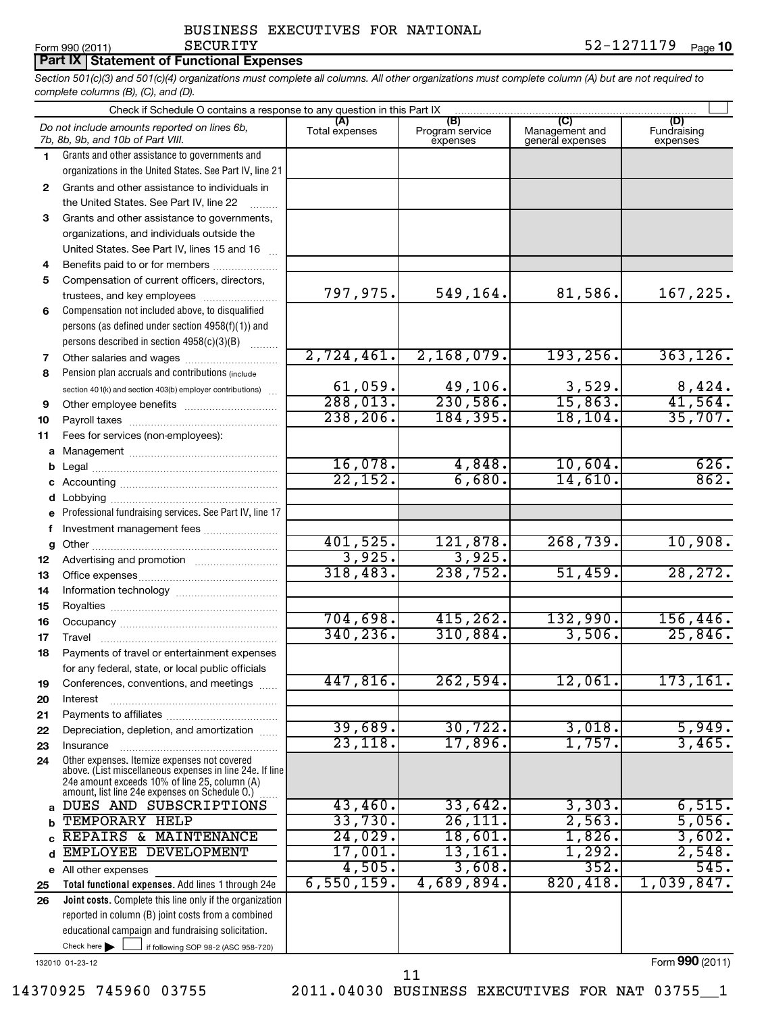*Section 501(c)(3) and 501(c)(4) organizations must complete all columns. All other organizations must complete column (A) but are not required to complete columns (B), (C), and (D).* **Part IX Statement of Functional Expenses**

|         | Check if Schedule O contains a response to any question in this Part IX                                                                                                                                     |                       |                                    |                                           |                                |  |  |  |
|---------|-------------------------------------------------------------------------------------------------------------------------------------------------------------------------------------------------------------|-----------------------|------------------------------------|-------------------------------------------|--------------------------------|--|--|--|
|         | Do not include amounts reported on lines 6b,<br>7b, 8b, 9b, and 10b of Part VIII.                                                                                                                           | (A)<br>Total expenses | (B)<br>Program service<br>expenses | (C)<br>Management and<br>general expenses | (D)<br>Fundraising<br>expenses |  |  |  |
| 1.      | Grants and other assistance to governments and                                                                                                                                                              |                       |                                    |                                           |                                |  |  |  |
|         | organizations in the United States. See Part IV, line 21                                                                                                                                                    |                       |                                    |                                           |                                |  |  |  |
| 2       | Grants and other assistance to individuals in                                                                                                                                                               |                       |                                    |                                           |                                |  |  |  |
|         | the United States. See Part IV, line 22                                                                                                                                                                     |                       |                                    |                                           |                                |  |  |  |
| 3       | Grants and other assistance to governments,                                                                                                                                                                 |                       |                                    |                                           |                                |  |  |  |
|         | organizations, and individuals outside the                                                                                                                                                                  |                       |                                    |                                           |                                |  |  |  |
|         | United States. See Part IV, lines 15 and 16                                                                                                                                                                 |                       |                                    |                                           |                                |  |  |  |
| 4       | Benefits paid to or for members<br>Compensation of current officers, directors,                                                                                                                             |                       |                                    |                                           |                                |  |  |  |
| 5       | trustees, and key employees                                                                                                                                                                                 | 797,975.              | 549,164.                           | 81,586.                                   | 167,225.                       |  |  |  |
| 6       | Compensation not included above, to disqualified                                                                                                                                                            |                       |                                    |                                           |                                |  |  |  |
|         | persons (as defined under section 4958(f)(1)) and                                                                                                                                                           |                       |                                    |                                           |                                |  |  |  |
|         | persons described in section 4958(c)(3)(B)                                                                                                                                                                  |                       |                                    |                                           |                                |  |  |  |
| 7       |                                                                                                                                                                                                             | 2,724,461.            | 2,168,079.                         | 193, 256.                                 | 363, 126.                      |  |  |  |
| 8       | Pension plan accruals and contributions (include                                                                                                                                                            |                       |                                    |                                           |                                |  |  |  |
|         | section 401(k) and section 403(b) employer contributions)                                                                                                                                                   | 61,059.               | 49,106.                            | 3,529.                                    | 8,424.                         |  |  |  |
| 9       |                                                                                                                                                                                                             | 288,013.              | 230,586.                           | 15,863.                                   | 41,564.                        |  |  |  |
| 10      |                                                                                                                                                                                                             | 238, 206.             | 184,395.                           | 18, 104.                                  | 35,707.                        |  |  |  |
| 11      | Fees for services (non-employees):                                                                                                                                                                          |                       |                                    |                                           |                                |  |  |  |
|         |                                                                                                                                                                                                             |                       |                                    |                                           |                                |  |  |  |
| b       |                                                                                                                                                                                                             | 16,078.               | 4,848.                             | 10,604.                                   | 626.                           |  |  |  |
| С       |                                                                                                                                                                                                             | 22,152.               | 6,680.                             | 14,610.                                   | 862.                           |  |  |  |
| d       |                                                                                                                                                                                                             |                       |                                    |                                           |                                |  |  |  |
| e       | Professional fundraising services. See Part IV, line 17                                                                                                                                                     |                       |                                    |                                           |                                |  |  |  |
| f       | Investment management fees                                                                                                                                                                                  | 401,525.              | 121,878.                           | 268,739.                                  | 10,908.                        |  |  |  |
| g<br>12 |                                                                                                                                                                                                             | 3,925.                | 3,925.                             |                                           |                                |  |  |  |
| 13      |                                                                                                                                                                                                             | 318,483.              | 238,752.                           | 51,459.                                   | 28, 272.                       |  |  |  |
| 14      |                                                                                                                                                                                                             |                       |                                    |                                           |                                |  |  |  |
| 15      |                                                                                                                                                                                                             |                       |                                    |                                           |                                |  |  |  |
| 16      |                                                                                                                                                                                                             | 704,698.              | 415, 262.                          | 132,990.                                  | 156,446.                       |  |  |  |
| 17      |                                                                                                                                                                                                             | 340, 236.             | 310,884.                           | 3,506.                                    | 25,846.                        |  |  |  |
| 18      | Payments of travel or entertainment expenses                                                                                                                                                                |                       |                                    |                                           |                                |  |  |  |
|         | for any federal, state, or local public officials                                                                                                                                                           |                       |                                    |                                           |                                |  |  |  |
| 19      | Conferences, conventions, and meetings                                                                                                                                                                      | 447,816.              | 262,594.                           | 12,061.                                   | 173,161 <b>.</b>               |  |  |  |
| 20      | Interest                                                                                                                                                                                                    |                       |                                    |                                           |                                |  |  |  |
| 21      |                                                                                                                                                                                                             |                       |                                    |                                           |                                |  |  |  |
| 22      | Depreciation, depletion, and amortization                                                                                                                                                                   | 39,689.               | 30, 722.                           | 3,018.                                    | 5,949.                         |  |  |  |
| 23      | Insurance                                                                                                                                                                                                   | 23, 118.              | 17,896.                            | 1,757.                                    | 3,465.                         |  |  |  |
| 24      | Other expenses. Itemize expenses not covered<br>above. (List miscellaneous expenses in line 24e. If line<br>24e amount exceeds 10% of line 25, column (A)<br>amount, list line 24e expenses on Schedule O.) |                       |                                    |                                           |                                |  |  |  |
| a       | DUES AND SUBSCRIPTIONS                                                                                                                                                                                      | 43,460.               | 33,642.                            | 3,303.                                    | 6,515.                         |  |  |  |
| b       | TEMPORARY HELP                                                                                                                                                                                              | 33,730.               | 26, 111.                           | 2,563.                                    | 5,056.                         |  |  |  |
| c       | REPAIRS & MAINTENANCE                                                                                                                                                                                       | 24,029.               | 18,601.                            | 1,826.                                    | 3,602.                         |  |  |  |
| d       | EMPLOYEE DEVELOPMENT                                                                                                                                                                                        | 17,001.               | 13,161.                            | 1,292.                                    | 2,548.                         |  |  |  |
| е       | All other expenses                                                                                                                                                                                          | 4,505.                | 3,608.                             | 352.                                      | 545.                           |  |  |  |
| 25      | Total functional expenses. Add lines 1 through 24e                                                                                                                                                          | 6,550,159.            | 4,689,894.                         | 820,418.                                  | 1,039,847.                     |  |  |  |
| 26      | Joint costs. Complete this line only if the organization                                                                                                                                                    |                       |                                    |                                           |                                |  |  |  |
|         | reported in column (B) joint costs from a combined                                                                                                                                                          |                       |                                    |                                           |                                |  |  |  |
|         | educational campaign and fundraising solicitation.                                                                                                                                                          |                       |                                    |                                           |                                |  |  |  |
|         | Check here $\blacktriangleright$<br>if following SOP 98-2 (ASC 958-720)                                                                                                                                     |                       |                                    |                                           |                                |  |  |  |

132010 01-23-12

Form (2011) **990**

14370925 745960 03755 2011.04030 BUSINESS EXECUTIVES FOR NAT 03755\_\_1

11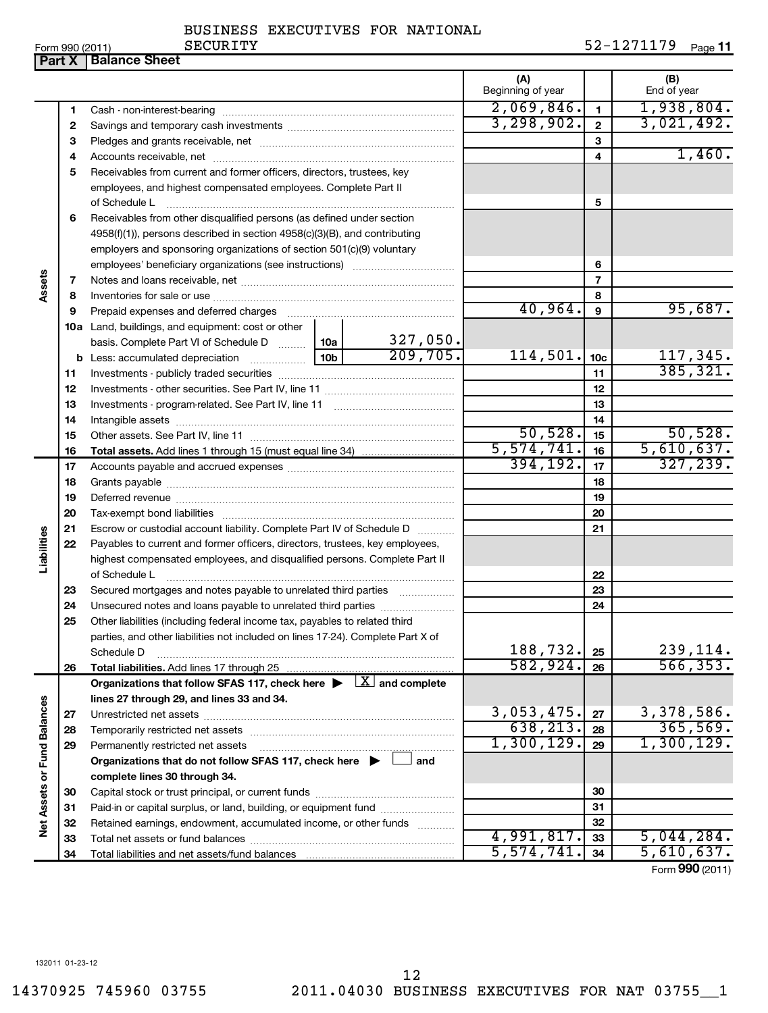**32 33 34**

4,991,817. 5,044,284.  $\overline{574, 741.}$  34 5,610,637.

Form (2011) **990**

Form 990 (2011) Page **11** SECURITY 52-1271179

|                             |          | <b>Part X   Balance Sheet</b>                                                                                                        |            |                           |                          |                 |                       |
|-----------------------------|----------|--------------------------------------------------------------------------------------------------------------------------------------|------------|---------------------------|--------------------------|-----------------|-----------------------|
|                             |          |                                                                                                                                      |            |                           | (A)<br>Beginning of year |                 | (B)<br>End of year    |
|                             | 1        |                                                                                                                                      |            |                           | 2,069,846.               | $\mathbf{1}$    | 1,938,804.            |
|                             | 2        |                                                                                                                                      | 3,298,902. | $\mathbf{2}$              | 3,021,492.               |                 |                       |
|                             | 3        |                                                                                                                                      |            |                           |                          | 3               |                       |
|                             | 4        |                                                                                                                                      |            |                           |                          | 4               | 1,460.                |
|                             | 5        | Receivables from current and former officers, directors, trustees, key                                                               |            |                           |                          |                 |                       |
|                             |          | employees, and highest compensated employees. Complete Part II                                                                       |            |                           |                          |                 |                       |
|                             |          | of Schedule L                                                                                                                        |            |                           |                          | 5               |                       |
|                             | 6        | Receivables from other disqualified persons (as defined under section                                                                |            |                           |                          |                 |                       |
|                             |          | 4958(f)(1)), persons described in section 4958(c)(3)(B), and contributing                                                            |            |                           |                          |                 |                       |
|                             |          | employers and sponsoring organizations of section 501(c)(9) voluntary                                                                |            |                           |                          |                 |                       |
|                             |          |                                                                                                                                      |            |                           |                          | 6               |                       |
| Assets                      | 7        |                                                                                                                                      |            |                           |                          | 7               |                       |
|                             | 8        |                                                                                                                                      |            |                           |                          | 8               |                       |
|                             | 9        |                                                                                                                                      |            |                           | 40,964.                  | 9               | 95,687.               |
|                             |          | 10a Land, buildings, and equipment: cost or other                                                                                    |            |                           |                          |                 |                       |
|                             |          | basis. Complete Part VI of Schedule D  10a                                                                                           |            | $\frac{327,050}{209,705}$ | 114,501.                 |                 | 117,345.              |
|                             |          |                                                                                                                                      |            |                           |                          | 10 <sub>c</sub> | 385, 321.             |
|                             | 11<br>12 |                                                                                                                                      |            |                           |                          | 11<br>12        |                       |
|                             | 13       |                                                                                                                                      |            |                           | 13                       |                 |                       |
|                             | 14       |                                                                                                                                      |            |                           | 14                       |                 |                       |
|                             | 15       |                                                                                                                                      |            |                           | 50,528.                  | 15              | 50,528.               |
|                             | 16       |                                                                                                                                      |            |                           | 5,574,741.               | 16              | 5,610,637.            |
|                             | 17       |                                                                                                                                      |            |                           | 394, 192.                | 17              | 327, 239.             |
|                             | 18       |                                                                                                                                      |            |                           |                          | 18              |                       |
|                             | 19       |                                                                                                                                      |            |                           |                          | 19              |                       |
|                             | 20       |                                                                                                                                      |            |                           |                          | 20              |                       |
|                             | 21       | Escrow or custodial account liability. Complete Part IV of Schedule D                                                                |            |                           |                          | 21              |                       |
| Liabilities                 | 22       | Payables to current and former officers, directors, trustees, key employees,                                                         |            |                           |                          |                 |                       |
|                             |          | highest compensated employees, and disqualified persons. Complete Part II                                                            |            |                           |                          |                 |                       |
|                             |          | of Schedule L                                                                                                                        |            |                           |                          | 22              |                       |
|                             | 23       | Secured mortgages and notes payable to unrelated third parties                                                                       |            |                           |                          | 23              |                       |
|                             | 24       |                                                                                                                                      |            |                           |                          | 24              |                       |
|                             | 25       | Other liabilities (including federal income tax, payables to related third                                                           |            |                           |                          |                 |                       |
|                             |          | parties, and other liabilities not included on lines 17-24). Complete Part X of                                                      |            |                           |                          |                 |                       |
|                             |          | Schedule D                                                                                                                           |            |                           | 188,732.<br>582,924.     | 25              | 239,114.<br>566, 353. |
|                             | 26       | Total liabilities. Add lines 17 through 25<br>Organizations that follow SFAS 117, check here $\blacktriangleright \Box$ and complete |            |                           |                          | 26              |                       |
|                             |          | lines 27 through 29, and lines 33 and 34.                                                                                            |            |                           |                          |                 |                       |
|                             | 27       |                                                                                                                                      |            | 3,053,475.                | 27                       | 3,378,586.      |                       |
|                             | 28       |                                                                                                                                      |            |                           | 638, 213.                | 28              | 365,569.              |
|                             | 29       | Permanently restricted net assets                                                                                                    |            |                           | 1,300,129.               | 29              | 1,300,129.            |
|                             |          | Organizations that do not follow SFAS 117, check here $\blacktriangleright$                                                          |            | and                       |                          |                 |                       |
|                             |          | complete lines 30 through 34.                                                                                                        |            |                           |                          |                 |                       |
|                             | 30       |                                                                                                                                      |            |                           |                          | 30              |                       |
| Net Assets or Fund Balances | 31       | Paid-in or capital surplus, or land, building, or equipment fund                                                                     |            |                           |                          | 31              |                       |
|                             | 32       | Retained earnings, endowment, accumulated income, or other funds                                                                     |            |                           |                          | 32              |                       |
|                             |          | aat aaaata ar fuund balangaa                                                                                                         |            |                           | 991.817                  | າາ              | 5 044 284             |

Total liabilities and net assets/fund balances

Retained earnings, endowment, accumulated income, or other funds ............ Total net assets or fund balances ~~~~~~~~~~~~~~~~~~~~~~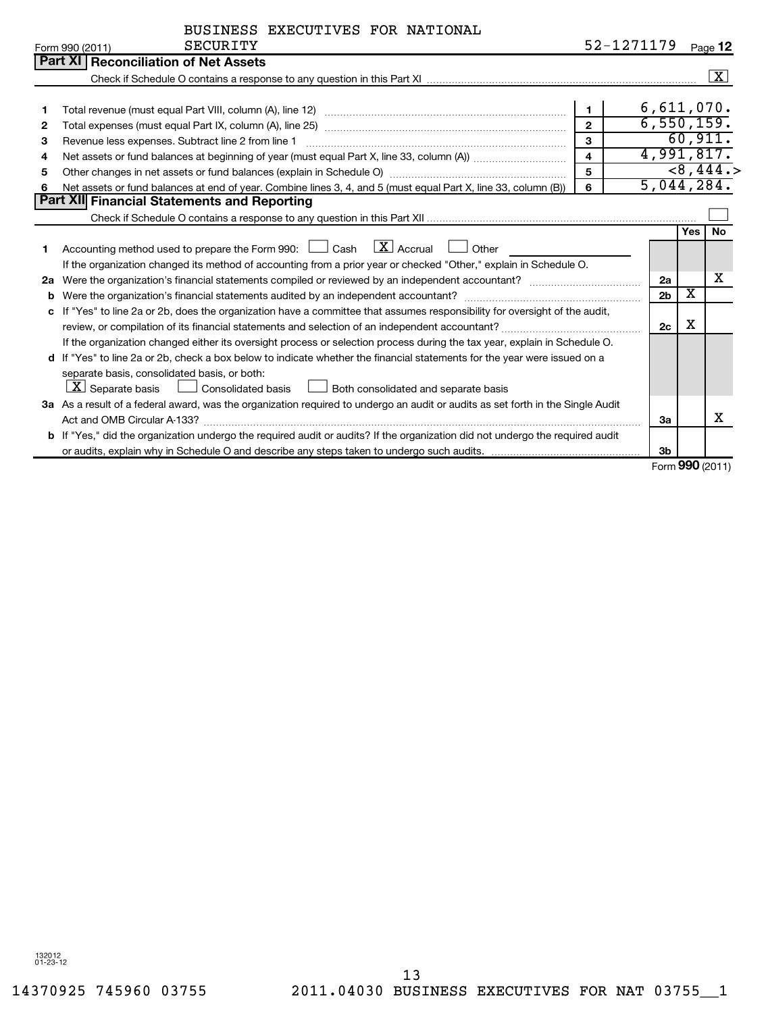| BUSINESS EXECUTIVES FOR NATIONAL |  |
|----------------------------------|--|
|----------------------------------|--|

| 52-1271179 <sub>Page</sub> 12 |  |  |
|-------------------------------|--|--|
|-------------------------------|--|--|

|    | <b>SECURITY</b><br>Form 990 (2011)                                                                                              |                         | 52-1271179 |                |     | Page 12            |
|----|---------------------------------------------------------------------------------------------------------------------------------|-------------------------|------------|----------------|-----|--------------------|
|    | <b>Part XI Reconciliation of Net Assets</b>                                                                                     |                         |            |                |     |                    |
|    |                                                                                                                                 |                         |            |                |     | $\boxed{\text{X}}$ |
|    |                                                                                                                                 |                         |            |                |     |                    |
| 1  |                                                                                                                                 |                         |            | 6,611,070.     |     |                    |
| 2  | 6,550,159.<br>$\overline{2}$                                                                                                    |                         |            |                |     |                    |
| 3  | Revenue less expenses. Subtract line 2 from line 1                                                                              | 3                       |            |                |     | 60,911.            |
| 4  |                                                                                                                                 | $\overline{\mathbf{A}}$ |            | 4,991,817.     |     | <8,444.            |
| 5  | Other changes in net assets or fund balances (explain in Schedule O) manufactured controller than growth of the                 | 5                       |            |                |     |                    |
| 6  | Net assets or fund balances at end of year. Combine lines 3, 4, and 5 (must equal Part X, line 33, column (B))                  | 6                       |            | 5,044,284.     |     |                    |
|    | <b>Part XII</b> Financial Statements and Reporting                                                                              |                         |            |                |     |                    |
|    |                                                                                                                                 |                         |            |                |     |                    |
|    |                                                                                                                                 |                         |            |                | Yes | <b>No</b>          |
|    | Accounting method used to prepare the Form 990: $\Box$ Cash $\Box X$ Accrual $\Box$ Other                                       |                         |            |                |     |                    |
|    | If the organization changed its method of accounting from a prior year or checked "Other," explain in Schedule O.               |                         |            |                |     |                    |
| 2a |                                                                                                                                 |                         |            | 2a             |     | x                  |
| b  |                                                                                                                                 |                         |            | 2 <sub>b</sub> | х   |                    |
| c  | If "Yes" to line 2a or 2b, does the organization have a committee that assumes responsibility for oversight of the audit,       |                         |            |                |     |                    |
|    |                                                                                                                                 |                         |            | 2c             | х   |                    |
|    | If the organization changed either its oversight process or selection process during the tax year, explain in Schedule O.       |                         |            |                |     |                    |
|    | d If "Yes" to line 2a or 2b, check a box below to indicate whether the financial statements for the year were issued on a       |                         |            |                |     |                    |
|    | separate basis, consolidated basis, or both:                                                                                    |                         |            |                |     |                    |
|    | $ \mathbf{X} $ Separate basis $ \Box $ Consolidated basis $ \Box $ Both consolidated and separate basis                         |                         |            |                |     |                    |
|    | 3a As a result of a federal award, was the organization required to undergo an audit or audits as set forth in the Single Audit |                         |            |                |     |                    |
|    |                                                                                                                                 |                         |            | За             |     | x                  |
|    | b If "Yes," did the organization undergo the required audit or audits? If the organization did not undergo the required audit   |                         |            |                |     |                    |
|    |                                                                                                                                 |                         |            | 3 <sub>b</sub> |     |                    |

Form (2011) **990**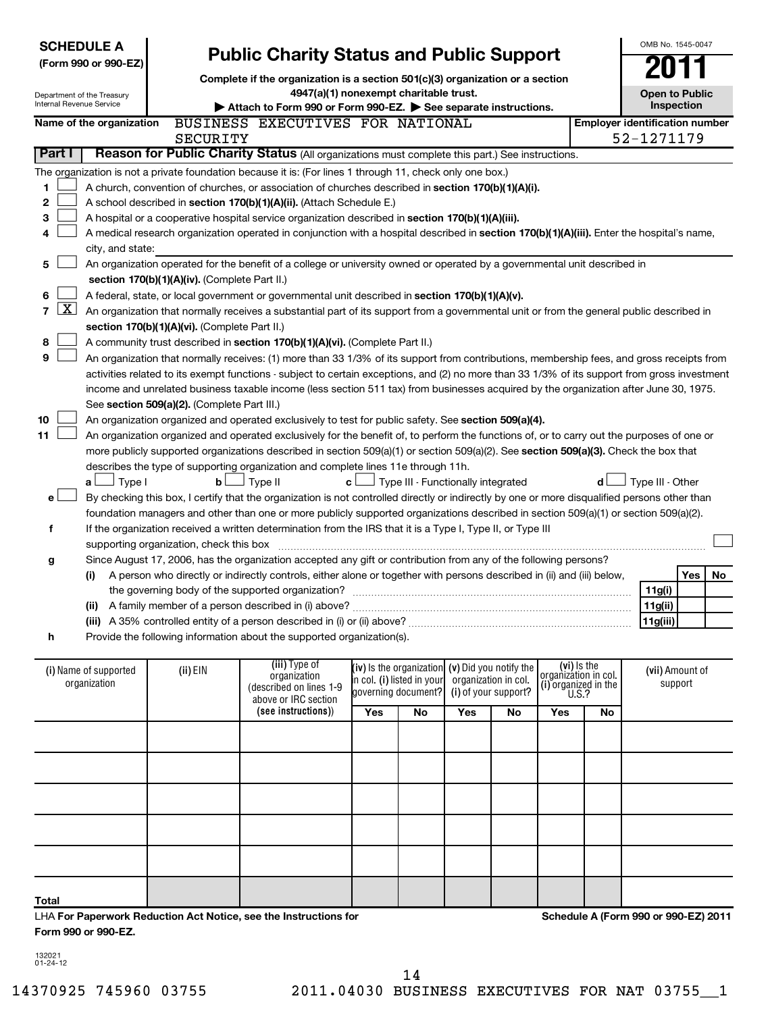| <b>SCHEDULE A</b><br><b>Public Charity Status and Public Support</b><br>(Form 990 or 990-EZ)<br>Complete if the organization is a section 501(c)(3) organization or a section<br>4947(a)(1) nonexempt charitable trust.<br>Department of the Treasury<br>Internal Revenue Service<br>Attach to Form 990 or Form 990-EZ. See separate instructions. |                                                                                                 |                                               |                                                                                                                                                                                                                                                     |     |                                                 |  | OMB No. 1545-0047<br><b>Open to Public</b><br>Inspection |             |     |                                       |     |    |
|----------------------------------------------------------------------------------------------------------------------------------------------------------------------------------------------------------------------------------------------------------------------------------------------------------------------------------------------------|-------------------------------------------------------------------------------------------------|-----------------------------------------------|-----------------------------------------------------------------------------------------------------------------------------------------------------------------------------------------------------------------------------------------------------|-----|-------------------------------------------------|--|----------------------------------------------------------|-------------|-----|---------------------------------------|-----|----|
|                                                                                                                                                                                                                                                                                                                                                    | Name of the organization                                                                        |                                               | BUSINESS EXECUTIVES FOR NATIONAL                                                                                                                                                                                                                    |     |                                                 |  |                                                          |             |     | <b>Employer identification number</b> |     |    |
|                                                                                                                                                                                                                                                                                                                                                    |                                                                                                 | <b>SECURITY</b>                               |                                                                                                                                                                                                                                                     |     |                                                 |  |                                                          |             |     | 52-1271179                            |     |    |
| Part I                                                                                                                                                                                                                                                                                                                                             | Reason for Public Charity Status (All organizations must complete this part.) See instructions. |                                               |                                                                                                                                                                                                                                                     |     |                                                 |  |                                                          |             |     |                                       |     |    |
|                                                                                                                                                                                                                                                                                                                                                    |                                                                                                 |                                               | The organization is not a private foundation because it is: (For lines 1 through 11, check only one box.)                                                                                                                                           |     |                                                 |  |                                                          |             |     |                                       |     |    |
| 1                                                                                                                                                                                                                                                                                                                                                  |                                                                                                 |                                               | A church, convention of churches, or association of churches described in section 170(b)(1)(A)(i).                                                                                                                                                  |     |                                                 |  |                                                          |             |     |                                       |     |    |
| 2                                                                                                                                                                                                                                                                                                                                                  |                                                                                                 |                                               | A school described in section 170(b)(1)(A)(ii). (Attach Schedule E.)                                                                                                                                                                                |     |                                                 |  |                                                          |             |     |                                       |     |    |
| з                                                                                                                                                                                                                                                                                                                                                  |                                                                                                 |                                               | A hospital or a cooperative hospital service organization described in section 170(b)(1)(A)(iii).                                                                                                                                                   |     |                                                 |  |                                                          |             |     |                                       |     |    |
| 4                                                                                                                                                                                                                                                                                                                                                  |                                                                                                 |                                               | A medical research organization operated in conjunction with a hospital described in section 170(b)(1)(A)(iii). Enter the hospital's name,                                                                                                          |     |                                                 |  |                                                          |             |     |                                       |     |    |
|                                                                                                                                                                                                                                                                                                                                                    | city, and state:                                                                                |                                               |                                                                                                                                                                                                                                                     |     |                                                 |  |                                                          |             |     |                                       |     |    |
| 5                                                                                                                                                                                                                                                                                                                                                  |                                                                                                 |                                               | An organization operated for the benefit of a college or university owned or operated by a governmental unit described in                                                                                                                           |     |                                                 |  |                                                          |             |     |                                       |     |    |
|                                                                                                                                                                                                                                                                                                                                                    |                                                                                                 | section 170(b)(1)(A)(iv). (Complete Part II.) |                                                                                                                                                                                                                                                     |     |                                                 |  |                                                          |             |     |                                       |     |    |
| 6                                                                                                                                                                                                                                                                                                                                                  |                                                                                                 |                                               | A federal, state, or local government or governmental unit described in section 170(b)(1)(A)(v).                                                                                                                                                    |     |                                                 |  |                                                          |             |     |                                       |     |    |
| <u>x  </u><br>$\overline{7}$                                                                                                                                                                                                                                                                                                                       |                                                                                                 |                                               | An organization that normally receives a substantial part of its support from a governmental unit or from the general public described in                                                                                                           |     |                                                 |  |                                                          |             |     |                                       |     |    |
|                                                                                                                                                                                                                                                                                                                                                    |                                                                                                 | section 170(b)(1)(A)(vi). (Complete Part II.) |                                                                                                                                                                                                                                                     |     |                                                 |  |                                                          |             |     |                                       |     |    |
| 8                                                                                                                                                                                                                                                                                                                                                  |                                                                                                 |                                               | A community trust described in section 170(b)(1)(A)(vi). (Complete Part II.)                                                                                                                                                                        |     |                                                 |  |                                                          |             |     |                                       |     |    |
| 9                                                                                                                                                                                                                                                                                                                                                  |                                                                                                 |                                               | An organization that normally receives: (1) more than 33 1/3% of its support from contributions, membership fees, and gross receipts from                                                                                                           |     |                                                 |  |                                                          |             |     |                                       |     |    |
|                                                                                                                                                                                                                                                                                                                                                    |                                                                                                 |                                               | activities related to its exempt functions - subject to certain exceptions, and (2) no more than 33 1/3% of its support from gross investment                                                                                                       |     |                                                 |  |                                                          |             |     |                                       |     |    |
|                                                                                                                                                                                                                                                                                                                                                    |                                                                                                 |                                               | income and unrelated business taxable income (less section 511 tax) from businesses acquired by the organization after June 30, 1975.                                                                                                               |     |                                                 |  |                                                          |             |     |                                       |     |    |
|                                                                                                                                                                                                                                                                                                                                                    |                                                                                                 | See section 509(a)(2). (Complete Part III.)   |                                                                                                                                                                                                                                                     |     |                                                 |  |                                                          |             |     |                                       |     |    |
| 10                                                                                                                                                                                                                                                                                                                                                 |                                                                                                 |                                               | An organization organized and operated exclusively to test for public safety. See section 509(a)(4).                                                                                                                                                |     |                                                 |  |                                                          |             |     |                                       |     |    |
| 11                                                                                                                                                                                                                                                                                                                                                 |                                                                                                 |                                               | An organization organized and operated exclusively for the benefit of, to perform the functions of, or to carry out the purposes of one or                                                                                                          |     |                                                 |  |                                                          |             |     |                                       |     |    |
|                                                                                                                                                                                                                                                                                                                                                    |                                                                                                 |                                               | more publicly supported organizations described in section 509(a)(1) or section 509(a)(2). See section 509(a)(3). Check the box that                                                                                                                |     |                                                 |  |                                                          |             |     |                                       |     |    |
|                                                                                                                                                                                                                                                                                                                                                    |                                                                                                 |                                               | describes the type of supporting organization and complete lines 11e through 11h.                                                                                                                                                                   |     |                                                 |  |                                                          |             |     |                                       |     |    |
|                                                                                                                                                                                                                                                                                                                                                    | Type I<br>a L                                                                                   | bl                                            | J Type II                                                                                                                                                                                                                                           | c l | Type III - Functionally integrated              |  |                                                          |             | d l | Type III - Other                      |     |    |
| е                                                                                                                                                                                                                                                                                                                                                  |                                                                                                 |                                               | By checking this box, I certify that the organization is not controlled directly or indirectly by one or more disqualified persons other than                                                                                                       |     |                                                 |  |                                                          |             |     |                                       |     |    |
|                                                                                                                                                                                                                                                                                                                                                    |                                                                                                 |                                               | foundation managers and other than one or more publicly supported organizations described in section 509(a)(1) or section 509(a)(2).<br>If the organization received a written determination from the IRS that it is a Type I, Type II, or Type III |     |                                                 |  |                                                          |             |     |                                       |     |    |
| f                                                                                                                                                                                                                                                                                                                                                  |                                                                                                 | supporting organization, check this box       |                                                                                                                                                                                                                                                     |     |                                                 |  |                                                          |             |     |                                       |     |    |
|                                                                                                                                                                                                                                                                                                                                                    |                                                                                                 |                                               | Since August 17, 2006, has the organization accepted any gift or contribution from any of the following persons?                                                                                                                                    |     |                                                 |  |                                                          |             |     |                                       |     |    |
| g                                                                                                                                                                                                                                                                                                                                                  | (i)                                                                                             |                                               | A person who directly or indirectly controls, either alone or together with persons described in (ii) and (iii) below,                                                                                                                              |     |                                                 |  |                                                          |             |     |                                       | Yes | No |
|                                                                                                                                                                                                                                                                                                                                                    |                                                                                                 |                                               |                                                                                                                                                                                                                                                     |     |                                                 |  |                                                          |             |     | 11g(i)                                |     |    |
|                                                                                                                                                                                                                                                                                                                                                    |                                                                                                 |                                               |                                                                                                                                                                                                                                                     |     |                                                 |  |                                                          |             |     | 11g(ii)                               |     |    |
|                                                                                                                                                                                                                                                                                                                                                    | (ii) A family member of a person described in (i) above?<br>11g(iii)                            |                                               |                                                                                                                                                                                                                                                     |     |                                                 |  |                                                          |             |     |                                       |     |    |
| h                                                                                                                                                                                                                                                                                                                                                  | Provide the following information about the supported organization(s).                          |                                               |                                                                                                                                                                                                                                                     |     |                                                 |  |                                                          |             |     |                                       |     |    |
|                                                                                                                                                                                                                                                                                                                                                    |                                                                                                 |                                               |                                                                                                                                                                                                                                                     |     |                                                 |  |                                                          |             |     |                                       |     |    |
|                                                                                                                                                                                                                                                                                                                                                    | (i) Name of supported                                                                           | (ii) EIN                                      | (iii) Type of                                                                                                                                                                                                                                       |     | (iv) is the organization (v) Did you notify the |  |                                                          | (vi) is the |     | (vii) Amount of                       |     |    |
| organizátion in col.<br>organization<br>in col. (i) listed in your<br>organization in col.<br>organization                                                                                                                                                                                                                                         |                                                                                                 |                                               |                                                                                                                                                                                                                                                     |     | support                                         |  |                                                          |             |     |                                       |     |    |
| (i) organized in the $U.S.$ ?<br>(described on lines 1-9<br>(i) of your support?<br>aovernina document?<br>above or IRC section                                                                                                                                                                                                                    |                                                                                                 |                                               |                                                                                                                                                                                                                                                     |     |                                                 |  |                                                          |             |     |                                       |     |    |
| (see instructions))<br>Yes<br>No<br>Yes<br><b>No</b><br>Yes<br>No                                                                                                                                                                                                                                                                                  |                                                                                                 |                                               |                                                                                                                                                                                                                                                     |     |                                                 |  |                                                          |             |     |                                       |     |    |
|                                                                                                                                                                                                                                                                                                                                                    |                                                                                                 |                                               |                                                                                                                                                                                                                                                     |     |                                                 |  |                                                          |             |     |                                       |     |    |
|                                                                                                                                                                                                                                                                                                                                                    |                                                                                                 |                                               |                                                                                                                                                                                                                                                     |     |                                                 |  |                                                          |             |     |                                       |     |    |
|                                                                                                                                                                                                                                                                                                                                                    |                                                                                                 |                                               |                                                                                                                                                                                                                                                     |     |                                                 |  |                                                          |             |     |                                       |     |    |
|                                                                                                                                                                                                                                                                                                                                                    |                                                                                                 |                                               |                                                                                                                                                                                                                                                     |     |                                                 |  |                                                          |             |     |                                       |     |    |
|                                                                                                                                                                                                                                                                                                                                                    |                                                                                                 |                                               |                                                                                                                                                                                                                                                     |     |                                                 |  |                                                          |             |     |                                       |     |    |
|                                                                                                                                                                                                                                                                                                                                                    |                                                                                                 |                                               |                                                                                                                                                                                                                                                     |     |                                                 |  |                                                          |             |     |                                       |     |    |
|                                                                                                                                                                                                                                                                                                                                                    |                                                                                                 |                                               |                                                                                                                                                                                                                                                     |     |                                                 |  |                                                          |             |     |                                       |     |    |

LHA **For Paperwork Reduction Act Notice, see the Instructions for Form 990 or 990-EZ.**

**Schedule A (Form 990 or 990-EZ) 2011**

132021 01-24-12

**Total**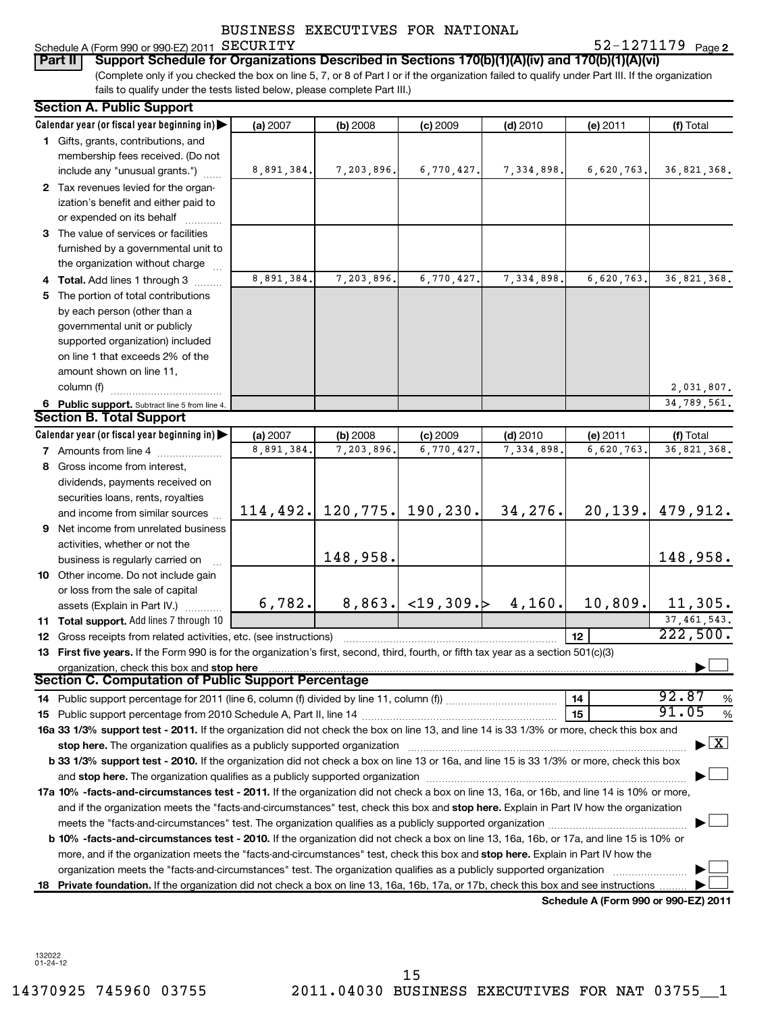| -1271179<br>Schedule A (Form 990 or 990-EZ) 2011 SECURITY<br>Page 2 |
|---------------------------------------------------------------------|
|---------------------------------------------------------------------|

SECURITY 52-1271179

| Part II   Support Schedule for Organizations Described in Sections 170(b)(1)(A)(iv) and 170(b)(1)(A)(vi)                                        |
|-------------------------------------------------------------------------------------------------------------------------------------------------|
| (Complete only if you checked the box on line 5, 7, or 8 of Part I or if the organization failed to qualify under Part III. If the organization |
| fails to qualify under the tests listed below, please complete Part III.)                                                                       |

|    | <b>Section A. Public Support</b>                                                                                                                                                                                               |                        |                       |                           |                         |                                      |                                          |
|----|--------------------------------------------------------------------------------------------------------------------------------------------------------------------------------------------------------------------------------|------------------------|-----------------------|---------------------------|-------------------------|--------------------------------------|------------------------------------------|
|    | Calendar year (or fiscal year beginning in)                                                                                                                                                                                    | (a) 2007               | (b) 2008              | (c) 2009                  | $(d)$ 2010              | (e) 2011                             | (f) Total                                |
|    | 1 Gifts, grants, contributions, and                                                                                                                                                                                            |                        |                       |                           |                         |                                      |                                          |
|    | membership fees received. (Do not                                                                                                                                                                                              |                        |                       |                           |                         |                                      |                                          |
|    | include any "unusual grants.")                                                                                                                                                                                                 | 8,891,384.             | 7,203,896.            | 6,770,427.                | 7,334,898.              | 6,620,763.                           | 36,821,368.                              |
|    | 2 Tax revenues levied for the organ-                                                                                                                                                                                           |                        |                       |                           |                         |                                      |                                          |
|    | ization's benefit and either paid to                                                                                                                                                                                           |                        |                       |                           |                         |                                      |                                          |
|    | or expended on its behalf                                                                                                                                                                                                      |                        |                       |                           |                         |                                      |                                          |
|    | 3 The value of services or facilities                                                                                                                                                                                          |                        |                       |                           |                         |                                      |                                          |
|    | furnished by a governmental unit to                                                                                                                                                                                            |                        |                       |                           |                         |                                      |                                          |
|    | the organization without charge                                                                                                                                                                                                |                        |                       |                           |                         |                                      |                                          |
|    | 4 Total. Add lines 1 through 3                                                                                                                                                                                                 | 8,891,384.             | 7,203,896.            | 6,770,427.                | 7,334,898               | 6,620,763.                           | 36, 821, 368.                            |
| 5. | The portion of total contributions                                                                                                                                                                                             |                        |                       |                           |                         |                                      |                                          |
|    | by each person (other than a                                                                                                                                                                                                   |                        |                       |                           |                         |                                      |                                          |
|    | governmental unit or publicly                                                                                                                                                                                                  |                        |                       |                           |                         |                                      |                                          |
|    | supported organization) included                                                                                                                                                                                               |                        |                       |                           |                         |                                      |                                          |
|    | on line 1 that exceeds 2% of the                                                                                                                                                                                               |                        |                       |                           |                         |                                      |                                          |
|    | amount shown on line 11,<br>column (f)                                                                                                                                                                                         |                        |                       |                           |                         |                                      |                                          |
|    |                                                                                                                                                                                                                                |                        |                       |                           |                         |                                      | 2,031,807.                               |
|    | 6 Public support. Subtract line 5 from line 4.<br><b>Section B. Total Support</b>                                                                                                                                              |                        |                       |                           |                         |                                      | 34,789,561.                              |
|    | Calendar year (or fiscal year beginning in)                                                                                                                                                                                    |                        |                       |                           |                         |                                      |                                          |
|    | <b>7</b> Amounts from line 4                                                                                                                                                                                                   | (a) 2007<br>8,891,384. | (b) 2008<br>7,203,896 | $(c)$ 2009<br>6,770,427   | $(d)$ 2010<br>7,334,898 | (e) 2011<br>6,620,763                | (f) Total<br>36,821,368.                 |
|    | 8 Gross income from interest,                                                                                                                                                                                                  |                        |                       |                           |                         |                                      |                                          |
|    | dividends, payments received on                                                                                                                                                                                                |                        |                       |                           |                         |                                      |                                          |
|    | securities loans, rents, royalties                                                                                                                                                                                             |                        |                       |                           |                         |                                      |                                          |
|    | and income from similar sources                                                                                                                                                                                                | 114, 492.              | 120, 775.             | 190,230.                  | 34,276.                 | 20, 139.                             | 479,912.                                 |
|    | 9 Net income from unrelated business                                                                                                                                                                                           |                        |                       |                           |                         |                                      |                                          |
|    | activities, whether or not the                                                                                                                                                                                                 |                        |                       |                           |                         |                                      |                                          |
|    | business is regularly carried on                                                                                                                                                                                               |                        | 148,958.              |                           |                         |                                      | 148,958.                                 |
|    | <b>10</b> Other income. Do not include gain                                                                                                                                                                                    |                        |                       |                           |                         |                                      |                                          |
|    | or loss from the sale of capital                                                                                                                                                                                               |                        |                       |                           |                         |                                      |                                          |
|    | assets (Explain in Part IV.)                                                                                                                                                                                                   | 6,782.                 |                       | $8,863. <19,309. $ 4,160. |                         | 10,809.                              | 11,305.                                  |
|    | 11 Total support. Add lines 7 through 10                                                                                                                                                                                       |                        |                       |                           |                         |                                      | 37, 461, 543.                            |
|    | <b>12</b> Gross receipts from related activities, etc. (see instructions)                                                                                                                                                      |                        |                       |                           |                         | 12                                   | 222,500.                                 |
|    | 13 First five years. If the Form 990 is for the organization's first, second, third, fourth, or fifth tax year as a section 501(c)(3)                                                                                          |                        |                       |                           |                         |                                      |                                          |
|    | organization, check this box and stop here manufactured and content to the state of the content of the state of the content of the content of the content of the content of the content of the content of the content of the c |                        |                       |                           |                         |                                      |                                          |
|    | <b>Section C. Computation of Public Support Percentage</b>                                                                                                                                                                     |                        |                       |                           |                         |                                      |                                          |
|    |                                                                                                                                                                                                                                |                        |                       |                           |                         | 14                                   | 92.87<br>%                               |
|    |                                                                                                                                                                                                                                |                        |                       |                           |                         | 15                                   | 91.05<br>%                               |
|    | 16a 33 1/3% support test - 2011. If the organization did not check the box on line 13, and line 14 is 33 1/3% or more, check this box and                                                                                      |                        |                       |                           |                         |                                      |                                          |
|    | stop here. The organization qualifies as a publicly supported organization                                                                                                                                                     |                        |                       |                           |                         |                                      | $\blacktriangleright$ $\boxed{\text{X}}$ |
|    | b 33 1/3% support test - 2010. If the organization did not check a box on line 13 or 16a, and line 15 is 33 1/3% or more, check this box                                                                                       |                        |                       |                           |                         |                                      |                                          |
|    |                                                                                                                                                                                                                                |                        |                       |                           |                         |                                      |                                          |
|    | 17a 10% -facts-and-circumstances test - 2011. If the organization did not check a box on line 13, 16a, or 16b, and line 14 is 10% or more,                                                                                     |                        |                       |                           |                         |                                      |                                          |
|    | and if the organization meets the "facts-and-circumstances" test, check this box and stop here. Explain in Part IV how the organization                                                                                        |                        |                       |                           |                         |                                      |                                          |
|    |                                                                                                                                                                                                                                |                        |                       |                           |                         |                                      |                                          |
|    | b 10% -facts-and-circumstances test - 2010. If the organization did not check a box on line 13, 16a, 16b, or 17a, and line 15 is 10% or                                                                                        |                        |                       |                           |                         |                                      |                                          |
|    | more, and if the organization meets the "facts-and-circumstances" test, check this box and stop here. Explain in Part IV how the                                                                                               |                        |                       |                           |                         |                                      |                                          |
|    | organization meets the "facts-and-circumstances" test. The organization qualifies as a publicly supported organization                                                                                                         |                        |                       |                           |                         |                                      |                                          |
|    | 18 Private foundation. If the organization did not check a box on line 13, 16a, 16b, 17a, or 17b, check this box and see instructions.                                                                                         |                        |                       |                           |                         |                                      |                                          |
|    |                                                                                                                                                                                                                                |                        |                       |                           |                         | Schedule A (Form 990 or 990-EZ) 2011 |                                          |

132022 01-24-12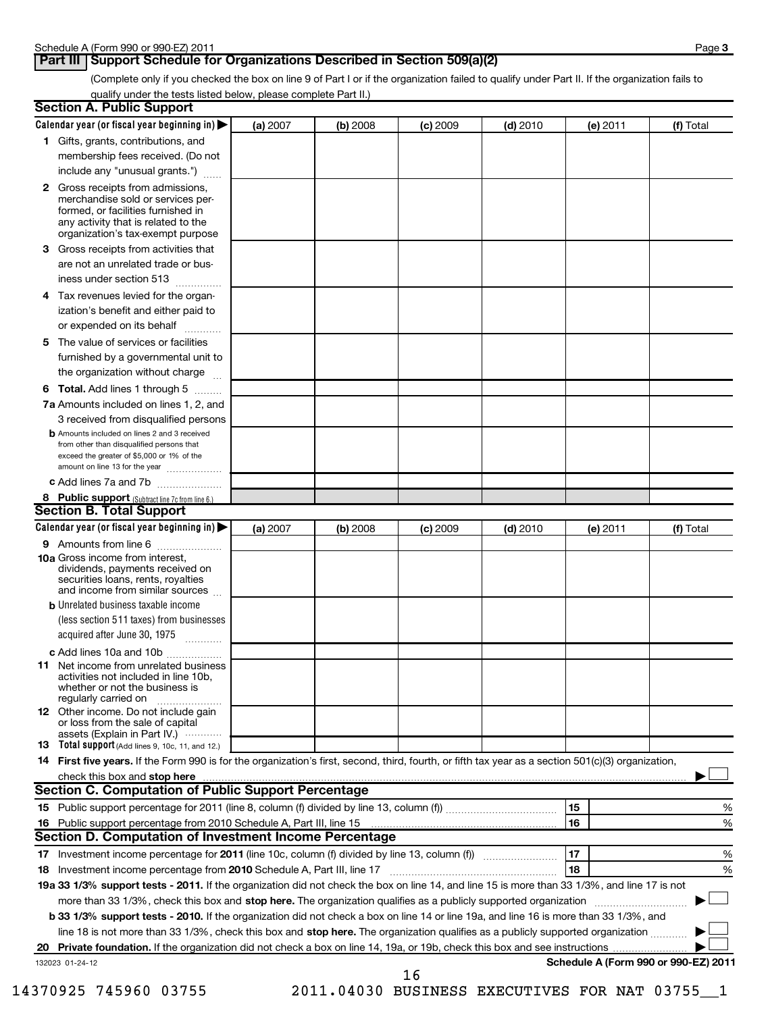#### **Part III Support Schedule for Organizations Described in Section 509(a)(2)**

(Complete only if you checked the box on line 9 of Part I or if the organization failed to qualify under Part II. If the organization fails to qualify under the tests listed below, please complete Part II.)

| <b>Section A. Public Support</b>                                                                                                                                                                |          |          |            |            |          |                                      |
|-------------------------------------------------------------------------------------------------------------------------------------------------------------------------------------------------|----------|----------|------------|------------|----------|--------------------------------------|
| Calendar year (or fiscal year beginning in)                                                                                                                                                     | (a) 2007 | (b) 2008 | $(c)$ 2009 | $(d)$ 2010 | (e) 2011 | (f) Total                            |
| 1 Gifts, grants, contributions, and                                                                                                                                                             |          |          |            |            |          |                                      |
| membership fees received. (Do not                                                                                                                                                               |          |          |            |            |          |                                      |
| include any "unusual grants.")                                                                                                                                                                  |          |          |            |            |          |                                      |
| <b>2</b> Gross receipts from admissions,<br>merchandise sold or services per-<br>formed, or facilities furnished in<br>any activity that is related to the<br>organization's tax-exempt purpose |          |          |            |            |          |                                      |
| <b>3</b> Gross receipts from activities that<br>are not an unrelated trade or bus-                                                                                                              |          |          |            |            |          |                                      |
| iness under section 513                                                                                                                                                                         |          |          |            |            |          |                                      |
| 4 Tax revenues levied for the organ-<br>ization's benefit and either paid to<br>or expended on its behalf                                                                                       |          |          |            |            |          |                                      |
| 5 The value of services or facilities                                                                                                                                                           |          |          |            |            |          |                                      |
| furnished by a governmental unit to<br>the organization without charge                                                                                                                          |          |          |            |            |          |                                      |
| <b>6 Total.</b> Add lines 1 through 5                                                                                                                                                           |          |          |            |            |          |                                      |
| 7a Amounts included on lines 1, 2, and                                                                                                                                                          |          |          |            |            |          |                                      |
| 3 received from disqualified persons                                                                                                                                                            |          |          |            |            |          |                                      |
| <b>b</b> Amounts included on lines 2 and 3 received<br>from other than disqualified persons that<br>exceed the greater of \$5,000 or 1% of the<br>amount on line 13 for the year                |          |          |            |            |          |                                      |
| c Add lines 7a and 7b                                                                                                                                                                           |          |          |            |            |          |                                      |
| 8 Public support (Subtract line 7c from line 6.)                                                                                                                                                |          |          |            |            |          |                                      |
| <b>Section B. Total Support</b>                                                                                                                                                                 |          |          |            |            |          |                                      |
| Calendar year (or fiscal year beginning in)                                                                                                                                                     | (a) 2007 | (b) 2008 | (c) 2009   | $(d)$ 2010 | (e) 2011 | (f) Total                            |
| 9 Amounts from line 6                                                                                                                                                                           |          |          |            |            |          |                                      |
| <b>10a</b> Gross income from interest,<br>dividends, payments received on<br>securities loans, rents, royalties<br>and income from similar sources                                              |          |          |            |            |          |                                      |
| <b>b</b> Unrelated business taxable income                                                                                                                                                      |          |          |            |            |          |                                      |
| (less section 511 taxes) from businesses<br>acquired after June 30, 1975<br>1.1.1.1.1.1.1.1.1.1                                                                                                 |          |          |            |            |          |                                      |
| c Add lines 10a and 10b                                                                                                                                                                         |          |          |            |            |          |                                      |
| 11 Net income from unrelated business<br>activities not included in line 10b.<br>whether or not the business is<br>regularly carried on                                                         |          |          |            |            |          |                                      |
| 12 Other income. Do not include gain<br>or loss from the sale of capital<br>assets (Explain in Part IV.) $\cdots$                                                                               |          |          |            |            |          |                                      |
| 13 Total support (Add lines 9, 10c, 11, and 12.)                                                                                                                                                |          |          |            |            |          |                                      |
| 14 First five years. If the Form 990 is for the organization's first, second, third, fourth, or fifth tax year as a section 501(c)(3) organization,                                             |          |          |            |            |          |                                      |
|                                                                                                                                                                                                 |          |          |            |            |          |                                      |
| <b>Section C. Computation of Public Support Percentage</b>                                                                                                                                      |          |          |            |            |          |                                      |
|                                                                                                                                                                                                 |          |          |            |            | 15       | %                                    |
| 16 Public support percentage from 2010 Schedule A, Part III, line 15                                                                                                                            |          |          |            |            | 16       | %                                    |
| Section D. Computation of Investment Income Percentage                                                                                                                                          |          |          |            |            |          |                                      |
| 17 Investment income percentage for 2011 (line 10c, column (f) divided by line 13, column (f))                                                                                                  |          |          |            |            | 17       | %                                    |
| 18 Investment income percentage from 2010 Schedule A, Part III, line 17                                                                                                                         |          |          |            |            | 18       | %                                    |
| 19a 33 1/3% support tests - 2011. If the organization did not check the box on line 14, and line 15 is more than 33 1/3%, and line 17 is not                                                    |          |          |            |            |          |                                      |
| more than 33 1/3%, check this box and stop here. The organization qualifies as a publicly supported organization                                                                                |          |          |            |            |          |                                      |
| b 33 1/3% support tests - 2010. If the organization did not check a box on line 14 or line 19a, and line 16 is more than 33 1/3%, and                                                           |          |          |            |            |          |                                      |
| line 18 is not more than 33 1/3%, check this box and stop here. The organization qualifies as a publicly supported organization                                                                 |          |          |            |            |          |                                      |
| 132023 01-24-12                                                                                                                                                                                 |          |          |            |            |          | Schedule A (Form 990 or 990-EZ) 2011 |
|                                                                                                                                                                                                 |          |          | 16         |            |          |                                      |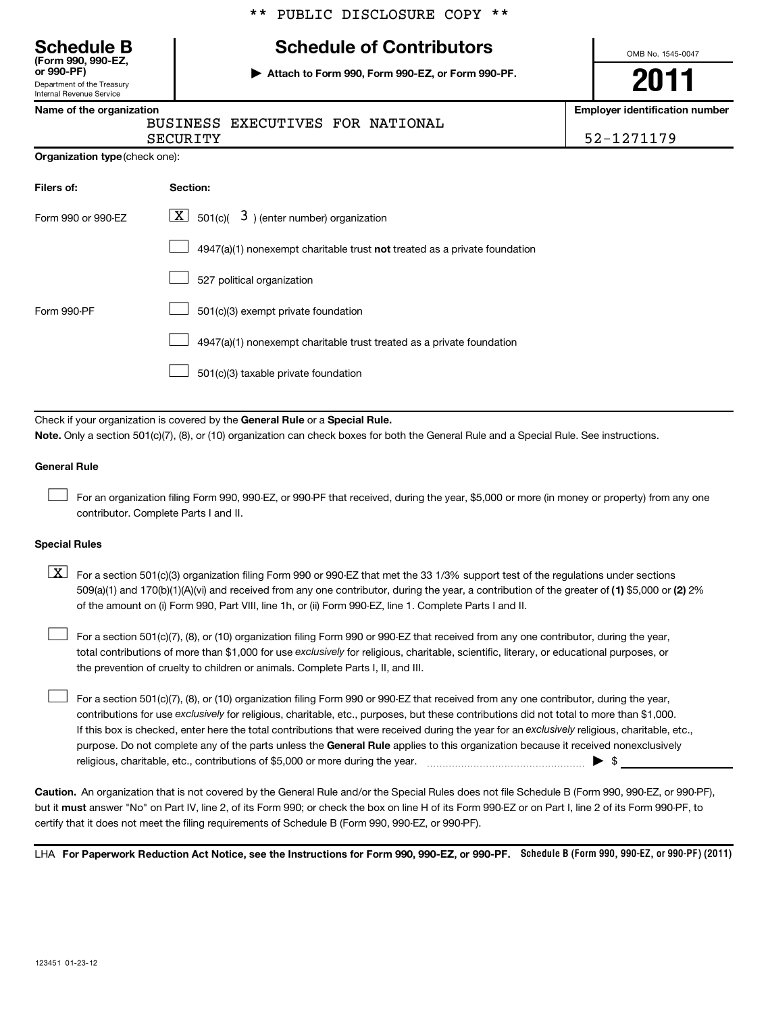|  |  | ** PUBLIC DISCLOSURE COPY ** |  |  |
|--|--|------------------------------|--|--|
|--|--|------------------------------|--|--|

**or 990-PF) | Attach to Form 990, Form 990-EZ, or Form 990-PF.**

# **(Form 990, 990-EZ, Schedule B Schedule of Contributors**

Department of the Treasury

#### Internal Revenue Service

#### **Name of the organization Employer identification number** BUSINESS EXECUTIVES FOR NATIONAL

OMB No. 1545-0047

**2011**

SECURITY SECURITY SECURITY

| <b>Organization type</b> (check one): |
|---------------------------------------|
|                                       |

| Filers of:         | Section:                                                                    |
|--------------------|-----------------------------------------------------------------------------|
| Form 990 or 990-FZ | $\lfloor \underline{X} \rfloor$ 501(c)( 3) (enter number) organization      |
|                    | $4947(a)(1)$ nonexempt charitable trust not treated as a private foundation |
|                    | 527 political organization                                                  |
| Form 990-PF        | 501(c)(3) exempt private foundation                                         |
|                    | 4947(a)(1) nonexempt charitable trust treated as a private foundation       |
|                    | 501(c)(3) taxable private foundation                                        |

Check if your organization is covered by the General Rule or a Special Rule. **Note.**  Only a section 501(c)(7), (8), or (10) organization can check boxes for both the General Rule and a Special Rule. See instructions.

#### **General Rule**

For an organization filing Form 990, 990-EZ, or 990-PF that received, during the year, \$5,000 or more (in money or property) from any one contributor. Complete Parts I and II.  $\left\vert \cdot\right\vert$ 

#### **Special Rules**

509(a)(1) and 170(b)(1)(A)(vi) and received from any one contributor, during the year, a contribution of the greater of (1**)** \$5,000 or (**2**) 2%  $\boxed{\textbf{X}}$  For a section 501(c)(3) organization filing Form 990 or 990-EZ that met the 33 1/3% support test of the regulations under sections of the amount on (i) Form 990, Part VIII, line 1h, or (ii) Form 990-EZ, line 1. Complete Parts I and II.

total contributions of more than \$1,000 for use exclusively for religious, charitable, scientific, literary, or educational purposes, or For a section 501(c)(7), (8), or (10) organization filing Form 990 or 990-EZ that received from any one contributor, during the year, the prevention of cruelty to children or animals. Complete Parts I, II, and III.  $\left\vert \cdot\right\vert$ 

purpose. Do not complete any of the parts unless the General Rule applies to this organization because it received nonexclusively contributions for use exclusively for religious, charitable, etc., purposes, but these contributions did not total to more than \$1,000. If this box is checked, enter here the total contributions that were received during the year for an exclusively religious, charitable, etc., For a section 501(c)(7), (8), or (10) organization filing Form 990 or 990-EZ that received from any one contributor, during the year, religious, charitable, etc., contributions of \$5,000 or more during the year. ~~~~~~~~~~~~~~~~~ | \$  $\left\vert \cdot\right\vert$ 

**Caution.** An organization that is not covered by the General Rule and/or the Special Rules does not file Schedule B (Form 990, 990-EZ, or 990-PF), but it **must** answer "No" on Part IV, line 2, of its Form 990; or check the box on line H of its Form 990-EZ or on Part I, line 2 of its Form 990-PF, to certify that it does not meet the filing requirements of Schedule B (Form 990, 990-EZ, or 990-PF).

LHA For Paperwork Reduction Act Notice, see the Instructions for Form 990, 990-EZ, or 990-PF. Schedule B (Form 990, 990-EZ, or 990-PF) (2011)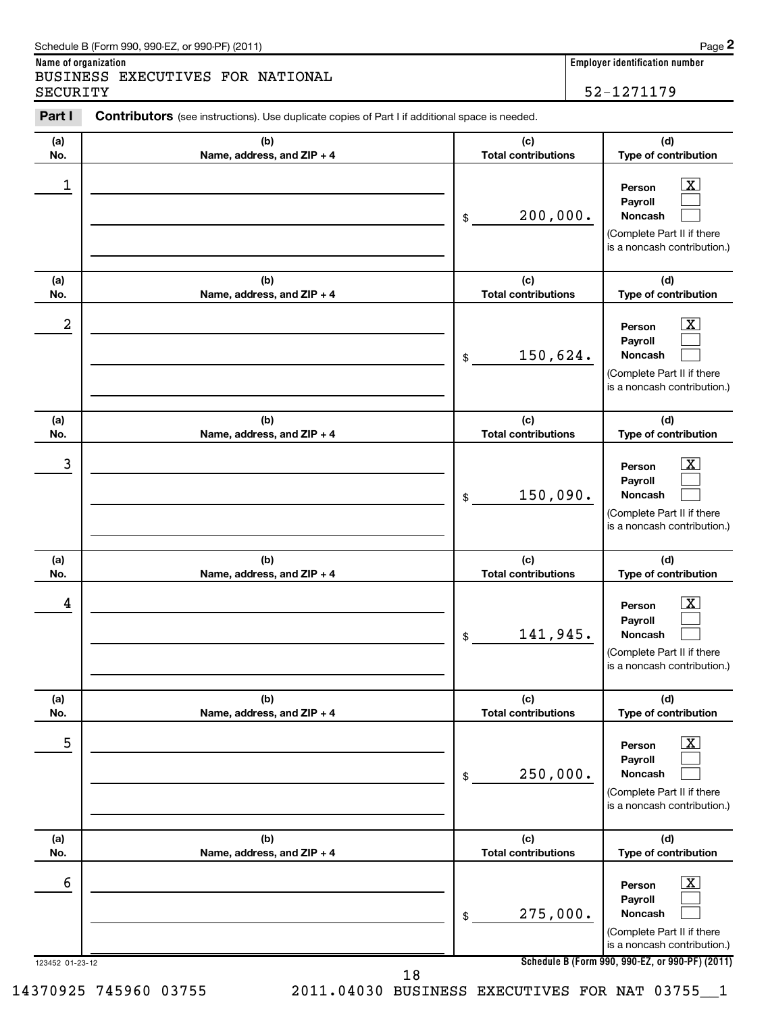| Schedule B (Form 990, 990-EZ, or 990-PF) (2011)                                                                 | Page 2                         |
|-----------------------------------------------------------------------------------------------------------------|--------------------------------|
| Name of organization                                                                                            | Emplover identification number |
| BUSINESS EXECUTIVES FOR NATIONAL                                                                                |                                |
| SECURITY                                                                                                        | 52-1271179                     |
| Part I<br><b>Contributors</b> (see instructions). Use duplicate copies of Part I if additional space is needed. |                                |

| 1<br>x<br>Person<br>Payroll<br>200,000.<br><b>Noncash</b><br>\$<br>(c)<br>(d)<br>(b)<br>(a)<br><b>Total contributions</b><br>No.<br>Name, address, and ZIP + 4<br>2<br>Person<br>Payroll<br>150,624.<br><b>Noncash</b><br>\$<br>(b)<br>(c)<br>(d)<br>(a)<br><b>Total contributions</b><br>Name, address, and ZIP + 4<br>No.<br>3<br>x<br>Person<br>Payroll<br>150,090.<br><b>Noncash</b><br>\$<br>(b)<br>(c)<br>(d)<br>(a)<br><b>Total contributions</b><br>Name, address, and ZIP + 4<br>No.<br>4<br><u>х</u><br>Person<br>Payroll<br>141,945.<br><b>Noncash</b><br>\$<br>(a)<br>(b)<br>(c)<br>(d)<br>No.<br>Name, address, and ZIP + 4<br><b>Total contributions</b><br>5<br>$\boxed{\text{X}}$<br>Person<br>Payroll<br>250,000.<br>Noncash<br>\$<br>(b)<br>(c)<br>(d)<br>(a)<br><b>Total contributions</b><br>No.<br>Name, address, and ZIP + 4<br>$\boxed{\text{X}}$<br>6<br>Person<br>Payroll<br>275,000.<br>Noncash<br>$\$$ | (a)<br>No. | (b)<br>Name, address, and ZIP + 4 | (c)<br><b>Total contributions</b> | (d)<br>Type of contribution                               |
|-----------------------------------------------------------------------------------------------------------------------------------------------------------------------------------------------------------------------------------------------------------------------------------------------------------------------------------------------------------------------------------------------------------------------------------------------------------------------------------------------------------------------------------------------------------------------------------------------------------------------------------------------------------------------------------------------------------------------------------------------------------------------------------------------------------------------------------------------------------------------------------------------------------------------------------|------------|-----------------------------------|-----------------------------------|-----------------------------------------------------------|
|                                                                                                                                                                                                                                                                                                                                                                                                                                                                                                                                                                                                                                                                                                                                                                                                                                                                                                                                   |            |                                   |                                   | (Complete Part II if there<br>is a noncash contribution.) |
|                                                                                                                                                                                                                                                                                                                                                                                                                                                                                                                                                                                                                                                                                                                                                                                                                                                                                                                                   |            |                                   |                                   | Type of contribution                                      |
|                                                                                                                                                                                                                                                                                                                                                                                                                                                                                                                                                                                                                                                                                                                                                                                                                                                                                                                                   |            |                                   |                                   | (Complete Part II if there<br>is a noncash contribution.) |
|                                                                                                                                                                                                                                                                                                                                                                                                                                                                                                                                                                                                                                                                                                                                                                                                                                                                                                                                   |            |                                   |                                   | Type of contribution                                      |
|                                                                                                                                                                                                                                                                                                                                                                                                                                                                                                                                                                                                                                                                                                                                                                                                                                                                                                                                   |            |                                   |                                   | (Complete Part II if there<br>is a noncash contribution.) |
|                                                                                                                                                                                                                                                                                                                                                                                                                                                                                                                                                                                                                                                                                                                                                                                                                                                                                                                                   |            |                                   |                                   | Type of contribution                                      |
|                                                                                                                                                                                                                                                                                                                                                                                                                                                                                                                                                                                                                                                                                                                                                                                                                                                                                                                                   |            |                                   |                                   | (Complete Part II if there<br>is a noncash contribution.) |
|                                                                                                                                                                                                                                                                                                                                                                                                                                                                                                                                                                                                                                                                                                                                                                                                                                                                                                                                   |            |                                   |                                   | Type of contribution                                      |
|                                                                                                                                                                                                                                                                                                                                                                                                                                                                                                                                                                                                                                                                                                                                                                                                                                                                                                                                   |            |                                   |                                   | (Complete Part II if there<br>is a noncash contribution.) |
|                                                                                                                                                                                                                                                                                                                                                                                                                                                                                                                                                                                                                                                                                                                                                                                                                                                                                                                                   |            |                                   |                                   | Type of contribution                                      |
| Schedule B (Form 990, 990-EZ, or 990-PF) (2011)<br>123452 01-23-12<br>18                                                                                                                                                                                                                                                                                                                                                                                                                                                                                                                                                                                                                                                                                                                                                                                                                                                          |            |                                   |                                   | (Complete Part II if there<br>is a noncash contribution.) |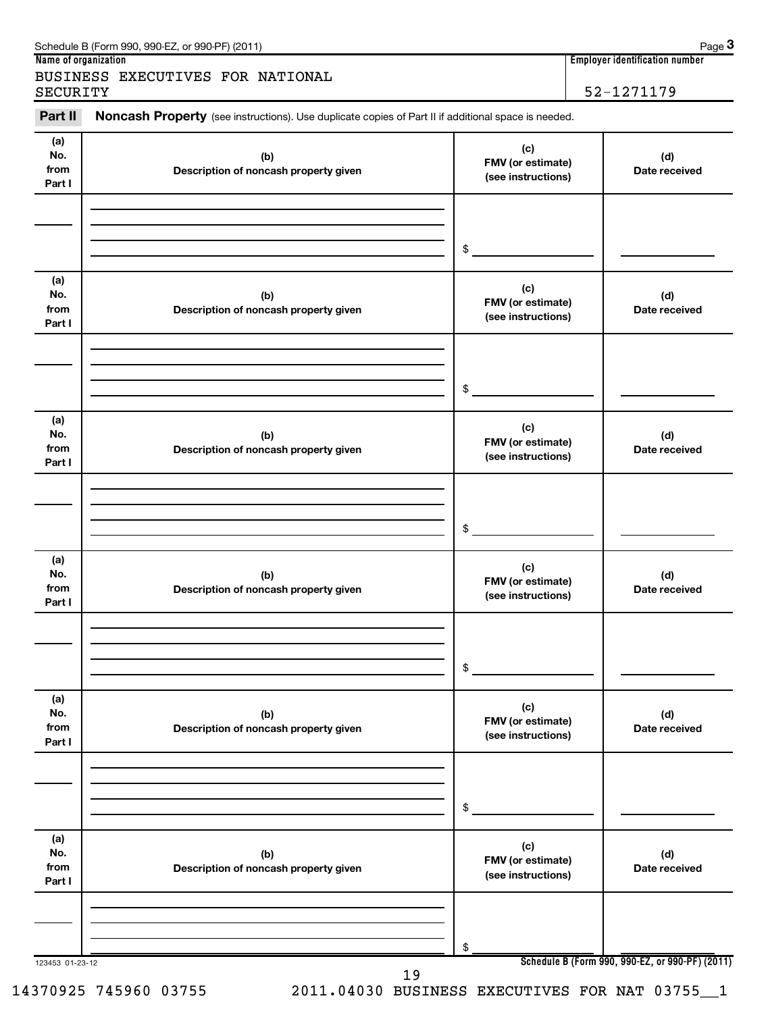| Schedule B (Form 990, 990-EZ, or 990-PF) (2011)                                                                       | Page 3                                |
|-----------------------------------------------------------------------------------------------------------------------|---------------------------------------|
| Name of organization                                                                                                  | <b>Employer identification number</b> |
| BUSINESS EXECUTIVES FOR NATIONAL                                                                                      |                                       |
| SECURITY                                                                                                              | 52-1271179                            |
| Part II<br><b>Noncash Property</b> (see instructions). Use duplicate copies of Part II if additional space is needed. |                                       |

| (a)<br>No.<br>from<br>Part I | (b)<br>Description of noncash property given | (c)<br>FMV (or estimate)<br>(see instructions) | (d)<br>Date received                            |
|------------------------------|----------------------------------------------|------------------------------------------------|-------------------------------------------------|
|                              |                                              | \$                                             |                                                 |
|                              |                                              |                                                |                                                 |
| (a)<br>No.<br>from<br>Part I | (b)<br>Description of noncash property given | (c)<br>FMV (or estimate)<br>(see instructions) | (d)<br>Date received                            |
|                              |                                              |                                                |                                                 |
|                              |                                              |                                                |                                                 |
|                              |                                              | \$                                             |                                                 |
| (a)<br>No.<br>from<br>Part I | (b)<br>Description of noncash property given | (c)<br>FMV (or estimate)<br>(see instructions) | (d)<br>Date received                            |
|                              |                                              |                                                |                                                 |
|                              |                                              |                                                |                                                 |
|                              |                                              |                                                |                                                 |
|                              |                                              | \$                                             |                                                 |
| (a)<br>No.<br>from<br>Part I | (b)<br>Description of noncash property given | (c)<br>FMV (or estimate)<br>(see instructions) | (d)<br>Date received                            |
|                              |                                              |                                                |                                                 |
|                              |                                              |                                                |                                                 |
|                              |                                              |                                                |                                                 |
|                              |                                              | \$                                             |                                                 |
| (a)<br>No.<br>from<br>Part I | (b)<br>Description of noncash property given | (c)<br>FMV (or estimate)<br>(see instructions) | (d)<br>Date received                            |
|                              |                                              |                                                |                                                 |
|                              |                                              |                                                |                                                 |
|                              |                                              | \$                                             |                                                 |
|                              |                                              |                                                |                                                 |
| (a)                          |                                              | (c)                                            |                                                 |
| No.<br>from                  | (b)                                          | FMV (or estimate)                              | (d)                                             |
| Part I                       | Description of noncash property given        | (see instructions)                             | Date received                                   |
|                              |                                              |                                                |                                                 |
|                              |                                              |                                                |                                                 |
|                              |                                              |                                                |                                                 |
|                              |                                              | \$                                             |                                                 |
| 123453 01-23-12              | 19                                           |                                                | Schedule B (Form 990, 990-EZ, or 990-PF) (2011) |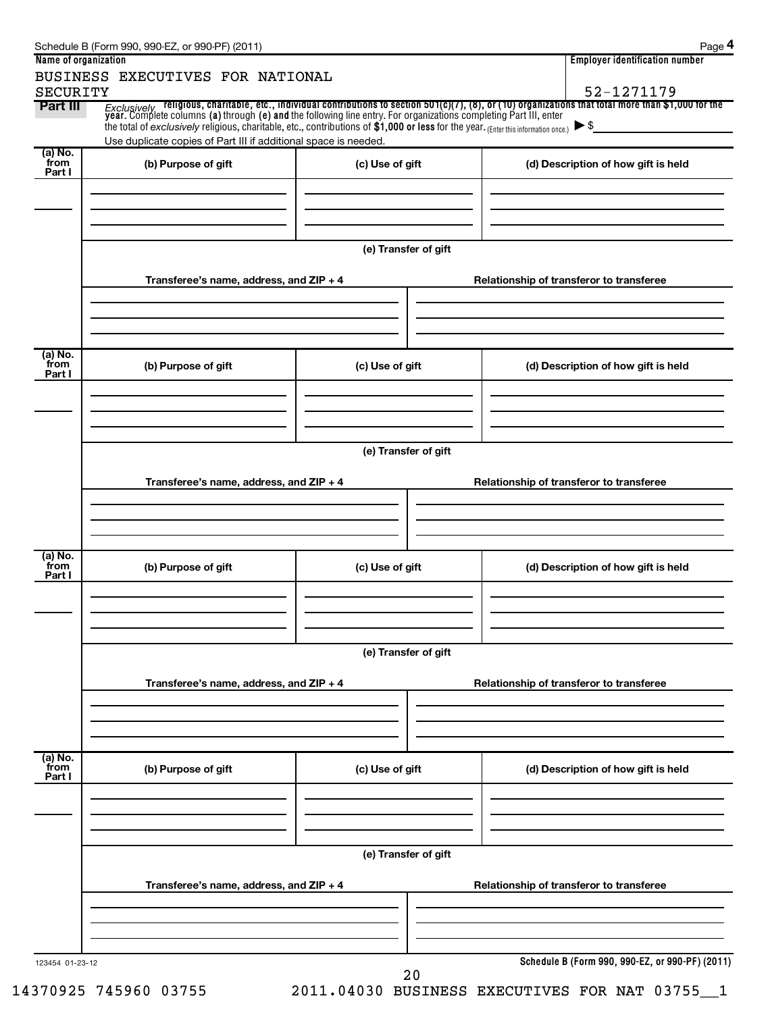| Name of organization        | BUSINESS EXECUTIVES FOR NATIONAL                                                                                                    |                      | <b>Employer identification number</b>                                                                                                                                                                                                                                        |  |  |  |  |  |
|-----------------------------|-------------------------------------------------------------------------------------------------------------------------------------|----------------------|------------------------------------------------------------------------------------------------------------------------------------------------------------------------------------------------------------------------------------------------------------------------------|--|--|--|--|--|
| <b>SECURITY</b><br>Part III | the total of exclusively religious, charitable, etc., contributions of \$1,000 or less for the year. (Enter this information once.) |                      | 52-1271179<br>Exclusively religious, charitable, etc., individual contributions to section 501(c)(7), (8), or (10) organizations that total more than \$1,000 for the<br>year. Complete columns (a) through (e) and the following line entry. Fo<br>$\blacktriangleright$ \$ |  |  |  |  |  |
|                             | Use duplicate copies of Part III if additional space is needed.                                                                     |                      |                                                                                                                                                                                                                                                                              |  |  |  |  |  |
| (a) No.<br>from<br>Part I   | (b) Purpose of gift                                                                                                                 | (c) Use of gift      | (d) Description of how gift is held                                                                                                                                                                                                                                          |  |  |  |  |  |
|                             |                                                                                                                                     | (e) Transfer of gift |                                                                                                                                                                                                                                                                              |  |  |  |  |  |
|                             | Transferee's name, address, and ZIP + 4                                                                                             |                      | Relationship of transferor to transferee                                                                                                                                                                                                                                     |  |  |  |  |  |
| (a) No.<br>from<br>Part I   | (b) Purpose of gift                                                                                                                 | (c) Use of gift      | (d) Description of how gift is held                                                                                                                                                                                                                                          |  |  |  |  |  |
|                             | Transferee's name, address, and ZIP + 4                                                                                             | (e) Transfer of gift | Relationship of transferor to transferee                                                                                                                                                                                                                                     |  |  |  |  |  |
| (a) No.<br>from<br>Part I   | (b) Purpose of gift                                                                                                                 | (c) Use of gift      | (d) Description of how gift is held                                                                                                                                                                                                                                          |  |  |  |  |  |
|                             | Transferee's name, address, and ZIP + 4                                                                                             | (e) Transfer of gift | Relationship of transferor to transferee                                                                                                                                                                                                                                     |  |  |  |  |  |
| (a) No.<br>from<br>Part I   | (b) Purpose of gift                                                                                                                 | (c) Use of gift      | (d) Description of how gift is held                                                                                                                                                                                                                                          |  |  |  |  |  |
|                             | (e) Transfer of gift                                                                                                                |                      |                                                                                                                                                                                                                                                                              |  |  |  |  |  |
|                             | Transferee's name, address, and ZIP + 4                                                                                             |                      | Relationship of transferor to transferee                                                                                                                                                                                                                                     |  |  |  |  |  |
| 123454 01-23-12             |                                                                                                                                     | 20                   | Schedule B (Form 990, 990-EZ, or 990-PF) (2011)                                                                                                                                                                                                                              |  |  |  |  |  |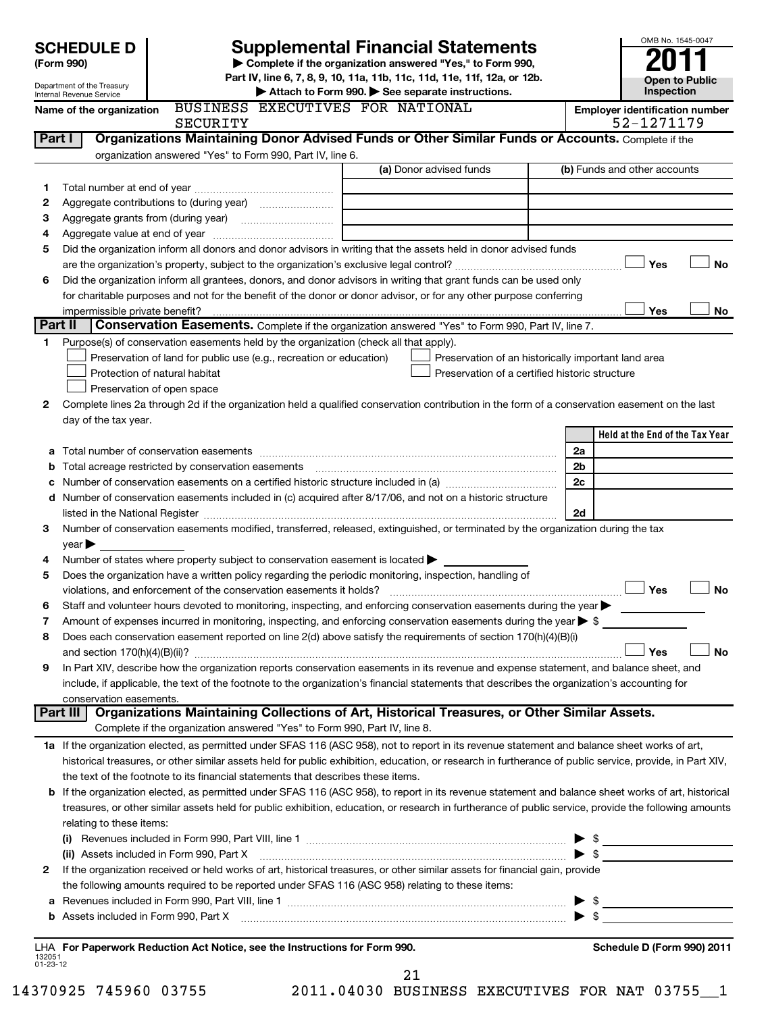|                    | <b>SCHEDULE D</b>                                    |                                                                                                                                                              | <b>Supplemental Financial Statements</b>                                                                                                                                                                                                                                                                                                                          |                          | OMB No. 1545-0047                     |  |  |  |  |
|--------------------|------------------------------------------------------|--------------------------------------------------------------------------------------------------------------------------------------------------------------|-------------------------------------------------------------------------------------------------------------------------------------------------------------------------------------------------------------------------------------------------------------------------------------------------------------------------------------------------------------------|--------------------------|---------------------------------------|--|--|--|--|
|                    | (Form 990)                                           |                                                                                                                                                              | Complete if the organization answered "Yes," to Form 990,                                                                                                                                                                                                                                                                                                         |                          |                                       |  |  |  |  |
|                    | Department of the Treasury                           |                                                                                                                                                              | Part IV, line 6, 7, 8, 9, 10, 11a, 11b, 11c, 11d, 11e, 11f, 12a, or 12b.                                                                                                                                                                                                                                                                                          |                          | <b>Open to Public</b><br>Inspection   |  |  |  |  |
|                    | Internal Revenue Service<br>Name of the organization | BUSINESS EXECUTIVES FOR NATIONAL                                                                                                                             | Attach to Form 990. See separate instructions.                                                                                                                                                                                                                                                                                                                    |                          | <b>Employer identification number</b> |  |  |  |  |
|                    |                                                      | SECURITY                                                                                                                                                     |                                                                                                                                                                                                                                                                                                                                                                   |                          | 52-1271179                            |  |  |  |  |
| Part I             |                                                      |                                                                                                                                                              | Organizations Maintaining Donor Advised Funds or Other Similar Funds or Accounts. Complete if the                                                                                                                                                                                                                                                                 |                          |                                       |  |  |  |  |
|                    |                                                      | organization answered "Yes" to Form 990, Part IV, line 6.                                                                                                    |                                                                                                                                                                                                                                                                                                                                                                   |                          |                                       |  |  |  |  |
|                    |                                                      |                                                                                                                                                              | (a) Donor advised funds                                                                                                                                                                                                                                                                                                                                           |                          | (b) Funds and other accounts          |  |  |  |  |
| 1                  |                                                      |                                                                                                                                                              |                                                                                                                                                                                                                                                                                                                                                                   |                          |                                       |  |  |  |  |
| 2<br>3             |                                                      |                                                                                                                                                              |                                                                                                                                                                                                                                                                                                                                                                   |                          |                                       |  |  |  |  |
| 4                  |                                                      |                                                                                                                                                              |                                                                                                                                                                                                                                                                                                                                                                   |                          |                                       |  |  |  |  |
| 5                  |                                                      |                                                                                                                                                              | Did the organization inform all donors and donor advisors in writing that the assets held in donor advised funds                                                                                                                                                                                                                                                  |                          |                                       |  |  |  |  |
|                    |                                                      |                                                                                                                                                              |                                                                                                                                                                                                                                                                                                                                                                   |                          | Yes<br><b>No</b>                      |  |  |  |  |
| 6                  |                                                      |                                                                                                                                                              | Did the organization inform all grantees, donors, and donor advisors in writing that grant funds can be used only                                                                                                                                                                                                                                                 |                          |                                       |  |  |  |  |
|                    |                                                      |                                                                                                                                                              | for charitable purposes and not for the benefit of the donor or donor advisor, or for any other purpose conferring                                                                                                                                                                                                                                                |                          |                                       |  |  |  |  |
|                    | impermissible private benefit?                       |                                                                                                                                                              |                                                                                                                                                                                                                                                                                                                                                                   |                          | Yes<br><b>No</b>                      |  |  |  |  |
| 1.                 | Part II                                              |                                                                                                                                                              | Conservation Easements. Complete if the organization answered "Yes" to Form 990, Part IV, line 7.                                                                                                                                                                                                                                                                 |                          |                                       |  |  |  |  |
|                    |                                                      | Purpose(s) of conservation easements held by the organization (check all that apply).<br>Preservation of land for public use (e.g., recreation or education) | Preservation of an historically important land area                                                                                                                                                                                                                                                                                                               |                          |                                       |  |  |  |  |
|                    |                                                      | Protection of natural habitat                                                                                                                                | Preservation of a certified historic structure                                                                                                                                                                                                                                                                                                                    |                          |                                       |  |  |  |  |
|                    |                                                      | Preservation of open space                                                                                                                                   |                                                                                                                                                                                                                                                                                                                                                                   |                          |                                       |  |  |  |  |
| 2                  |                                                      |                                                                                                                                                              | Complete lines 2a through 2d if the organization held a qualified conservation contribution in the form of a conservation easement on the last                                                                                                                                                                                                                    |                          |                                       |  |  |  |  |
|                    | day of the tax year.                                 |                                                                                                                                                              |                                                                                                                                                                                                                                                                                                                                                                   |                          |                                       |  |  |  |  |
|                    |                                                      |                                                                                                                                                              |                                                                                                                                                                                                                                                                                                                                                                   |                          | Held at the End of the Tax Year       |  |  |  |  |
| а                  |                                                      |                                                                                                                                                              |                                                                                                                                                                                                                                                                                                                                                                   | 2a                       |                                       |  |  |  |  |
| b                  |                                                      | Total acreage restricted by conservation easements                                                                                                           |                                                                                                                                                                                                                                                                                                                                                                   | 2b                       |                                       |  |  |  |  |
| c                  |                                                      |                                                                                                                                                              | Number of conservation easements on a certified historic structure included in (a) manufacture included in (a)                                                                                                                                                                                                                                                    | 2c                       |                                       |  |  |  |  |
|                    |                                                      |                                                                                                                                                              | d Number of conservation easements included in (c) acquired after 8/17/06, and not on a historic structure                                                                                                                                                                                                                                                        | 2d                       |                                       |  |  |  |  |
| 3                  |                                                      |                                                                                                                                                              | listed in the National Register [11, 1200] and the National Register [11, 1200] and the National Register [11, 1200] and the National Register [11, 1200] and the National Register [11, 1200] and the National Register [11,<br>Number of conservation easements modified, transferred, released, extinguished, or terminated by the organization during the tax |                          |                                       |  |  |  |  |
|                    | year                                                 |                                                                                                                                                              |                                                                                                                                                                                                                                                                                                                                                                   |                          |                                       |  |  |  |  |
| 4                  |                                                      | Number of states where property subject to conservation easement is located >                                                                                |                                                                                                                                                                                                                                                                                                                                                                   |                          |                                       |  |  |  |  |
| 5                  |                                                      | Does the organization have a written policy regarding the periodic monitoring, inspection, handling of                                                       |                                                                                                                                                                                                                                                                                                                                                                   |                          |                                       |  |  |  |  |
|                    |                                                      | violations, and enforcement of the conservation easements it holds?                                                                                          |                                                                                                                                                                                                                                                                                                                                                                   |                          | Yes<br>No                             |  |  |  |  |
| 6                  |                                                      |                                                                                                                                                              | Staff and volunteer hours devoted to monitoring, inspecting, and enforcing conservation easements during the year                                                                                                                                                                                                                                                 |                          |                                       |  |  |  |  |
| 7                  |                                                      |                                                                                                                                                              | Amount of expenses incurred in monitoring, inspecting, and enforcing conservation easements during the year $\triangleright$ \$                                                                                                                                                                                                                                   |                          |                                       |  |  |  |  |
| 8                  |                                                      |                                                                                                                                                              | Does each conservation easement reported on line 2(d) above satisfy the requirements of section 170(h)(4)(B)(i)                                                                                                                                                                                                                                                   |                          | <b>No</b><br>Yes                      |  |  |  |  |
| 9                  |                                                      |                                                                                                                                                              | In Part XIV, describe how the organization reports conservation easements in its revenue and expense statement, and balance sheet, and                                                                                                                                                                                                                            |                          |                                       |  |  |  |  |
|                    |                                                      |                                                                                                                                                              | include, if applicable, the text of the footnote to the organization's financial statements that describes the organization's accounting for                                                                                                                                                                                                                      |                          |                                       |  |  |  |  |
|                    | conservation easements.                              |                                                                                                                                                              |                                                                                                                                                                                                                                                                                                                                                                   |                          |                                       |  |  |  |  |
|                    | Part III                                             |                                                                                                                                                              | Organizations Maintaining Collections of Art, Historical Treasures, or Other Similar Assets.                                                                                                                                                                                                                                                                      |                          |                                       |  |  |  |  |
|                    |                                                      | Complete if the organization answered "Yes" to Form 990, Part IV, line 8.                                                                                    |                                                                                                                                                                                                                                                                                                                                                                   |                          |                                       |  |  |  |  |
|                    |                                                      |                                                                                                                                                              | 1a If the organization elected, as permitted under SFAS 116 (ASC 958), not to report in its revenue statement and balance sheet works of art,                                                                                                                                                                                                                     |                          |                                       |  |  |  |  |
|                    |                                                      |                                                                                                                                                              | historical treasures, or other similar assets held for public exhibition, education, or research in furtherance of public service, provide, in Part XIV,                                                                                                                                                                                                          |                          |                                       |  |  |  |  |
|                    |                                                      | the text of the footnote to its financial statements that describes these items.                                                                             |                                                                                                                                                                                                                                                                                                                                                                   |                          |                                       |  |  |  |  |
|                    |                                                      |                                                                                                                                                              | b If the organization elected, as permitted under SFAS 116 (ASC 958), to report in its revenue statement and balance sheet works of art, historical<br>treasures, or other similar assets held for public exhibition, education, or research in furtherance of public service, provide the following amounts                                                      |                          |                                       |  |  |  |  |
|                    | relating to these items:                             |                                                                                                                                                              |                                                                                                                                                                                                                                                                                                                                                                   |                          |                                       |  |  |  |  |
|                    |                                                      |                                                                                                                                                              |                                                                                                                                                                                                                                                                                                                                                                   |                          |                                       |  |  |  |  |
|                    |                                                      |                                                                                                                                                              | (ii) Assets included in Form 990, Part X [11] Marson Marson Marson Marson Marson Marson Marson Marson Marson M                                                                                                                                                                                                                                                    | $\blacktriangleright$ \$ |                                       |  |  |  |  |
| 2                  |                                                      |                                                                                                                                                              | If the organization received or held works of art, historical treasures, or other similar assets for financial gain, provide                                                                                                                                                                                                                                      |                          |                                       |  |  |  |  |
|                    |                                                      | the following amounts required to be reported under SFAS 116 (ASC 958) relating to these items:                                                              |                                                                                                                                                                                                                                                                                                                                                                   |                          |                                       |  |  |  |  |
|                    |                                                      |                                                                                                                                                              |                                                                                                                                                                                                                                                                                                                                                                   |                          |                                       |  |  |  |  |
|                    |                                                      |                                                                                                                                                              | b Assets included in Form 990, Part X [111] Martin Martin Martin Martin Martin Martin Martin Martin Martin Mar                                                                                                                                                                                                                                                    | $\blacktriangleright$ \$ |                                       |  |  |  |  |
|                    |                                                      | LHA For Paperwork Reduction Act Notice, see the Instructions for Form 990.                                                                                   |                                                                                                                                                                                                                                                                                                                                                                   |                          | Schedule D (Form 990) 2011            |  |  |  |  |
| 132051<br>01-23-12 |                                                      |                                                                                                                                                              |                                                                                                                                                                                                                                                                                                                                                                   |                          |                                       |  |  |  |  |
|                    |                                                      |                                                                                                                                                              | 21                                                                                                                                                                                                                                                                                                                                                                |                          |                                       |  |  |  |  |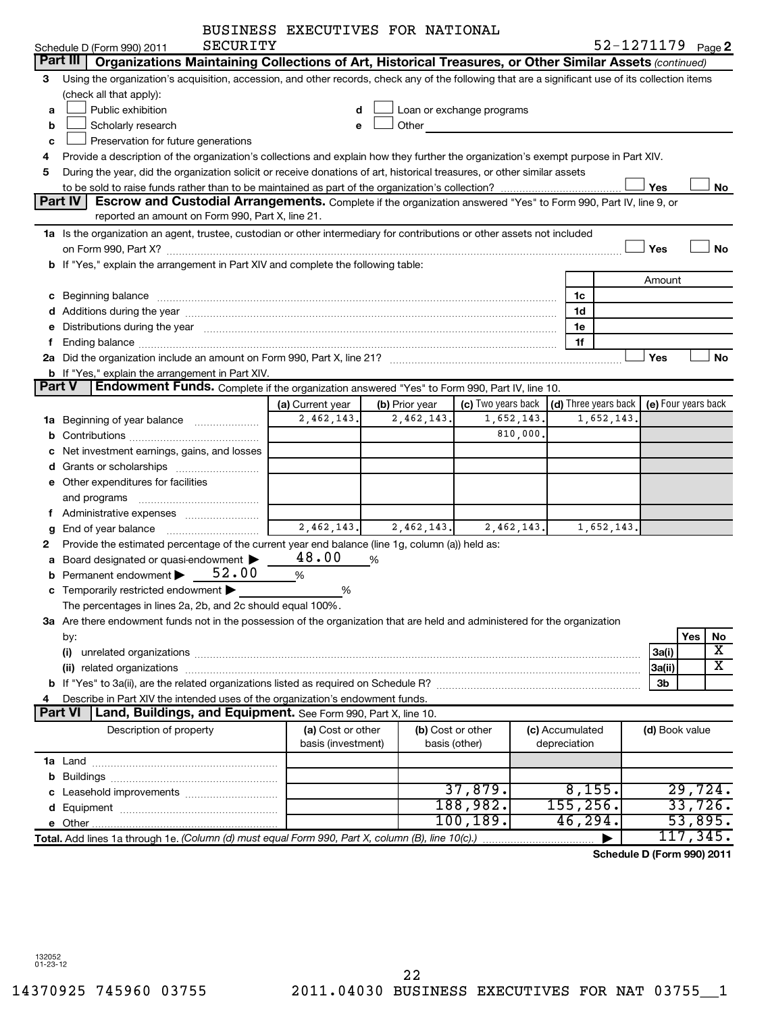|                                          |                                                                                                                                                                                                                               | BUSINESS EXECUTIVES FOR NATIONAL |                |                                                                                                                                                                                                                               |                 |                                                          |                |                              |  |  |  |
|------------------------------------------|-------------------------------------------------------------------------------------------------------------------------------------------------------------------------------------------------------------------------------|----------------------------------|----------------|-------------------------------------------------------------------------------------------------------------------------------------------------------------------------------------------------------------------------------|-----------------|----------------------------------------------------------|----------------|------------------------------|--|--|--|
|                                          | SECURITY<br>Schedule D (Form 990) 2011                                                                                                                                                                                        |                                  |                |                                                                                                                                                                                                                               |                 |                                                          |                | 52-1271179 <sub>Page</sub> 2 |  |  |  |
|                                          | Organizations Maintaining Collections of Art, Historical Treasures, or Other Similar Assets (continued)<br>Part III                                                                                                           |                                  |                |                                                                                                                                                                                                                               |                 |                                                          |                |                              |  |  |  |
| З                                        | Using the organization's acquisition, accession, and other records, check any of the following that are a significant use of its collection items                                                                             |                                  |                |                                                                                                                                                                                                                               |                 |                                                          |                |                              |  |  |  |
|                                          | (check all that apply):                                                                                                                                                                                                       |                                  |                |                                                                                                                                                                                                                               |                 |                                                          |                |                              |  |  |  |
| a                                        | Public exhibition                                                                                                                                                                                                             |                                  |                | Loan or exchange programs                                                                                                                                                                                                     |                 |                                                          |                |                              |  |  |  |
| b                                        | Scholarly research                                                                                                                                                                                                            | e                                |                | Other and the contract of the contract of the contract of the contract of the contract of the contract of the contract of the contract of the contract of the contract of the contract of the contract of the contract of the |                 |                                                          |                |                              |  |  |  |
| Preservation for future generations<br>с |                                                                                                                                                                                                                               |                                  |                |                                                                                                                                                                                                                               |                 |                                                          |                |                              |  |  |  |
| 4                                        | Provide a description of the organization's collections and explain how they further the organization's exempt purpose in Part XIV.                                                                                           |                                  |                |                                                                                                                                                                                                                               |                 |                                                          |                |                              |  |  |  |
| 5                                        | During the year, did the organization solicit or receive donations of art, historical treasures, or other similar assets                                                                                                      |                                  |                |                                                                                                                                                                                                                               |                 |                                                          |                |                              |  |  |  |
|                                          |                                                                                                                                                                                                                               |                                  |                |                                                                                                                                                                                                                               |                 |                                                          | Yes            | No                           |  |  |  |
|                                          | Part IV<br>Escrow and Custodial Arrangements. Complete if the organization answered "Yes" to Form 990, Part IV, line 9, or                                                                                                    |                                  |                |                                                                                                                                                                                                                               |                 |                                                          |                |                              |  |  |  |
|                                          | reported an amount on Form 990, Part X, line 21.                                                                                                                                                                              |                                  |                |                                                                                                                                                                                                                               |                 |                                                          |                |                              |  |  |  |
|                                          | 1a Is the organization an agent, trustee, custodian or other intermediary for contributions or other assets not included                                                                                                      |                                  |                |                                                                                                                                                                                                                               |                 |                                                          |                |                              |  |  |  |
|                                          |                                                                                                                                                                                                                               |                                  |                |                                                                                                                                                                                                                               |                 |                                                          | Yes            | <b>No</b>                    |  |  |  |
|                                          | b If "Yes," explain the arrangement in Part XIV and complete the following table:                                                                                                                                             |                                  |                |                                                                                                                                                                                                                               |                 |                                                          |                |                              |  |  |  |
|                                          |                                                                                                                                                                                                                               |                                  |                |                                                                                                                                                                                                                               |                 |                                                          | Amount         |                              |  |  |  |
|                                          |                                                                                                                                                                                                                               |                                  |                |                                                                                                                                                                                                                               | 1c              |                                                          |                |                              |  |  |  |
|                                          |                                                                                                                                                                                                                               |                                  |                |                                                                                                                                                                                                                               | 1d              |                                                          |                |                              |  |  |  |
| е                                        | Distributions during the year manufactured and continuum and control of the year manufactured and control of the year manufactured and control of the year manufactured and control of the state of the state of the state of |                                  |                |                                                                                                                                                                                                                               | 1e              |                                                          |                |                              |  |  |  |
| f                                        |                                                                                                                                                                                                                               |                                  |                |                                                                                                                                                                                                                               | 1f              |                                                          |                |                              |  |  |  |
|                                          | 2a Did the organization include an amount on Form 990, Part X, line 21? [11] manuscription continuum control of                                                                                                               |                                  |                |                                                                                                                                                                                                                               |                 |                                                          | Yes            | <b>No</b>                    |  |  |  |
|                                          | <b>b</b> If "Yes," explain the arrangement in Part XIV.                                                                                                                                                                       |                                  |                |                                                                                                                                                                                                                               |                 |                                                          |                |                              |  |  |  |
|                                          | Part V<br><b>Endowment Funds.</b> Complete if the organization answered "Yes" to Form 990, Part IV, line 10.                                                                                                                  |                                  |                |                                                                                                                                                                                                                               |                 |                                                          |                |                              |  |  |  |
|                                          |                                                                                                                                                                                                                               | (a) Current year                 | (b) Prior year | (c) Two years back                                                                                                                                                                                                            |                 | $\vert$ (d) Three years back $\vert$ (e) Four years back |                |                              |  |  |  |
| 1a                                       | Beginning of year balance                                                                                                                                                                                                     | 2,462,143.                       | 2,462,143.     | 1,652,143.                                                                                                                                                                                                                    |                 | 1,652,143.                                               |                |                              |  |  |  |
| b                                        |                                                                                                                                                                                                                               |                                  |                | 810,000.                                                                                                                                                                                                                      |                 |                                                          |                |                              |  |  |  |
| с                                        | Net investment earnings, gains, and losses                                                                                                                                                                                    |                                  |                |                                                                                                                                                                                                                               |                 |                                                          |                |                              |  |  |  |
| d                                        | Grants or scholarships [ <i>[[[[[[[[[[[[[[[[[[[[[[[[[[[[[[[]]]]]</i>                                                                                                                                                          |                                  |                |                                                                                                                                                                                                                               |                 |                                                          |                |                              |  |  |  |
|                                          | e Other expenditures for facilities                                                                                                                                                                                           |                                  |                |                                                                                                                                                                                                                               |                 |                                                          |                |                              |  |  |  |
|                                          | and programs                                                                                                                                                                                                                  |                                  |                |                                                                                                                                                                                                                               |                 |                                                          |                |                              |  |  |  |
|                                          | f Administrative expenses <i></i>                                                                                                                                                                                             | 2,462,143.                       | 2,462,143.     | 2,462,143.                                                                                                                                                                                                                    |                 | 1,652,143.                                               |                |                              |  |  |  |
| g                                        | End of year balance <i></i>                                                                                                                                                                                                   |                                  |                |                                                                                                                                                                                                                               |                 |                                                          |                |                              |  |  |  |
| 2                                        | Provide the estimated percentage of the current year end balance (line 1g, column (a)) held as:                                                                                                                               | 48.00                            |                |                                                                                                                                                                                                                               |                 |                                                          |                |                              |  |  |  |
| a                                        | Board designated or quasi-endowment<br>Permanent endowment $52.00$                                                                                                                                                            |                                  | %              |                                                                                                                                                                                                                               |                 |                                                          |                |                              |  |  |  |
| b                                        | c Temporarily restricted endowment                                                                                                                                                                                            | %                                |                |                                                                                                                                                                                                                               |                 |                                                          |                |                              |  |  |  |
|                                          | The percentages in lines 2a, 2b, and 2c should equal 100%.                                                                                                                                                                    | %                                |                |                                                                                                                                                                                                                               |                 |                                                          |                |                              |  |  |  |
|                                          | 3a Are there endowment funds not in the possession of the organization that are held and administered for the organization                                                                                                    |                                  |                |                                                                                                                                                                                                                               |                 |                                                          |                |                              |  |  |  |
|                                          |                                                                                                                                                                                                                               |                                  |                |                                                                                                                                                                                                                               |                 |                                                          |                | Yes<br>No                    |  |  |  |
|                                          | by:<br>(i)                                                                                                                                                                                                                    |                                  |                |                                                                                                                                                                                                                               |                 |                                                          | 3a(i)          | х                            |  |  |  |
|                                          |                                                                                                                                                                                                                               |                                  |                |                                                                                                                                                                                                                               |                 |                                                          | 3a(ii)         | X.                           |  |  |  |
|                                          |                                                                                                                                                                                                                               |                                  |                |                                                                                                                                                                                                                               |                 |                                                          | 3b             |                              |  |  |  |
| 4                                        | Describe in Part XIV the intended uses of the organization's endowment funds.                                                                                                                                                 |                                  |                |                                                                                                                                                                                                                               |                 |                                                          |                |                              |  |  |  |
|                                          | Part VI<br>Land, Buildings, and Equipment. See Form 990, Part X, line 10.                                                                                                                                                     |                                  |                |                                                                                                                                                                                                                               |                 |                                                          |                |                              |  |  |  |
|                                          | Description of property                                                                                                                                                                                                       | (a) Cost or other                |                | (b) Cost or other                                                                                                                                                                                                             | (c) Accumulated |                                                          | (d) Book value |                              |  |  |  |
|                                          |                                                                                                                                                                                                                               | basis (investment)               |                | basis (other)                                                                                                                                                                                                                 | depreciation    |                                                          |                |                              |  |  |  |
|                                          |                                                                                                                                                                                                                               |                                  |                |                                                                                                                                                                                                                               |                 |                                                          |                |                              |  |  |  |
| b                                        |                                                                                                                                                                                                                               |                                  |                |                                                                                                                                                                                                                               |                 |                                                          |                |                              |  |  |  |
| с                                        | Leasehold improvements                                                                                                                                                                                                        |                                  |                | 37,879.                                                                                                                                                                                                                       |                 | 8,155.                                                   |                | 29,724.                      |  |  |  |
| d                                        |                                                                                                                                                                                                                               |                                  |                | 188,982.                                                                                                                                                                                                                      | 155, 256.       |                                                          |                | 33,726.                      |  |  |  |
|                                          |                                                                                                                                                                                                                               |                                  |                | 100, 189.                                                                                                                                                                                                                     | 46,294.         |                                                          |                | 53,895.                      |  |  |  |
|                                          | Total. Add lines 1a through 1e. (Column (d) must equal Form 990, Part X, column (B), line 10(c).)                                                                                                                             |                                  |                |                                                                                                                                                                                                                               |                 |                                                          |                | 117,345.                     |  |  |  |
|                                          |                                                                                                                                                                                                                               |                                  |                |                                                                                                                                                                                                                               |                 |                                                          |                | Schedule D (Form 990) 2011   |  |  |  |
|                                          |                                                                                                                                                                                                                               |                                  |                |                                                                                                                                                                                                                               |                 |                                                          |                |                              |  |  |  |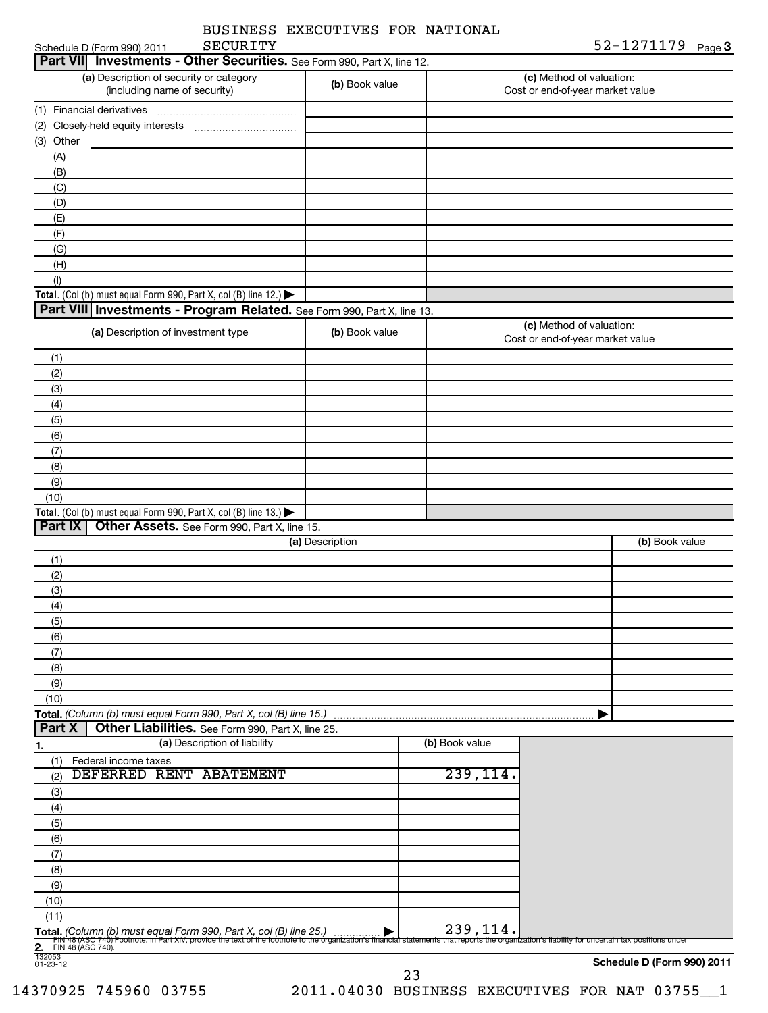|              | BUSINESS EXECUTIVES FOR NATIONAL<br><b>SECURITY</b><br>Schedule D (Form 990) 2011    |                 |                | 52-1271179 <sub>Page</sub> 3                                 |
|--------------|--------------------------------------------------------------------------------------|-----------------|----------------|--------------------------------------------------------------|
|              | Part VII Investments - Other Securities. See Form 990, Part X, line 12.              |                 |                |                                                              |
|              | (a) Description of security or category<br>(including name of security)              | (b) Book value  |                | (c) Method of valuation:<br>Cost or end-of-year market value |
|              |                                                                                      |                 |                |                                                              |
| (2)          |                                                                                      |                 |                |                                                              |
| Other<br>(3) | <u> 1989 - Jan Sarajević, politik po</u>                                             |                 |                |                                                              |
| (A)          |                                                                                      |                 |                |                                                              |
| (B)          |                                                                                      |                 |                |                                                              |
| (C)          |                                                                                      |                 |                |                                                              |
| (D)          |                                                                                      |                 |                |                                                              |
| (E)          |                                                                                      |                 |                |                                                              |
| (F)          |                                                                                      |                 |                |                                                              |
| (G)          |                                                                                      |                 |                |                                                              |
| (H)          |                                                                                      |                 |                |                                                              |
| (1)          | Total. (Col (b) must equal Form 990, Part X, col (B) line 12.) $\blacktriangleright$ |                 |                |                                                              |
|              | Part VIII   Investments - Program Related. See Form 990, Part X, line 13.            |                 |                |                                                              |
|              |                                                                                      |                 |                | (c) Method of valuation:                                     |
|              | (a) Description of investment type                                                   | (b) Book value  |                | Cost or end-of-year market value                             |
| (1)          |                                                                                      |                 |                |                                                              |
| (2)          |                                                                                      |                 |                |                                                              |
| (3)          |                                                                                      |                 |                |                                                              |
| (4)          |                                                                                      |                 |                |                                                              |
| (5)          |                                                                                      |                 |                |                                                              |
| (6)          |                                                                                      |                 |                |                                                              |
| (7)          |                                                                                      |                 |                |                                                              |
| (8)          |                                                                                      |                 |                |                                                              |
| (9)          |                                                                                      |                 |                |                                                              |
| (10)         |                                                                                      |                 |                |                                                              |
|              | Total. (Col (b) must equal Form 990, Part X, col (B) line 13.) $\blacktriangleright$ |                 |                |                                                              |
|              | Part IX   Other Assets. See Form 990, Part X, line 15.                               |                 |                |                                                              |
|              |                                                                                      | (a) Description |                | (b) Book value                                               |
| (1)          |                                                                                      |                 |                |                                                              |
| (2)          |                                                                                      |                 |                |                                                              |
| (3)          |                                                                                      |                 |                |                                                              |
| (4)          |                                                                                      |                 |                |                                                              |
| (5)          |                                                                                      |                 |                |                                                              |
| (6)<br>(7)   |                                                                                      |                 |                |                                                              |
| (8)          |                                                                                      |                 |                |                                                              |
| (9)          |                                                                                      |                 |                |                                                              |
| (10)         |                                                                                      |                 |                |                                                              |
|              | Total. (Column (b) must equal Form 990, Part X, col (B) line 15.)                    |                 |                |                                                              |
| Part X       | Other Liabilities. See Form 990, Part X, line 25.                                    |                 |                |                                                              |
| 1.           | (a) Description of liability                                                         |                 | (b) Book value |                                                              |
| (1)          | Federal income taxes                                                                 |                 |                |                                                              |
| (2)          | DEFERRED RENT ABATEMENT                                                              |                 | 239, 114.      |                                                              |
|              |                                                                                      |                 |                |                                                              |
| (3)          |                                                                                      |                 |                |                                                              |
| (4)          |                                                                                      |                 |                |                                                              |
| (5)          |                                                                                      |                 |                |                                                              |
| (6)          |                                                                                      |                 |                |                                                              |
| (7)          |                                                                                      |                 |                |                                                              |
| (8)          |                                                                                      |                 |                |                                                              |
| (9)          |                                                                                      |                 |                |                                                              |
| (10)         |                                                                                      |                 |                |                                                              |
| (11)         | Total. (Column (b) must equal Form 990, Part X, col (B) line 25.)                    |                 | 239,<br>114    |                                                              |

132053 01-23-12

**Schedule D (Form 990) 2011**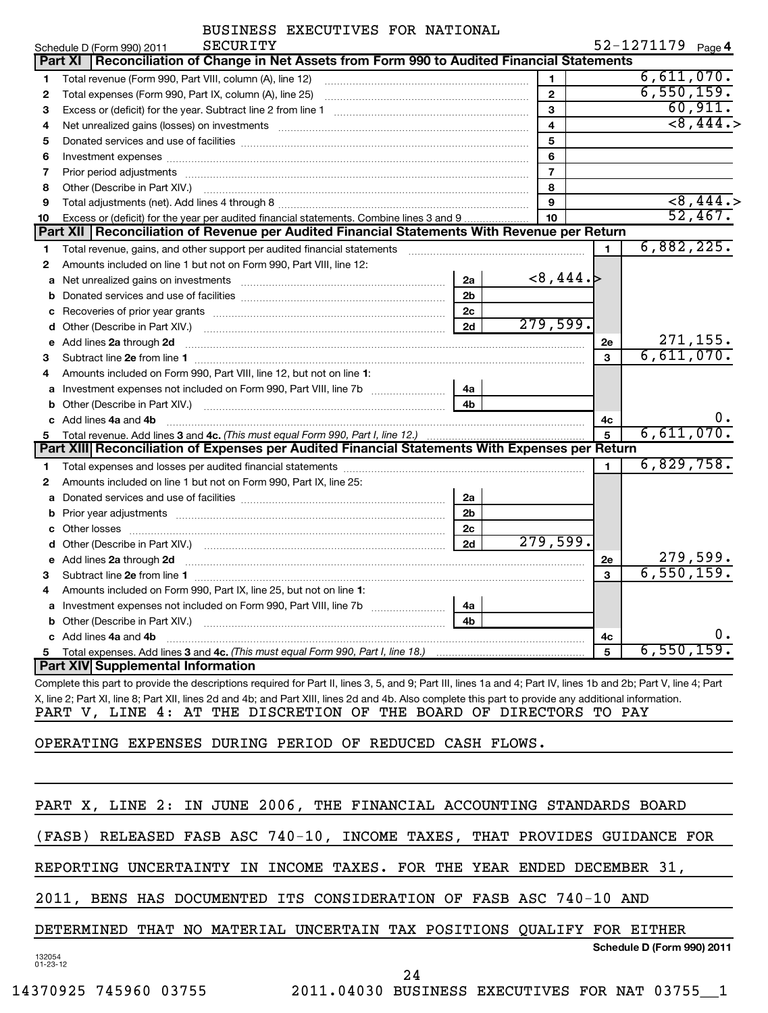|  |  | BUSINESS EXECUTIVES FOR NATIONAL |  |  |
|--|--|----------------------------------|--|--|
|--|--|----------------------------------|--|--|

| $52 - 1271179$ Page 4 |  |
|-----------------------|--|
|-----------------------|--|

|              | SECURITY<br>Schedule D (Form 990) 2011                                                                                                                           |                |                |                | $52 - 1271179$ Page 4         |                      |
|--------------|------------------------------------------------------------------------------------------------------------------------------------------------------------------|----------------|----------------|----------------|-------------------------------|----------------------|
|              | Part XI   Reconciliation of Change in Net Assets from Form 990 to Audited Financial Statements                                                                   |                |                |                |                               |                      |
| 1.           | Total revenue (Form 990, Part VIII, column (A), line 12)                                                                                                         |                | $\mathbf{1}$   |                | 6,611,070.                    |                      |
| 2            | Total expenses (Form 990, Part IX, column (A), line 25)                                                                                                          |                | $\mathbf{2}$   |                | 6,550,159.                    |                      |
| 3            |                                                                                                                                                                  |                | 3              |                |                               | 60,911.              |
| 4            |                                                                                                                                                                  |                | 4              |                |                               | $\overline{88,444.}$ |
| 5            |                                                                                                                                                                  |                | 5              |                |                               |                      |
| 6            |                                                                                                                                                                  |                | 6              |                |                               |                      |
| 7            |                                                                                                                                                                  |                | $\overline{7}$ |                |                               |                      |
| 8            | Other (Describe in Part XIV.)                                                                                                                                    |                | 8              |                |                               |                      |
| 9            |                                                                                                                                                                  |                | 9              |                |                               | <8,444.              |
| 10           | Excess or (deficit) for the year per audited financial statements. Combine lines 3 and 9                                                                         |                | 10             |                |                               | 52,467.              |
|              | Part XII Reconciliation of Revenue per Audited Financial Statements With Revenue per Return                                                                      |                |                |                |                               |                      |
| 1            | Total revenue, gains, and other support per audited financial statements                                                                                         |                |                | $\blacksquare$ | 6,882,225.                    |                      |
| $\mathbf{2}$ | Amounts included on line 1 but not on Form 990, Part VIII, line 12:                                                                                              |                |                |                |                               |                      |
| a            | Net unrealized gains on investments [11] matter contracts and the unrealized gains on investments [11] matter                                                    | 2a             | <8,444.        |                |                               |                      |
| b            |                                                                                                                                                                  | 2 <sub>b</sub> |                |                |                               |                      |
| c            |                                                                                                                                                                  | 2 <sub>c</sub> |                |                |                               |                      |
| d            |                                                                                                                                                                  | 2d             | 279,599.       |                |                               |                      |
| e            | Add lines 2a through 2d                                                                                                                                          |                |                | 2e             | $\frac{271,155}{6,611,070}$ . |                      |
| 3            |                                                                                                                                                                  |                |                | 3              |                               |                      |
| 4            | Amounts included on Form 990, Part VIII, line 12, but not on line 1:                                                                                             |                |                |                |                               |                      |
| a            | Investment expenses not included on Form 990, Part VIII, line 7b [11,111]                                                                                        | 4a             |                |                |                               |                      |
| b            |                                                                                                                                                                  | 4 <sub>b</sub> |                |                |                               |                      |
|              | Add lines 4a and 4b                                                                                                                                              |                |                | 4с             |                               |                      |
| 5            | Total revenue. Add lines 3 and 4c. (This must equal Form 990, Part I, line 12.)                                                                                  |                |                | 5              | 6,611,070.                    |                      |
|              | Part XIII Reconciliation of Expenses per Audited Financial Statements With Expenses per Return                                                                   |                |                |                |                               |                      |
| 1.           |                                                                                                                                                                  |                |                | 1              | 6,829,758.                    |                      |
| 2            | Amounts included on line 1 but not on Form 990, Part IX, line 25:                                                                                                |                |                |                |                               |                      |
| a            |                                                                                                                                                                  | 2a             |                |                |                               |                      |
| b            |                                                                                                                                                                  | 2 <sub>b</sub> |                |                |                               |                      |
| c            |                                                                                                                                                                  | 2c             |                |                |                               |                      |
| d            |                                                                                                                                                                  | 2d             | 279,599.       |                |                               |                      |
|              | Add lines 2a through 2d                                                                                                                                          |                |                | 2e             |                               | 279,599.             |
| 3            |                                                                                                                                                                  |                |                | 3              | 6,550,159.                    |                      |
| 4            | Amounts included on Form 990, Part IX, line 25, but not on line 1:                                                                                               |                |                |                |                               |                      |
|              |                                                                                                                                                                  | 4a             |                |                |                               |                      |
| b            | Other (Describe in Part XIV.)                                                                                                                                    | 4 <sub>b</sub> |                |                |                               |                      |
|              | c Add lines 4a and 4b                                                                                                                                            |                |                | 4c             |                               |                      |
| 5.           |                                                                                                                                                                  |                |                | 5              | 6,550,159.                    |                      |
|              | <b>Part XIV Supplemental Information</b>                                                                                                                         |                |                |                |                               |                      |
|              | Complete this part to provide the descriptions required for Part II, lines 3, 5, and 0; Part III, lines 1a and 4; Part IV, lines 1b and 2b; Part V, line 4; Part |                |                |                |                               |                      |

Complete this part to provide the descriptions required for Part II, lines 3, 5, and 9; Part III, lines 1a and 4; Part IV, lines 1b and 2b; Part V, line 4; Part X, line 2; Part XI, line 8; Part XII, lines 2d and 4b; and Part XIII, lines 2d and 4b. Also complete this part to provide any additional information. PART V, LINE 4: AT THE DISCRETION OF THE BOARD OF DIRECTORS TO PAY

OPERATING EXPENSES DURING PERIOD OF REDUCED CASH FLOWS.

|                |  |  |  |    |  | PART X, LINE 2: IN JUNE 2006, THE FINANCIAL ACCOUNTING STANDARDS BOARD    |                            |  |
|----------------|--|--|--|----|--|---------------------------------------------------------------------------|----------------------------|--|
|                |  |  |  |    |  | (FASB) RELEASED FASB ASC 740-10, INCOME TAXES, THAT PROVIDES GUIDANCE FOR |                            |  |
|                |  |  |  |    |  | REPORTING UNCERTAINTY IN INCOME TAXES. FOR THE YEAR ENDED DECEMBER 31,    |                            |  |
|                |  |  |  |    |  | 2011, BENS HAS DOCUMENTED ITS CONSIDERATION OF FASB ASC 740-10 AND        |                            |  |
|                |  |  |  |    |  | DETERMINED THAT NO MATERIAL UNCERTAIN TAX POSITIONS QUALIFY FOR EITHER    |                            |  |
| 132054         |  |  |  |    |  |                                                                           | Schedule D (Form 990) 2011 |  |
| $01 - 23 - 12$ |  |  |  | 24 |  |                                                                           |                            |  |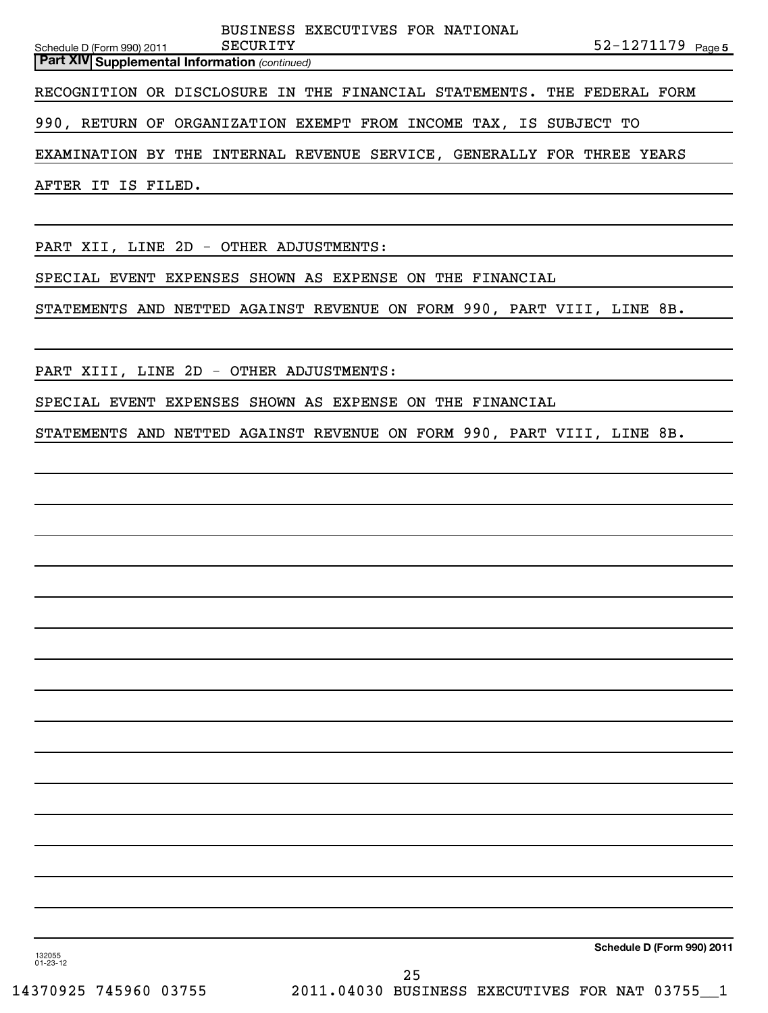Schedule D (Form 990) 2011 SECURITY

BUSINESS EXECUTIVES FOR NATIONAL

*(continued)* **Part XIV Supplemental Information** 

RECOGNITION OR DISCLOSURE IN THE FINANCIAL STATEMENTS. THE FEDERAL FORM

990, RETURN OF ORGANIZATION EXEMPT FROM INCOME TAX, IS SUBJECT TO

EXAMINATION BY THE INTERNAL REVENUE SERVICE, GENERALLY FOR THREE YEARS

AFTER IT IS FILED.

PART XII, LINE 2D - OTHER ADJUSTMENTS:

SPECIAL EVENT EXPENSES SHOWN AS EXPENSE ON THE FINANCIAL

STATEMENTS AND NETTED AGAINST REVENUE ON FORM 990, PART VIII, LINE 8B.

PART XIII, LINE 2D - OTHER ADJUSTMENTS:

SPECIAL EVENT EXPENSES SHOWN AS EXPENSE ON THE FINANCIAL

STATEMENTS AND NETTED AGAINST REVENUE ON FORM 990, PART VIII, LINE 8B.

**Schedule D (Form 990) 2011**

132055 01-23-12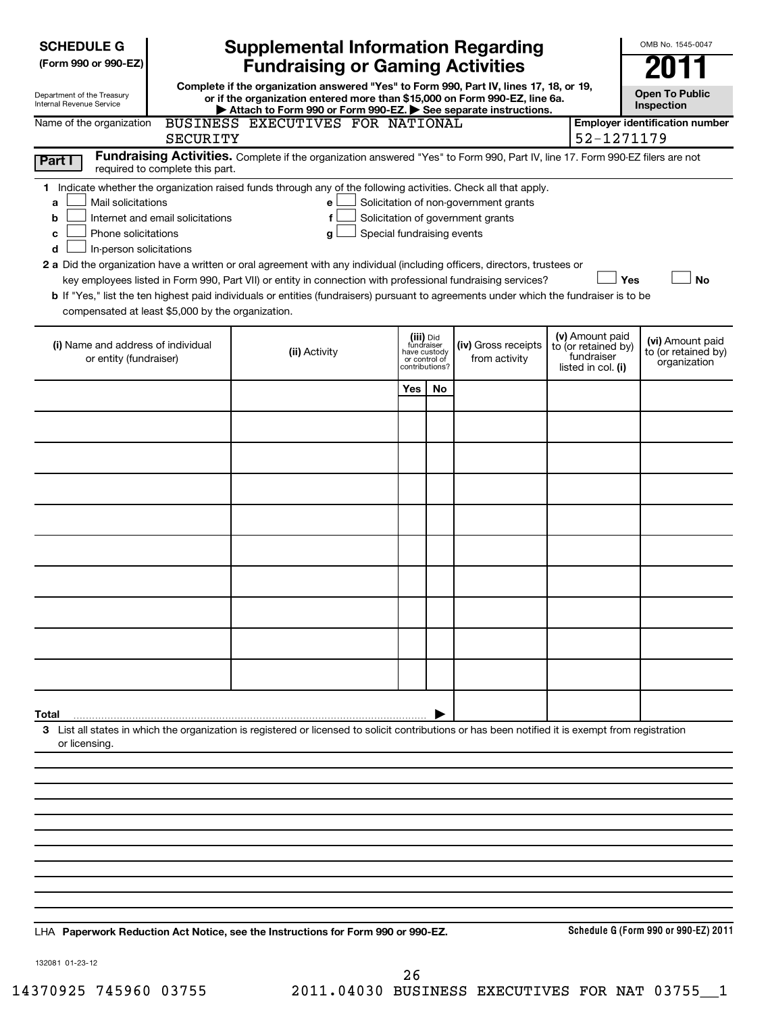| <b>SCHEDULE G</b><br>(Form 990 or 990-EZ)                                                                                                     |                                  | <b>Supplemental Information Regarding</b><br><b>Fundraising or Gaming Activities</b>                                                                                                                                                                                                                                                                                                                                                                                                                                                               |                                                                            |    |                                                                            |                                                                            | OMB No. 1545-0047                                       |
|-----------------------------------------------------------------------------------------------------------------------------------------------|----------------------------------|----------------------------------------------------------------------------------------------------------------------------------------------------------------------------------------------------------------------------------------------------------------------------------------------------------------------------------------------------------------------------------------------------------------------------------------------------------------------------------------------------------------------------------------------------|----------------------------------------------------------------------------|----|----------------------------------------------------------------------------|----------------------------------------------------------------------------|---------------------------------------------------------|
| Department of the Treasury<br>Internal Revenue Service                                                                                        |                                  | Complete if the organization answered "Yes" to Form 990, Part IV, lines 17, 18, or 19,<br>or if the organization entered more than \$15,000 on Form 990-EZ, line 6a.<br>Attach to Form 990 or Form 990-EZ. See separate instructions.                                                                                                                                                                                                                                                                                                              |                                                                            |    |                                                                            |                                                                            | <b>Open To Public</b><br><b>Inspection</b>              |
| Name of the organization                                                                                                                      | SECURITY                         | BUSINESS EXECUTIVES FOR NATIONAL                                                                                                                                                                                                                                                                                                                                                                                                                                                                                                                   |                                                                            |    |                                                                            | 52-1271179                                                                 | <b>Employer identification number</b>                   |
| Part I                                                                                                                                        | required to complete this part.  | Fundraising Activities. Complete if the organization answered "Yes" to Form 990, Part IV, line 17. Form 990-EZ filers are not                                                                                                                                                                                                                                                                                                                                                                                                                      |                                                                            |    |                                                                            |                                                                            |                                                         |
| Mail solicitations<br>a<br>b<br>Phone solicitations<br>c<br>In-person solicitations<br>d<br>compensated at least \$5,000 by the organization. | Internet and email solicitations | 1 Indicate whether the organization raised funds through any of the following activities. Check all that apply.<br>e<br>f<br>Special fundraising events<br>g<br>2 a Did the organization have a written or oral agreement with any individual (including officers, directors, trustees or<br>key employees listed in Form 990, Part VII) or entity in connection with professional fundraising services?<br>b If "Yes," list the ten highest paid individuals or entities (fundraisers) pursuant to agreements under which the fundraiser is to be |                                                                            |    | Solicitation of non-government grants<br>Solicitation of government grants | Yes                                                                        | <b>No</b>                                               |
| (i) Name and address of individual<br>or entity (fundraiser)                                                                                  |                                  | (ii) Activity                                                                                                                                                                                                                                                                                                                                                                                                                                                                                                                                      | (iii) Did<br>fundraiser<br>have custody<br>or control of<br>contributions? |    | (iv) Gross receipts<br>from activity                                       | (v) Amount paid<br>to (or retained by)<br>fundraiser<br>listed in col. (i) | (vi) Amount paid<br>to (or retained by)<br>organization |
|                                                                                                                                               |                                  |                                                                                                                                                                                                                                                                                                                                                                                                                                                                                                                                                    | Yes                                                                        | No |                                                                            |                                                                            |                                                         |
|                                                                                                                                               |                                  |                                                                                                                                                                                                                                                                                                                                                                                                                                                                                                                                                    |                                                                            |    |                                                                            |                                                                            |                                                         |
|                                                                                                                                               |                                  |                                                                                                                                                                                                                                                                                                                                                                                                                                                                                                                                                    |                                                                            |    |                                                                            |                                                                            |                                                         |
|                                                                                                                                               |                                  |                                                                                                                                                                                                                                                                                                                                                                                                                                                                                                                                                    |                                                                            |    |                                                                            |                                                                            |                                                         |
|                                                                                                                                               |                                  |                                                                                                                                                                                                                                                                                                                                                                                                                                                                                                                                                    |                                                                            |    |                                                                            |                                                                            |                                                         |
|                                                                                                                                               |                                  |                                                                                                                                                                                                                                                                                                                                                                                                                                                                                                                                                    |                                                                            |    |                                                                            |                                                                            |                                                         |
|                                                                                                                                               |                                  |                                                                                                                                                                                                                                                                                                                                                                                                                                                                                                                                                    |                                                                            |    |                                                                            |                                                                            |                                                         |
|                                                                                                                                               |                                  |                                                                                                                                                                                                                                                                                                                                                                                                                                                                                                                                                    |                                                                            |    |                                                                            |                                                                            |                                                         |
|                                                                                                                                               |                                  |                                                                                                                                                                                                                                                                                                                                                                                                                                                                                                                                                    |                                                                            |    |                                                                            |                                                                            |                                                         |
|                                                                                                                                               |                                  |                                                                                                                                                                                                                                                                                                                                                                                                                                                                                                                                                    |                                                                            |    |                                                                            |                                                                            |                                                         |
| Total                                                                                                                                         |                                  |                                                                                                                                                                                                                                                                                                                                                                                                                                                                                                                                                    |                                                                            |    |                                                                            |                                                                            |                                                         |
| or licensing.                                                                                                                                 |                                  | 3 List all states in which the organization is registered or licensed to solicit contributions or has been notified it is exempt from registration                                                                                                                                                                                                                                                                                                                                                                                                 |                                                                            |    |                                                                            |                                                                            |                                                         |
|                                                                                                                                               |                                  |                                                                                                                                                                                                                                                                                                                                                                                                                                                                                                                                                    |                                                                            |    |                                                                            |                                                                            |                                                         |
|                                                                                                                                               |                                  |                                                                                                                                                                                                                                                                                                                                                                                                                                                                                                                                                    |                                                                            |    |                                                                            |                                                                            |                                                         |
|                                                                                                                                               |                                  |                                                                                                                                                                                                                                                                                                                                                                                                                                                                                                                                                    |                                                                            |    |                                                                            |                                                                            |                                                         |
|                                                                                                                                               |                                  |                                                                                                                                                                                                                                                                                                                                                                                                                                                                                                                                                    |                                                                            |    |                                                                            |                                                                            |                                                         |
|                                                                                                                                               |                                  |                                                                                                                                                                                                                                                                                                                                                                                                                                                                                                                                                    |                                                                            |    |                                                                            |                                                                            |                                                         |
|                                                                                                                                               |                                  | LHA Paperwork Reduction Act Notice, see the Instructions for Form 990 or 990-EZ.                                                                                                                                                                                                                                                                                                                                                                                                                                                                   |                                                                            |    |                                                                            |                                                                            | Schedule G (Form 990 or 990-EZ) 2011                    |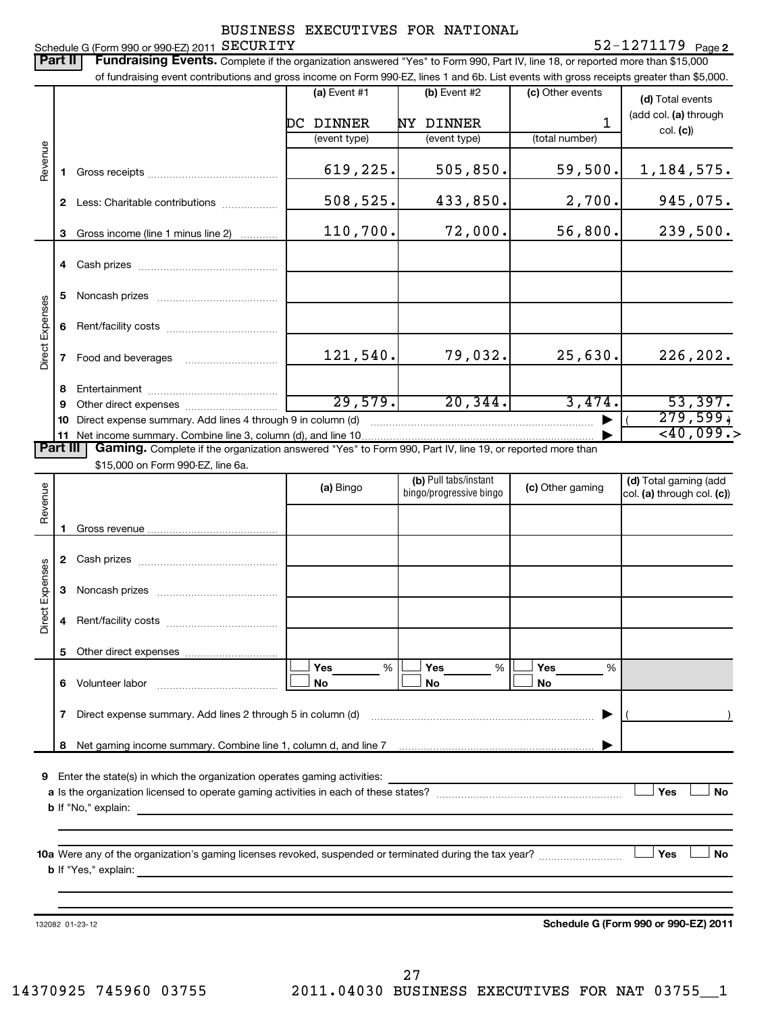Schedule G (Form 990 or 990-EZ) 2011 SECURITY

| Part II                |                                                                 | Schedule G (Form 990 or 990-EZ) 2011 SECURITY<br>Fundraising Events. Complete if the organization answered "Yes" to Form 990, Part IV, line 18, or reported more than \$15,000 |                |                                                  |                  | $52 - 1271179$ Page 2      |
|------------------------|-----------------------------------------------------------------|--------------------------------------------------------------------------------------------------------------------------------------------------------------------------------|----------------|--------------------------------------------------|------------------|----------------------------|
|                        |                                                                 | of fundraising event contributions and gross income on Form 990-EZ, lines 1 and 6b. List events with gross receipts greater than \$5,000.                                      |                |                                                  |                  |                            |
|                        |                                                                 |                                                                                                                                                                                | (a) Event $#1$ | (b) Event #2                                     | (c) Other events | (d) Total events           |
|                        |                                                                 |                                                                                                                                                                                | DC DINNER      | NY DINNER                                        | 1                | (add col. (a) through      |
|                        |                                                                 |                                                                                                                                                                                | (event type)   | (event type)                                     | (total number)   | col. (c))                  |
| Revenue                | 1.                                                              |                                                                                                                                                                                | 619,225.       | 505,850.                                         | 59,500.          | 1, 184, 575.               |
|                        | $\mathbf{2}$                                                    | Less: Charitable contributions                                                                                                                                                 | 508,525.       | 433,850.                                         | 2,700.           | 945,075.                   |
|                        | 3                                                               | Gross income (line 1 minus line 2)                                                                                                                                             | 110,700.       | 72,000.                                          | 56,800.          | 239,500.                   |
|                        |                                                                 |                                                                                                                                                                                |                |                                                  |                  |                            |
|                        |                                                                 |                                                                                                                                                                                |                |                                                  |                  |                            |
|                        | 5                                                               |                                                                                                                                                                                |                |                                                  |                  |                            |
|                        | 6                                                               |                                                                                                                                                                                |                |                                                  |                  |                            |
| <b>Direct Expenses</b> | 7                                                               |                                                                                                                                                                                | 121,540.       | 79,032.                                          | 25,630.          | 226, 202.                  |
|                        | 8                                                               |                                                                                                                                                                                |                |                                                  |                  |                            |
|                        | 9                                                               |                                                                                                                                                                                | 29,579.        | 20, 344.                                         | 3,474.           | 53,397.                    |
|                        | 10                                                              | Direct expense summary. Add lines 4 through 9 in column (d)                                                                                                                    |                |                                                  |                  | 279,599,                   |
|                        | 11 Net income summary. Combine line 3, column (d), and line 10. | $\overline{<}40,099.$                                                                                                                                                          |                |                                                  |                  |                            |
| <b>Part III</b>        |                                                                 | Gaming. Complete if the organization answered "Yes" to Form 990, Part IV, line 19, or reported more than                                                                       |                |                                                  |                  |                            |
|                        |                                                                 | \$15,000 on Form 990-EZ, line 6a.                                                                                                                                              |                |                                                  |                  |                            |
|                        |                                                                 |                                                                                                                                                                                | (a) Bingo      | (b) Pull tabs/instant<br>bingo/progressive bingo | (c) Other gaming | (d) Total gaming (add      |
| Revenue                |                                                                 |                                                                                                                                                                                |                |                                                  |                  | col. (a) through col. (c)) |
|                        |                                                                 |                                                                                                                                                                                |                |                                                  |                  |                            |
|                        |                                                                 |                                                                                                                                                                                |                |                                                  |                  |                            |
|                        |                                                                 |                                                                                                                                                                                |                |                                                  |                  |                            |
| Expenses               |                                                                 |                                                                                                                                                                                |                |                                                  |                  |                            |
| ect                    |                                                                 |                                                                                                                                                                                |                |                                                  |                  |                            |
|                        |                                                                 |                                                                                                                                                                                |                |                                                  |                  |                            |
|                        |                                                                 |                                                                                                                                                                                | Yes<br>%       | Yes<br>%                                         | <b>Yes</b><br>%  |                            |
|                        |                                                                 | 6 Volunteer labor                                                                                                                                                              | No             | No                                               | No               |                            |
|                        | $\mathbf{7}$                                                    | Direct expense summary. Add lines 2 through 5 in column (d)                                                                                                                    |                |                                                  |                  |                            |
|                        |                                                                 |                                                                                                                                                                                |                |                                                  |                  |                            |
|                        | 8                                                               |                                                                                                                                                                                |                |                                                  |                  |                            |
| 9                      |                                                                 | Enter the state(s) in which the organization operates gaming activities:                                                                                                       |                |                                                  |                  | Yes<br>No                  |
|                        |                                                                 |                                                                                                                                                                                |                |                                                  |                  |                            |
|                        |                                                                 |                                                                                                                                                                                |                |                                                  |                  |                            |
|                        |                                                                 |                                                                                                                                                                                |                |                                                  |                  | Yes<br>No                  |
|                        |                                                                 |                                                                                                                                                                                |                |                                                  |                  |                            |
|                        |                                                                 |                                                                                                                                                                                |                |                                                  |                  |                            |

132082 01-23-12

**Schedule G (Form 990 or 990-EZ) 2011**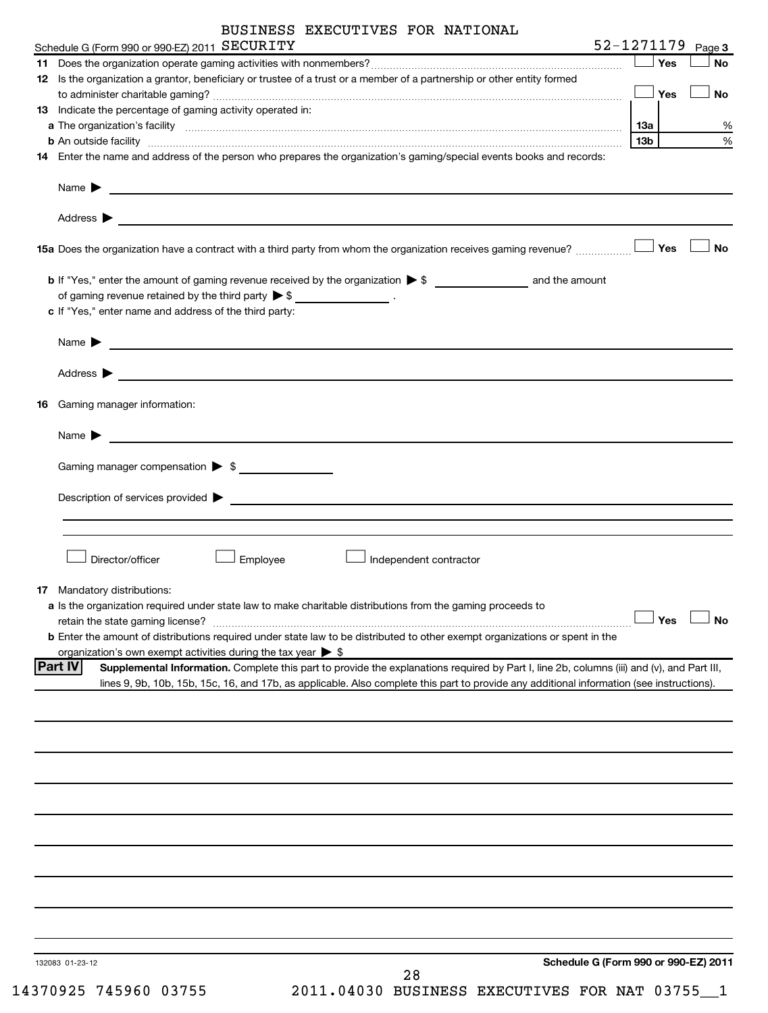|    | Schedule G (Form 990 or 990-EZ) 2011 SECURITY                                                                                                                                                                                                                         |     |     | 52-1271179 Page 3 |
|----|-----------------------------------------------------------------------------------------------------------------------------------------------------------------------------------------------------------------------------------------------------------------------|-----|-----|-------------------|
|    |                                                                                                                                                                                                                                                                       |     | Yes | <b>No</b>         |
|    | 12 Is the organization a grantor, beneficiary or trustee of a trust or a member of a partnership or other entity formed                                                                                                                                               |     |     |                   |
|    |                                                                                                                                                                                                                                                                       |     | Yes | <b>No</b>         |
|    | 13 Indicate the percentage of gaming activity operated in:                                                                                                                                                                                                            |     |     |                   |
|    |                                                                                                                                                                                                                                                                       | 13а |     | %                 |
|    | <b>b</b> An outside facility <i>[11]</i> [20] <b>https://www.fileson.com/internals/internals/internals/internals/internals/internals/internals/internals/internals-</b>                                                                                               | 13b |     | %                 |
|    | 14 Enter the name and address of the person who prepares the organization's gaming/special events books and records:                                                                                                                                                  |     |     |                   |
|    |                                                                                                                                                                                                                                                                       |     |     |                   |
|    | Address $\blacktriangleright$<br><u> 1999 - Johann John Stoff, deutscher Stoffen und der Stoffen und der Stoffen und der Stoffen und der Stoffen un</u>                                                                                                               |     |     |                   |
|    | 15a Does the organization have a contract with a third party from whom the organization receives gaming revenue?                                                                                                                                                      |     | Yes | <b>No</b>         |
|    |                                                                                                                                                                                                                                                                       |     |     |                   |
|    | of gaming revenue retained by the third party $\triangleright$ \$ __________________.                                                                                                                                                                                 |     |     |                   |
|    | c If "Yes," enter name and address of the third party:                                                                                                                                                                                                                |     |     |                   |
|    |                                                                                                                                                                                                                                                                       |     |     |                   |
|    | Name $\blacktriangleright$                                                                                                                                                                                                                                            |     |     |                   |
|    | Address $\blacktriangleright$<br><u>state and the state of the state of the state of the state of the state of the state of the state of the state of the state of the state of the state of the state of the state of the state of the state of the state of the</u> |     |     |                   |
| 16 | Gaming manager information:                                                                                                                                                                                                                                           |     |     |                   |
|    |                                                                                                                                                                                                                                                                       |     |     |                   |
|    | Name $\blacktriangleright$                                                                                                                                                                                                                                            |     |     |                   |
|    | Gaming manager compensation > \$                                                                                                                                                                                                                                      |     |     |                   |
|    |                                                                                                                                                                                                                                                                       |     |     |                   |
|    | Description of services provided vertex and the contract of the contract of the contract of the contract of the contract of the contract of the contract of the contract of the contract of the contract of the contract of th                                        |     |     |                   |
|    |                                                                                                                                                                                                                                                                       |     |     |                   |
|    |                                                                                                                                                                                                                                                                       |     |     |                   |
|    | Director/officer<br>Employee<br>Independent contractor                                                                                                                                                                                                                |     |     |                   |
|    |                                                                                                                                                                                                                                                                       |     |     |                   |
|    | 17 Mandatory distributions:                                                                                                                                                                                                                                           |     |     |                   |
|    | a Is the organization required under state law to make charitable distributions from the gaming proceeds to                                                                                                                                                           |     |     |                   |
|    |                                                                                                                                                                                                                                                                       |     |     |                   |
|    | <b>b</b> Enter the amount of distributions required under state law to be distributed to other exempt organizations or spent in the<br>organization's own exempt activities during the tax year $\triangleright$ \$                                                   |     |     |                   |
|    | <b>Part IV</b><br>Supplemental Information. Complete this part to provide the explanations required by Part I, line 2b, columns (iii) and (v), and Part III,                                                                                                          |     |     |                   |
|    | lines 9, 9b, 10b, 15b, 15c, 16, and 17b, as applicable. Also complete this part to provide any additional information (see instructions).                                                                                                                             |     |     |                   |
|    |                                                                                                                                                                                                                                                                       |     |     |                   |
|    |                                                                                                                                                                                                                                                                       |     |     |                   |
|    |                                                                                                                                                                                                                                                                       |     |     |                   |
|    |                                                                                                                                                                                                                                                                       |     |     |                   |
|    |                                                                                                                                                                                                                                                                       |     |     |                   |
|    |                                                                                                                                                                                                                                                                       |     |     |                   |
|    |                                                                                                                                                                                                                                                                       |     |     |                   |
|    |                                                                                                                                                                                                                                                                       |     |     |                   |
|    |                                                                                                                                                                                                                                                                       |     |     |                   |
|    |                                                                                                                                                                                                                                                                       |     |     |                   |
|    |                                                                                                                                                                                                                                                                       |     |     |                   |
|    | Schedule G (Form 990 or 990-EZ) 2011<br>132083 01-23-12                                                                                                                                                                                                               |     |     |                   |
|    | 28                                                                                                                                                                                                                                                                    |     |     |                   |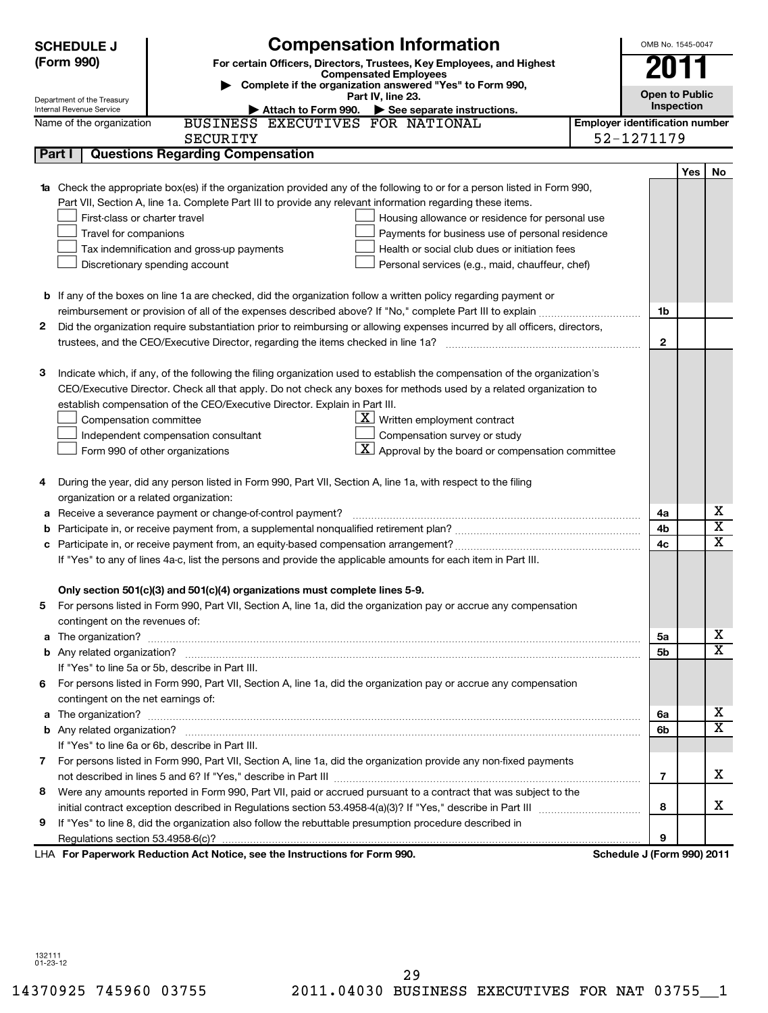|   | <b>Compensation Information</b><br><b>SCHEDULE J</b>                                                                                                                                                                                |                                       | OMB No. 1545-0047     |                              |  |
|---|-------------------------------------------------------------------------------------------------------------------------------------------------------------------------------------------------------------------------------------|---------------------------------------|-----------------------|------------------------------|--|
|   | (Form 990)<br>For certain Officers, Directors, Trustees, Key Employees, and Highest                                                                                                                                                 |                                       |                       |                              |  |
|   | <b>Compensated Employees</b>                                                                                                                                                                                                        |                                       |                       |                              |  |
|   | Complete if the organization answered "Yes" to Form 990,<br>Part IV, line 23.                                                                                                                                                       |                                       | <b>Open to Public</b> |                              |  |
|   | Department of the Treasury<br>Internal Revenue Service<br>Attach to Form 990. $\triangleright$ See separate instructions.                                                                                                           |                                       | Inspection            |                              |  |
|   | BUSINESS EXECUTIVES FOR NATIONAL<br>Name of the organization                                                                                                                                                                        | <b>Employer identification number</b> |                       |                              |  |
|   | <b>SECURITY</b>                                                                                                                                                                                                                     | 52-1271179                            |                       |                              |  |
|   | <b>Questions Regarding Compensation</b><br>Part I                                                                                                                                                                                   |                                       |                       |                              |  |
|   |                                                                                                                                                                                                                                     |                                       | Yes                   | No.                          |  |
|   | <b>1a</b> Check the appropriate box(es) if the organization provided any of the following to or for a person listed in Form 990,                                                                                                    |                                       |                       |                              |  |
|   | Part VII, Section A, line 1a. Complete Part III to provide any relevant information regarding these items.                                                                                                                          |                                       |                       |                              |  |
|   | First-class or charter travel<br>Housing allowance or residence for personal use                                                                                                                                                    |                                       |                       |                              |  |
|   | Travel for companions<br>Payments for business use of personal residence                                                                                                                                                            |                                       |                       |                              |  |
|   | Tax indemnification and gross-up payments<br>Health or social club dues or initiation fees                                                                                                                                          |                                       |                       |                              |  |
|   | Discretionary spending account<br>Personal services (e.g., maid, chauffeur, chef)                                                                                                                                                   |                                       |                       |                              |  |
|   |                                                                                                                                                                                                                                     |                                       |                       |                              |  |
|   | <b>b</b> If any of the boxes on line 1a are checked, did the organization follow a written policy regarding payment or                                                                                                              |                                       |                       |                              |  |
|   | reimbursement or provision of all of the expenses described above? If "No," complete Part III to explain                                                                                                                            | 1b                                    |                       |                              |  |
| 2 | Did the organization require substantiation prior to reimbursing or allowing expenses incurred by all officers, directors,                                                                                                          |                                       |                       |                              |  |
|   |                                                                                                                                                                                                                                     | $\mathbf{2}$                          |                       |                              |  |
|   |                                                                                                                                                                                                                                     |                                       |                       |                              |  |
| З | Indicate which, if any, of the following the filing organization used to establish the compensation of the organization's                                                                                                           |                                       |                       |                              |  |
|   | CEO/Executive Director. Check all that apply. Do not check any boxes for methods used by a related organization to                                                                                                                  |                                       |                       |                              |  |
|   | establish compensation of the CEO/Executive Director. Explain in Part III.                                                                                                                                                          |                                       |                       |                              |  |
|   | $\underline{\mathbf{X}}$ Written employment contract<br>Compensation committee                                                                                                                                                      |                                       |                       |                              |  |
|   | Compensation survey or study<br>Independent compensation consultant                                                                                                                                                                 |                                       |                       |                              |  |
|   | Approval by the board or compensation committee<br>Form 990 of other organizations                                                                                                                                                  |                                       |                       |                              |  |
|   |                                                                                                                                                                                                                                     |                                       |                       |                              |  |
| 4 | During the year, did any person listed in Form 990, Part VII, Section A, line 1a, with respect to the filing                                                                                                                        |                                       |                       |                              |  |
|   | organization or a related organization:                                                                                                                                                                                             |                                       |                       |                              |  |
| а | Receive a severance payment or change-of-control payment?                                                                                                                                                                           | 4a                                    |                       | x<br>$\overline{\textbf{x}}$ |  |
|   |                                                                                                                                                                                                                                     | 4b                                    |                       | $\overline{\text{x}}$        |  |
| с |                                                                                                                                                                                                                                     | 4c                                    |                       |                              |  |
|   | If "Yes" to any of lines 4a-c, list the persons and provide the applicable amounts for each item in Part III.                                                                                                                       |                                       |                       |                              |  |
|   |                                                                                                                                                                                                                                     |                                       |                       |                              |  |
|   | Only section 501(c)(3) and 501(c)(4) organizations must complete lines 5-9.                                                                                                                                                         |                                       |                       |                              |  |
|   | For persons listed in Form 990, Part VII, Section A, line 1a, did the organization pay or accrue any compensation                                                                                                                   |                                       |                       |                              |  |
|   | contingent on the revenues of:                                                                                                                                                                                                      | 5а                                    |                       | X                            |  |
|   | a The organization? <b>contracts</b> and contracts are contracted and contract and contract and contract and contract and contract and contract and contract and contract and contract and contract and contract and contract and c | 5b                                    |                       | $\overline{\mathtt{x}}$      |  |
|   | If "Yes" to line 5a or 5b, describe in Part III.                                                                                                                                                                                    |                                       |                       |                              |  |
| 6 | For persons listed in Form 990, Part VII, Section A, line 1a, did the organization pay or accrue any compensation                                                                                                                   |                                       |                       |                              |  |
|   | contingent on the net earnings of:                                                                                                                                                                                                  |                                       |                       |                              |  |
|   |                                                                                                                                                                                                                                     | 6a                                    |                       | X                            |  |
|   |                                                                                                                                                                                                                                     | 6b                                    |                       | $\overline{\mathtt{x}}$      |  |
|   | If "Yes" to line 6a or 6b, describe in Part III.                                                                                                                                                                                    |                                       |                       |                              |  |
|   | 7 For persons listed in Form 990, Part VII, Section A, line 1a, did the organization provide any non-fixed payments                                                                                                                 |                                       |                       |                              |  |
|   |                                                                                                                                                                                                                                     | $\overline{7}$                        |                       | х                            |  |
| 8 | Were any amounts reported in Form 990, Part VII, paid or accrued pursuant to a contract that was subject to the                                                                                                                     |                                       |                       |                              |  |
|   |                                                                                                                                                                                                                                     | 8                                     |                       | x                            |  |
| 9 | If "Yes" to line 8, did the organization also follow the rebuttable presumption procedure described in                                                                                                                              |                                       |                       |                              |  |
|   |                                                                                                                                                                                                                                     | 9                                     |                       |                              |  |
|   | LHA For Paperwork Reduction Act Notice, see the Instructions for Form 990.                                                                                                                                                          | Schedule J (Form 990) 2011            |                       |                              |  |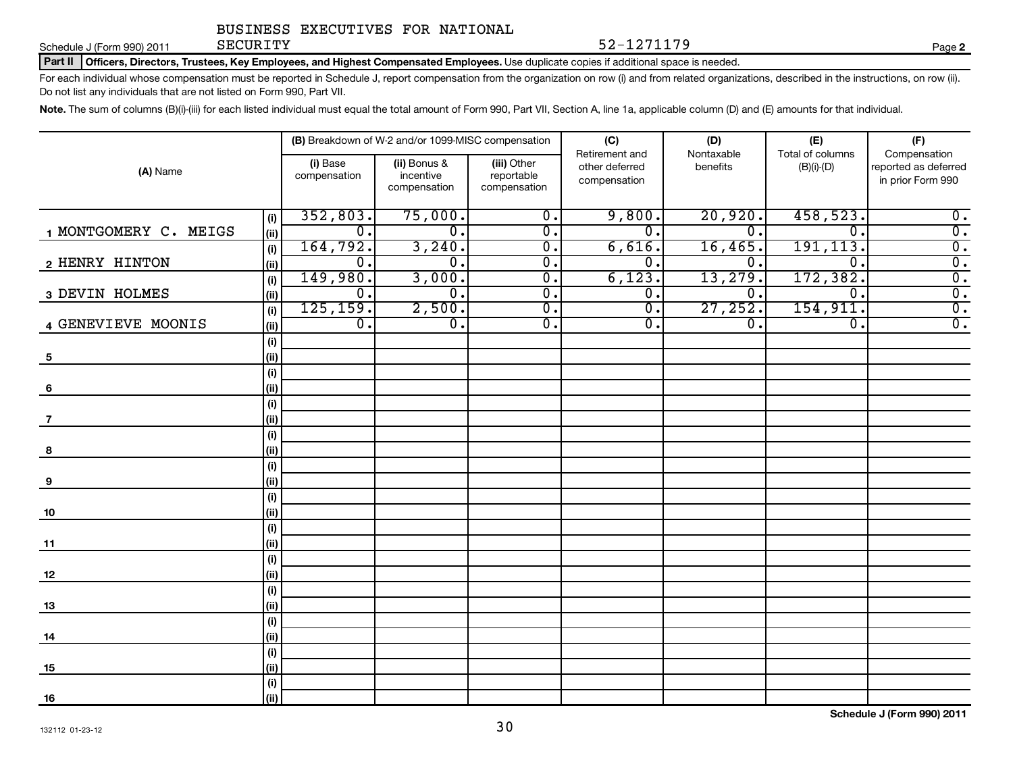#### Schedule J (Form 990) 2011 SECURITY

#### Part II | Officers, Directors, Trustees, Key Employees, and Highest Compensated Employees. Use duplicate copies if additional space is needed.

For each individual whose compensation must be reported in Schedule J, report compensation from the organization on row (i) and from related organizations, described in the instructions, on row (ii). Do not list any individuals that are not listed on Form 990, Part VII.

SECURITY 52-1271179

Note. The sum of columns (B)(i)-(iii) for each listed individual must equal the total amount of Form 990, Part VII, Section A, line 1a, applicable column (D) and (E) amounts for that individual.

|                                 |                  | (B) Breakdown of W-2 and/or 1099-MISC compensation |                            | (C)                         | (D)              | (E)              | (F)                  |
|---------------------------------|------------------|----------------------------------------------------|----------------------------|-----------------------------|------------------|------------------|----------------------|
|                                 |                  |                                                    |                            | Retirement and              | Nontaxable       | Total of columns | Compensation         |
| (A) Name                        | (i) Base         | (ii) Bonus &<br>incentive                          | (iii) Other                | other deferred              | benefits         | $(B)(i)-(D)$     | reported as deferred |
|                                 | compensation     | compensation                                       | reportable<br>compensation | compensation                |                  |                  | in prior Form 990    |
|                                 |                  |                                                    |                            |                             |                  |                  |                      |
| (i)                             | 352,803.         | 75,000.                                            | $\overline{0}$ .           | 9,800.                      | 20,920.          | 458,523.         | $\overline{0}$ .     |
| 1 MONTGOMERY C. MEIGS<br>(ii)   | $\overline{0}$ . | σ.                                                 | σ.                         | $\overline{0}$ .            | $\overline{0}$ . | $\overline{0}$ . | $\overline{0}$ .     |
| (i)                             | 164, 792.        | 3,240.                                             | $\overline{0}$ .           | 6,616.                      | 16,465.          | 191, 113.        | $\overline{0}$ .     |
| 2 HENRY HINTON<br>(ii)          | $\overline{0}$ . | $\overline{0}$ .                                   | $\overline{0}$ .           | $\overline{0}$ .            | 0.               | $\overline{0}$   | $\overline{0}$ .     |
| (i)                             | 149,980.         | 3,000.                                             | $\overline{0}$ .           | 6,123.                      | 13,279.          | 172, 382.        | $\overline{0}$ .     |
| 3 DEVIN HOLMES<br>(ii)          | 0.               | $\overline{0}$ .                                   | $\overline{0}$ .           | $\overline{0}$ .            | $\mathbf{0}$ .   | $\mathbf 0$ .    | $\overline{0}$ .     |
| (i)                             | 125, 159.        | 2,500.                                             | $\overline{0}$ .           | $\overline{\mathfrak{o}}$ . | 27,252.          | 154, 911.        | $\overline{0}$ .     |
| 4 GENEVIEVE MOONIS<br>(ii)      | $\overline{0}$ . | $\overline{0}$ .                                   | $\overline{0}$ .           | 0.                          | 0.               | $\mathbf 0$ .    | $\overline{0}$ .     |
| (i)                             |                  |                                                    |                            |                             |                  |                  |                      |
| (ii)<br>$\overline{\mathbf{5}}$ |                  |                                                    |                            |                             |                  |                  |                      |
| (i)                             |                  |                                                    |                            |                             |                  |                  |                      |
| (ii)<br>6                       |                  |                                                    |                            |                             |                  |                  |                      |
| (i)<br>(ii)<br>7                |                  |                                                    |                            |                             |                  |                  |                      |
| (i)                             |                  |                                                    |                            |                             |                  |                  |                      |
| (ii)<br>8                       |                  |                                                    |                            |                             |                  |                  |                      |
| (i)                             |                  |                                                    |                            |                             |                  |                  |                      |
| (ii)<br>9                       |                  |                                                    |                            |                             |                  |                  |                      |
| (i)                             |                  |                                                    |                            |                             |                  |                  |                      |
| (ii)<br>10                      |                  |                                                    |                            |                             |                  |                  |                      |
| (i)                             |                  |                                                    |                            |                             |                  |                  |                      |
| (ii)<br>11                      |                  |                                                    |                            |                             |                  |                  |                      |
| (i)                             |                  |                                                    |                            |                             |                  |                  |                      |
| (ii)<br>12                      |                  |                                                    |                            |                             |                  |                  |                      |
| (i)                             |                  |                                                    |                            |                             |                  |                  |                      |
| (ii)<br>13                      |                  |                                                    |                            |                             |                  |                  |                      |
| (i)                             |                  |                                                    |                            |                             |                  |                  |                      |
| (ii)<br>14                      |                  |                                                    |                            |                             |                  |                  |                      |
| (i)                             |                  |                                                    |                            |                             |                  |                  |                      |
| (ii)<br>15                      |                  |                                                    |                            |                             |                  |                  |                      |
| (i)                             |                  |                                                    |                            |                             |                  |                  |                      |
| (ii)<br><u>16</u>               |                  |                                                    |                            |                             |                  |                  |                      |

**Schedule J (Form 990) 2011**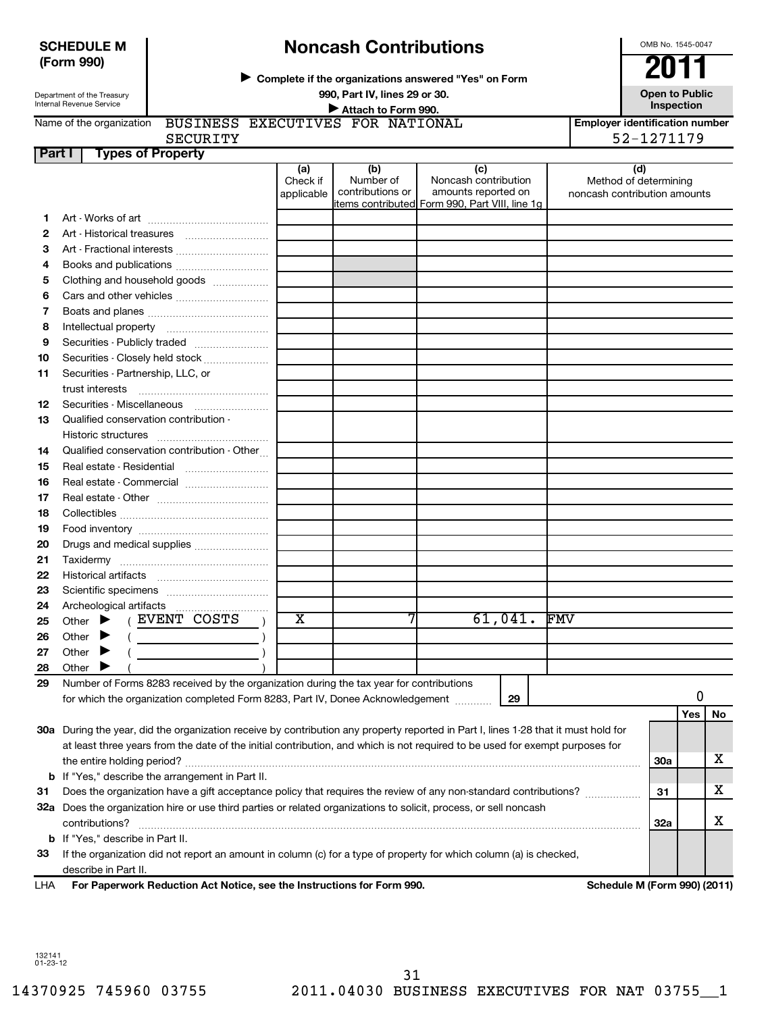### **SCHEDULE M (Form 990)**

# **Noncash Contributions**

**Complete if the organizations answered "Yes" on Form** <sup>J</sup>**2011**

Department of the Treasury Internal Revenue Service

Name of the organization

### **990, Part IV, lines 29 or 30. Open to Public Unspection**<br> **■** Attach to Form 990 **Inspection Inspection Inspection Inspection Inspection**

BUSINESS EXECUTIVES FOR NATIONAL

**Employer identification number**

OMB No. 1545-0047

# SECURITY 52-1271179

| Part I | <b>Types of Property</b>                                                                                                            |                               |                                      |                                                                                                      |         |                                                              |            |     |    |
|--------|-------------------------------------------------------------------------------------------------------------------------------------|-------------------------------|--------------------------------------|------------------------------------------------------------------------------------------------------|---------|--------------------------------------------------------------|------------|-----|----|
|        |                                                                                                                                     | (a)<br>Check if<br>applicable | (b)<br>Number of<br>contributions or | (c)<br>Noncash contribution<br>amounts reported on<br>items contributed Form 990, Part VIII, line 1g |         | (d)<br>Method of determining<br>noncash contribution amounts |            |     |    |
| 1.     |                                                                                                                                     |                               |                                      |                                                                                                      |         |                                                              |            |     |    |
| 2      |                                                                                                                                     |                               |                                      |                                                                                                      |         |                                                              |            |     |    |
| 3      | Art - Fractional interests                                                                                                          |                               |                                      |                                                                                                      |         |                                                              |            |     |    |
| 4      | Books and publications                                                                                                              |                               |                                      |                                                                                                      |         |                                                              |            |     |    |
| 5      | Clothing and household goods                                                                                                        |                               |                                      |                                                                                                      |         |                                                              |            |     |    |
|        |                                                                                                                                     |                               |                                      |                                                                                                      |         |                                                              |            |     |    |
| 6      |                                                                                                                                     |                               |                                      |                                                                                                      |         |                                                              |            |     |    |
| 7      |                                                                                                                                     |                               |                                      |                                                                                                      |         |                                                              |            |     |    |
| 8      |                                                                                                                                     |                               |                                      |                                                                                                      |         |                                                              |            |     |    |
| 9      | Securities - Publicly traded                                                                                                        |                               |                                      |                                                                                                      |         |                                                              |            |     |    |
| 10     | Securities - Closely held stock                                                                                                     |                               |                                      |                                                                                                      |         |                                                              |            |     |    |
| 11     | Securities - Partnership, LLC, or                                                                                                   |                               |                                      |                                                                                                      |         |                                                              |            |     |    |
|        | trust interests                                                                                                                     |                               |                                      |                                                                                                      |         |                                                              |            |     |    |
| 12     |                                                                                                                                     |                               |                                      |                                                                                                      |         |                                                              |            |     |    |
| 13     | Qualified conservation contribution -                                                                                               |                               |                                      |                                                                                                      |         |                                                              |            |     |    |
|        |                                                                                                                                     |                               |                                      |                                                                                                      |         |                                                              |            |     |    |
| 14     | Qualified conservation contribution - Other                                                                                         |                               |                                      |                                                                                                      |         |                                                              |            |     |    |
| 15     |                                                                                                                                     |                               |                                      |                                                                                                      |         |                                                              |            |     |    |
| 16     | Real estate - Commercial                                                                                                            |                               |                                      |                                                                                                      |         |                                                              |            |     |    |
| 17     |                                                                                                                                     |                               |                                      |                                                                                                      |         |                                                              |            |     |    |
| 18     |                                                                                                                                     |                               |                                      |                                                                                                      |         |                                                              |            |     |    |
| 19     |                                                                                                                                     |                               |                                      |                                                                                                      |         |                                                              |            |     |    |
| 20     | Drugs and medical supplies                                                                                                          |                               |                                      |                                                                                                      |         |                                                              |            |     |    |
| 21     |                                                                                                                                     |                               |                                      |                                                                                                      |         |                                                              |            |     |    |
| 22     |                                                                                                                                     |                               |                                      |                                                                                                      |         |                                                              |            |     |    |
| 23     |                                                                                                                                     |                               |                                      |                                                                                                      |         |                                                              |            |     |    |
| 24     | Archeological artifacts                                                                                                             |                               |                                      |                                                                                                      |         |                                                              |            |     |    |
| 25     | (EVENT COSTS<br>Other $\blacktriangleright$                                                                                         | х                             | 7                                    |                                                                                                      | 61,041. | <b>FMV</b>                                                   |            |     |    |
| 26     | Other                                                                                                                               |                               |                                      |                                                                                                      |         |                                                              |            |     |    |
| 27     | Other                                                                                                                               |                               |                                      |                                                                                                      |         |                                                              |            |     |    |
| 28     | Other                                                                                                                               |                               |                                      |                                                                                                      |         |                                                              |            |     |    |
| 29     | Number of Forms 8283 received by the organization during the tax year for contributions                                             |                               |                                      |                                                                                                      |         |                                                              |            |     |    |
|        | for which the organization completed Form 8283, Part IV, Donee Acknowledgement                                                      |                               |                                      |                                                                                                      | 29      |                                                              |            | 0   |    |
|        |                                                                                                                                     |                               |                                      |                                                                                                      |         |                                                              |            | Yes | No |
|        | 30a During the year, did the organization receive by contribution any property reported in Part I, lines 1-28 that it must hold for |                               |                                      |                                                                                                      |         |                                                              |            |     |    |
|        | at least three years from the date of the initial contribution, and which is not required to be used for exempt purposes for        |                               |                                      |                                                                                                      |         |                                                              |            |     |    |
|        |                                                                                                                                     |                               |                                      |                                                                                                      |         |                                                              | <b>30a</b> |     | х  |
|        | <b>b</b> If "Yes," describe the arrangement in Part II.                                                                             |                               |                                      |                                                                                                      |         |                                                              |            |     |    |
| 31     | Does the organization have a gift acceptance policy that requires the review of any non-standard contributions?                     |                               |                                      |                                                                                                      |         |                                                              | 31         |     | х  |
|        | 32a Does the organization hire or use third parties or related organizations to solicit, process, or sell noncash                   |                               |                                      |                                                                                                      |         |                                                              |            |     |    |
|        | contributions?                                                                                                                      |                               |                                      |                                                                                                      |         |                                                              | 32a        |     | х  |
|        | <b>b</b> If "Yes," describe in Part II.                                                                                             |                               |                                      |                                                                                                      |         |                                                              |            |     |    |
| 33     | If the organization did not report an amount in column (c) for a type of property for which column (a) is checked,                  |                               |                                      |                                                                                                      |         |                                                              |            |     |    |
|        | describe in Part II.                                                                                                                |                               |                                      |                                                                                                      |         |                                                              |            |     |    |
| LHA    | For Paperwork Reduction Act Notice, see the Instructions for Form 990.                                                              |                               |                                      |                                                                                                      |         | <b>Schedule M (Form 990) (2011)</b>                          |            |     |    |
|        |                                                                                                                                     |                               |                                      |                                                                                                      |         |                                                              |            |     |    |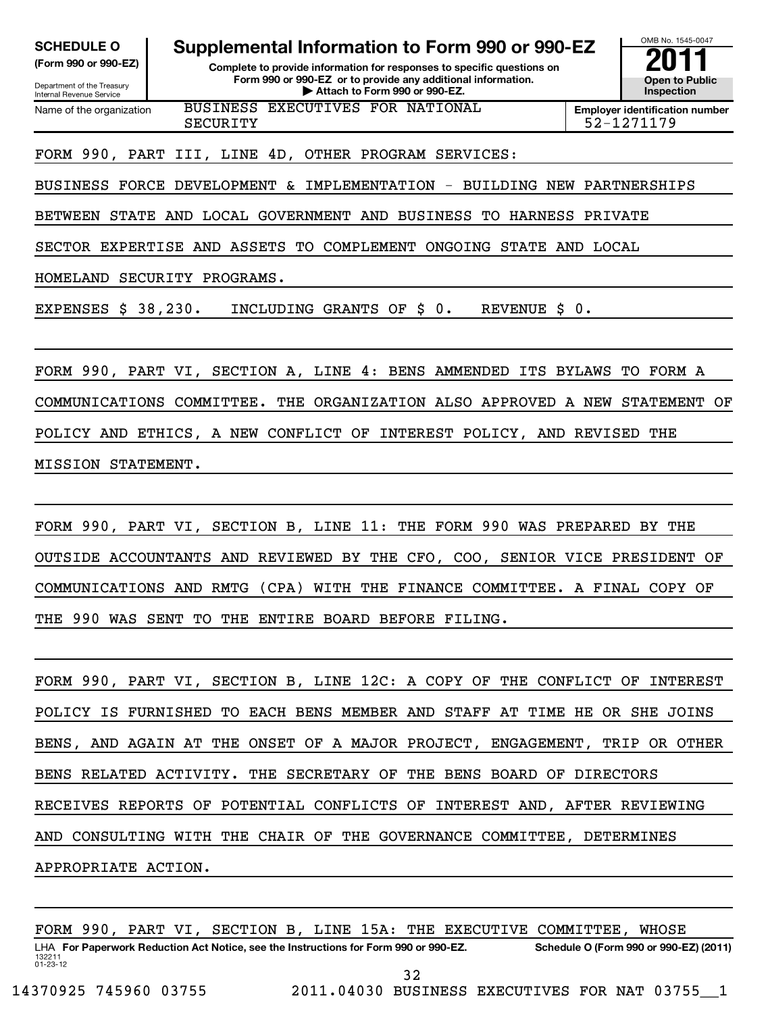Department of the Treasury Internal Revenue Service

**(Form 990 or 990-EZ) Complete to provide information for responses to specific questions on Form 990 or 990-EZ or to provide any additional information. | Attach to Form 990 or 990-EZ. Open to Public** SCHEDULE O **Supplemental Information to Form 990 or 990-EZ**<br> **Supplemental Information for responses to specific questions on**<br>
Form 990 or 990-EZ or to provide any additional information.

OMB No. 1545-0047 **Inspection**

Name of the organization BUSINESS EXECUTIVES FOR NATIONAL SECURITY 52-1271179

**Employer identification number**

FORM 990, PART III, LINE 4D, OTHER PROGRAM SERVICES:

BUSINESS FORCE DEVELOPMENT & IMPLEMENTATION - BUILDING NEW PARTNERSHIPS

BETWEEN STATE AND LOCAL GOVERNMENT AND BUSINESS TO HARNESS PRIVATE

SECTOR EXPERTISE AND ASSETS TO COMPLEMENT ONGOING STATE AND LOCAL

HOMELAND SECURITY PROGRAMS.

EXPENSES \$ 38,230. INCLUDING GRANTS OF \$ 0. REVENUE \$ 0.

FORM 990, PART VI, SECTION A, LINE 4: BENS AMMENDED ITS BYLAWS TO FORM A COMMUNICATIONS COMMITTEE. THE ORGANIZATION ALSO APPROVED A NEW STATEMENT OF POLICY AND ETHICS, A NEW CONFLICT OF INTEREST POLICY, AND REVISED THE MISSION STATEMENT.

FORM 990, PART VI, SECTION B, LINE 11: THE FORM 990 WAS PREPARED BY THE OUTSIDE ACCOUNTANTS AND REVIEWED BY THE CFO, COO, SENIOR VICE PRESIDENT OF COMMUNICATIONS AND RMTG (CPA) WITH THE FINANCE COMMITTEE. A FINAL COPY OF THE 990 WAS SENT TO THE ENTIRE BOARD BEFORE FILING.

FORM 990, PART VI, SECTION B, LINE 12C: A COPY OF THE CONFLICT OF INTEREST POLICY IS FURNISHED TO EACH BENS MEMBER AND STAFF AT TIME HE OR SHE JOINS BENS, AND AGAIN AT THE ONSET OF A MAJOR PROJECT, ENGAGEMENT, TRIP OR OTHER BENS RELATED ACTIVITY. THE SECRETARY OF THE BENS BOARD OF DIRECTORS RECEIVES REPORTS OF POTENTIAL CONFLICTS OF INTEREST AND, AFTER REVIEWING AND CONSULTING WITH THE CHAIR OF THE GOVERNANCE COMMITTEE, DETERMINES APPROPRIATE ACTION.

FORM 990, PART VI, SECTION B, LINE 15A: THE EXECUTIVE COMMITTEE, WHOSE

132211 01-23-12 LHA For Paperwork Reduction Act Notice, see the Instructions for Form 990 or 990-EZ. Schedule O (Form 990 or 990-EZ) (2011) 32